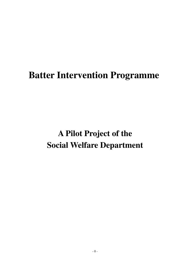# **Batter Intervention Programme**

# **A Pilot Project of the Social Welfare Department**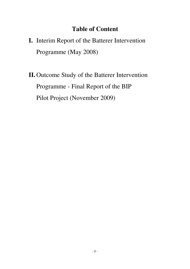# **Table of Content**

- **I.** Interim Report of the Batterer Intervention Programme (May 2008)
- **II.** Outcome Study of the Batterer Intervention Programme - Final Report of the BIP Pilot Project (November 2009)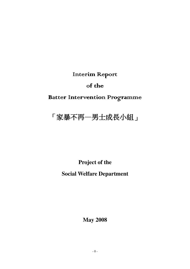Interim Report

of the

Batter Intervention Programme

# 「家暴不再一男士成長小組」

**Project of the** 

## **Social Welfare Department**

**May 2008**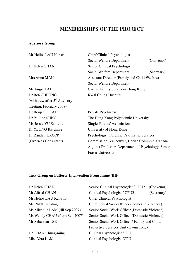## **MEMBERSHIPS OF THE PROJECT**

## **Advisory Group**

| Mr Helios LAU Kar-cho          | <b>Chief Clinical Psychologist</b>                 |             |  |
|--------------------------------|----------------------------------------------------|-------------|--|
|                                | Social Welfare Department                          | (Convenor)  |  |
| Dr Helen CHAN                  | Senior Clinical Psychologist                       |             |  |
|                                | Social Welfare Department                          | (Secretary) |  |
| Mrs Anna MAK                   | Assistant Director (Family and Child Welfare)      |             |  |
|                                | Social Welfare Department                          |             |  |
| Ms Angie LAI                   | Caritas Family Services– Hong Kong                 |             |  |
| Dr Ben CHEUNG                  | Kwai Chung Hospital                                |             |  |
| (withdrew after $5th$ Advisory |                                                    |             |  |
| meeting, February 2008)        |                                                    |             |  |
| Dr Benjamin LAI                | Private Psychiatrist                               |             |  |
| Dr Pauline SUNG                | The Hong Kong Polytechnic University               |             |  |
| Ms Jessie YU Sau-chu           | Single Parents' Association                        |             |  |
| Dr YEUNG Ka-ching              | University of Hong Kong                            |             |  |
| Dr Randall KROPP               | Psychologist, Forensic Psychiatric Services        |             |  |
| (Overseas Consultant)          | Commission, Vancouver, British Columbia, Canada    |             |  |
|                                | Adjunct Professor, Department of Psychology, Simon |             |  |
|                                | <b>Fraser University</b>                           |             |  |

## **Task Group on Batterer Intervention Programme (BIP)**

| Dr Helen CHAN                   | Senior Clinical Psychologist / CPU2<br>(Convenor) |  |  |
|---------------------------------|---------------------------------------------------|--|--|
| Mr Alfred CHAN                  | Clinical Psychologist / CPU2<br>(Secretary)       |  |  |
| Mr Helios LAU Kar-cho           | <b>Chief Clinical Psychologist</b>                |  |  |
| Ms PANG Kit-ling                | Chief Social Work Officer (Domestic Violence)     |  |  |
| Ms Michelle LAM (till Sep 2007) | Senior Social Work Officer (Domestic Violence)    |  |  |
| Ms Wendy CHAU (from Sep 2007)   | Senior Social Work Officer (Domestic Violence)    |  |  |
| Mr Sebastian TSE                | Senior Social Work Officer / Family and Child     |  |  |
|                                 | Protective Services Unit (Kwun Tong)              |  |  |
| Dr CHAN Chung-ming              | Clinical Psychologist /CPU1                       |  |  |
| Miss Vera LAM                   | Clinical Psychologist /CPU1                       |  |  |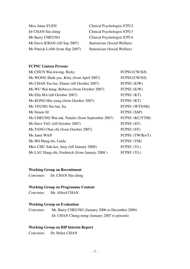| Miss Anna YUEN                 | Clinical Psychologist /CPU2   |
|--------------------------------|-------------------------------|
| Dr CHAN Siu-ching              | Clinical Psychologist /CPU3   |
| Mr Barry CHEUNG                | Clinical Psychologist /CPU4   |
| Mr Davis KWAN (till Sep 2007)  | Statistician (Social Welfare) |
| Mr Patrick LAM (from Sep 2007) | Statistician (Social Welfare) |

## **FCPSU Liaison Persons**

| Mr CHUN Wai-kwong, Ricky                         | FCPSU(CW/S/I)  |
|--------------------------------------------------|----------------|
| Ms WONG Shuk-yee, Kitty (from April 2007)        | FCPSU(CW/S/I)  |
| Ms CHAN Yee-lee, Elaine (till October 2007)      | FCPSU (E/W)    |
| Ms WU Wai-hang, Rebecca (from October 2007)      | FCPSU (E/W)    |
| Ms Ella MA (till October 2007)                   | FCPSU (KT)     |
| Ms KONG Hiu-yung (from October 2007)             | FCPSU (KT)     |
| Ms YEUNG Siu-lan, Isa                            | FCPSU (WTS/SK) |
| Mr Simon SI                                      | FCPSU (SSP)    |
| Ms CHEUNG Wai-tak, Natalie (from September 2007) | FCPSU (KC/YTM) |
| Mr Dave YAU (till October 2007)                  | FCPSU (ST)     |
| Ms TANG Chui-chi (from October 2007)             | FCPSU (ST)     |
| Ms Janet WAN                                     | FCPSU (TW/KwT) |
| Ms HO Hung-lin, Linda                            | FCPSU (TM)     |
| Miss CHU Suk-kei, Amy (till January 2008)        | FCPSU (YL)     |
| Mr LAU Hang-chi, Frederick (from January 2008)   | FCPSU (YL)     |
|                                                  |                |

### **Working Group on Recruitment**

Convenor: Dr. CHAN Siu-ching

## **Working Group on Programme Content**

Convenor: Mr. Alfred CHAN

## **Working Group on Evaluation**

Convenor: Mr. Barry CHEUNG (January 2006 to December 2006) Dr. CHAN Chung-ming (January 2007 to present)

## **Working Group on BIP Interim Report**

Convenor: Dr. Helen CHAN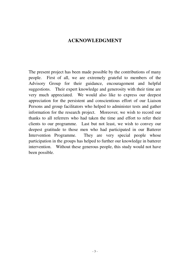## **ACKNOWLEDGMENT**

The present project has been made possible by the contributions of many people. First of all, we are extremely grateful to members of the Advisory Group for their guidance, encouragement and helpful suggestions. Their expert knowledge and generosity with their time are very much appreciated. We would also like to express our deepest appreciation for the persistent and conscientious effort of our Liaison Persons and group facilitators who helped to administer tests and gather information for the research project. Moreover, we wish to record our thanks to all referrers who had taken the time and effort to refer their clients to our programme. Last but not least, we wish to convey our deepest gratitude to those men who had participated in our Batterer Intervention Programme. They are very special people whose participation in the groups has helped to further our knowledge in batterer intervention. Without these generous people, this study would not have been possible.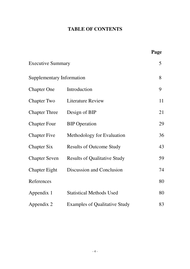## **TABLE OF CONTENTS**

|                                  |                                      | Page |
|----------------------------------|--------------------------------------|------|
| <b>Executive Summary</b>         |                                      | 5    |
| <b>Supplementary Information</b> |                                      | 8    |
| <b>Chapter One</b>               | Introduction                         | 9    |
| <b>Chapter Two</b>               | <b>Literature Review</b>             | 11   |
| <b>Chapter Three</b>             | Design of BIP                        | 21   |
| <b>Chapter Four</b>              | <b>BIP</b> Operation                 | 29   |
| <b>Chapter Five</b>              | Methodology for Evaluation           | 36   |
| <b>Chapter Six</b>               | <b>Results of Outcome Study</b>      | 43   |
| <b>Chapter Seven</b>             | <b>Results of Qualitative Study</b>  | 59   |
| <b>Chapter Eight</b>             | Discussion and Conclusion            | 74   |
| References                       |                                      | 80   |
| Appendix 1                       | <b>Statistical Methods Used</b>      | 80   |
| Appendix 2                       | <b>Examples of Qualitative Study</b> | 83   |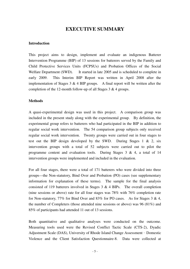## **EXECUTIVE SUMMARY**

#### **Introduction**

This project aims to design, implement and evaluate an indigenous Batterer Intervention Programme (BIP) of 13 sessions for batterers served by the Family and Child Protective Services Units (FCPSUs) and Probation Offices of the Social Welfare Department (SWD). It started in late 2005 and is scheduled to complete in early 2009. This Interim BIP Report was written in April 2008 after the implementation of Stages  $3 \& 4$  BIP groups. A final report will be written after the completion of the 12-month follow-up of all Stages 3 & 4 groups.

### **Methods**

A quasi-experimental design was used in this project. A comparison group was included in the present study along with the experimental group. By definition, the experimental group refers to batterers who had participated in the BIP in addition to regular social work intervention. The 54 comparison group subjects only received regular social work intervention. Twenty groups were carried out in four stages to test out the BIP design developed by the SWD. During Stages 1 & 2, six intervention groups with a total of 52 subjects were carried out to pilot the programme content and evaluation tools. During Stages 3 & 4, a total of 14 intervention groups were implemented and included in the evaluation.

For all four stages, there were a total of 171 batterers who were divided into three groups—the Non-statutory, Bind Over and Probation (PO) cases (see supplementary information for explanation of these terms). The sample for the final analysis consisted of 119 batterers involved in Stages  $3 \& 4$  BIPs. The overall completion (nine sessions or above) rate for all four stages was 78% with 76% completion rate for Non-statutory, 77% for Bind Over and 83% for PO cases. As for Stages 3 & 4, the number of Completers (those attended nine sessions or above) was 96 (81%) and 85% of participants had attended 11 out of 13 sessions.

Both quantitative and qualitative analyses were conducted on the outcome. Measuring tools used were the Revised Conflict Tactic Scale (CTS-2), Dyadic Adjustment Scale (DAS), University of Rhode Island Change Assessment–Domestic Violence and the Client Satisfaction Questionnaire-8. Data were collected at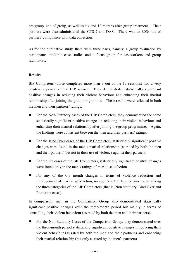pre-group, end of group, as well as six and 12 months after group treatment. Their partners were also administered the CTS-2 and DAS. There was an 80% rate of partners' compliance with data collection.

As for the qualitative study, there were three parts, namely, a group evaluation by participants, multiple case studies and a focus group for caseworkers and group facilitators.

### **Results**

BIP Completers (those completed more than 9 out of the 13 sessions) had a very positive appraisal of the BIP service. They demonstrated statistically significant positive changes in reducing their violent behaviour and enhancing their marital relationship after joining the group programme. These results were reflected in both the men and their partners' ratings.

- For the Non-Statutory cases of the BIP Completers, they demonstrated the same statistically significant positive changes in reducing their violent behaviour and enhancing their marital relationship after joining the group programme. Again, the findings were consistent between the men and their partners' ratings.
- For the Bind Over cases of the BIP Completers, statistically significant positive changes were found in the men's marital relationship (as rated by both the men and their partners) but not in their use of violence against their partners.
- For the PO cases of the BIP Completers, statistically significant positive changes were found only in the men's ratings of marital satisfaction.
- For any of the 0-3 month changes in terms of violence reduction and improvement of marital satisfaction, no significant difference was found among the three categories of the BIP Completers (that is, Non-statutory, Bind Over and Probation cases).

In comparison, men in the Comparison Group also demonstrated statistically significant positive changes over the three-month period but mainly in terms of controlling their violent behaviour (as rated by both the men and their partners).

 For the Non-Statutory Cases of the Comparison Group, they demonstrated over the three-month period statistically significant positive changes in reducing their violent behaviour (as rated by both the men and their partners) and enhancing their marital relationship (but only as rated by the men's partners).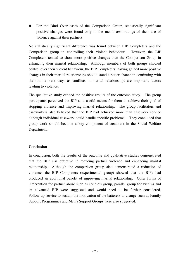For the Bind Over cases of the Comparison Group, statistically significant positive changes were found only in the men's own ratings of their use of violence against their partners.

No statistically significant difference was found between BIP Completers and the Comparison group in controlling their violent behaviour. However, the BIP Completers tended to show more positive changes than the Comparison Group in enhancing their marital relationship. Although members of both groups showed control over their violent behaviour, the BIP Completers, having gained more positive changes in their marital relationships should stand a better chance in continuing with their non-violent ways as conflicts in marital relationships are important factors leading to violence.

The qualitative study echoed the positive results of the outcome study. The group participants perceived the BIP as a useful means for them to achieve their goal of stopping violence and improving marital relationship. The group facilitators and caseworkers also believed that the BIP had achieved more than casework service although individual casework could handle specific problems. They concluded that group work should become a key component of treatment in the Social Welfare Department.

#### **Conclusion**

In conclusion, both the results of the outcome and qualitative studies demonstrated that the BIP was effective in reducing partner violence and enhancing marital relationship. Although the comparison group also demonstrated a reduction of violence, the BIP Completers (experimental group) showed that the BIPs had produced an additional benefit of improving marital relationship. Other forms of intervention for partner abuse such as couple's group, parallel group for victims and an advanced BIP were suggested and would need to be further considered. Follow-up service to sustain the motivation of the batterers to change such as Family Support Programmes and Men's Support Groups were also suggested.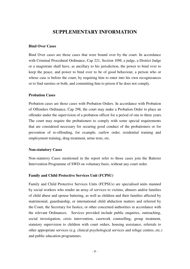## **SUPPLEMENTARY INFORMATION**

#### **Bind Over Cases**

Bind Over cases are those cases that were bound over by the court. In accordance with Criminal Procedural Ordinance, Cap 221, Section 109I, a judge, a District Judge or a magistrate shall have, as ancillary to his jurisdiction, the power to bind over to keep the peace, and power to bind over to be of good behaviour, a person who or whose case is before the court, by requiring him to enter into his own recognizances or to find sureties or both, and committing him to prison if he does not comply.

### **Probation Cases**

Probation cases are those cases with Probation Orders. In accordance with Probation of Offenders Ordinance, Cap 298, the court may make a Probation Order to place an offender under the supervision of a probation officer for a period of one to three years. The court may require the probationers to comply with some special requirements that are considered necessary for securing good conduct of the probationers or for prevention of re-offending, for example, curfew order, residential training and employment training, drug treatment, urine tests, etc.

#### **Non-statutory Cases**

Non-statutory Cases mentioned in the report refer to those cases join the Batterer Intervention Programme of SWD on voluntary basis, without any court order.

## **Family and Child Protective Services Unit (FCPSU)**

Family and Child Protective Services Units (FCPSUs) are specialised units manned by social workers who render an array of services to victims, abusers and/or families of child abuse and spouse battering, as well as children and their families affected by matrimonial, guardianship, or international child abduction matters and referred by the Court, the Secretary for Justice, or other concerned authorities in accordance with the relevant Ordinances. Services provided include public enquiries, outreaching, social investigation, crisis intervention, casework counselling, group treatment, statutory supervision to children with court orders, housing assistance, referrals to other appropriate services (e.g. clinical psychological services and refuge centres, etc.) and public education programmes.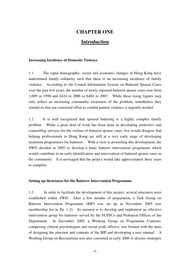## **CHAPTER ONE**

## **Introduction**

#### **Increasing Incidence of Domestic Violence**

1.1 The rapid demographic, social and economic changes in Hong Kong have undermined family solidarity such that there is an increasing incidence of family violence. According to the Central Information System on Battered Spouse Cases over the past few years, the number of newly reported battered spouse cases rose from 1,009 in 1998 and 4424 in 2006 to 6404 in 2007. While these rising figures may only reflect an increasing community awareness of the problem, nonetheless they remind us that our concerted effort to combat partner violence is urgently needed.

1.2 It is well recognized that spousal battering is a highly complex family problem. While a great deal of work has been done in developing protective and counselling services for the victims of battered spouse cases, few would disagree that helping professionals in Hong Kong are still at a very early stage of developing treatment programmes for batterers. With a view to promoting this development, the SWD decided in 2005 to develop a basic batterer intervention programme which would contribute to an early identification and intervention of battered spouse cases in the community. It is envisaged that the project would take approximately three years to complete.

#### **Setting up Structures for the Batterer Intervention Programme**

1.3 In order to facilitate the development of this project, several structures were established within SWD. After a few months of preparation, a Task Group on Batterer Intervention Programme (BIP) was set up in November 2005 (see membership list in Pp. 1-2). Its mission is to develop and implement an effective intervention group for batterers served by the FCPSUs and Probation Offices of the Department. In December 2005, a Working Group on Programme Contents, comprising clinical psychologists and social work officers, was formed with the aims of designing the structure and contents of the BIP and developing a user manual. A Working Group on Recruitment was also convened in early 2006 to discuss strategies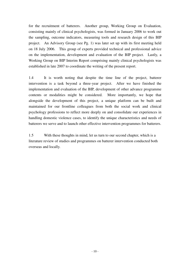for the recruitment of batterers. Another group, Working Group on Evaluation, consisting mainly of clinical psychologists, was formed in January 2006 to work out the sampling, outcome indicators, measuring tools and research design of this BIP project. An Advisory Group (see Pg. 1) was later set up with its first meeting held on 18 July 2006. This group of experts provided technical and professional advice on the implementation, development and evaluation of the BIP project. Lastly, a Working Group on BIP Interim Report comprising mainly clinical psychologists was established in late 2007 to coordinate the writing of the present report.

1.4 It is worth noting that despite the time line of the project, batterer intervention is a task beyond a three-year project. After we have finished the implementation and evaluation of the BIP, development of other advance programme contents or modalities might be considered. More importantly, we hope that alongside the development of this project, a unique platform can be built and maintained for our frontline colleagues from both the social work and clinical psychology professions to reflect more deeply on and consolidate our experiences in handling domestic violence cases, to identify the unique characteristics and needs of batterers we serve and to launch other effective intervention programmes for batterers.

1.5 With these thoughts in mind, let us turn to our second chapter, which is a literature review of studies and programmes on batterer intervention conducted both overseas and locally.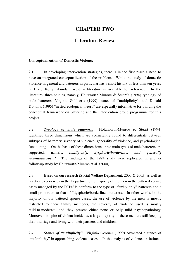## **CHAPTER TWO**

## **Literature Review**

#### **Conceptualization of Domestic Violence**

2.1 In developing intervention strategies, there is in the first place a need to have an integrated conceptualization of the problem. While the study of domestic violence in general and batterers in particular has a short history of less than ten years in Hong Kong, abundant western literature is available for reference. In the literature, three studies, namely, Holtzworth-Munroe & Stuart's (1994) typology of male batterers, Virginia Goldner's (1999) stance of "multiplicity", and Donald Dutton's (1995) "nested ecological theory" are especially informative for building the conceptual framework on battering and the intervention group programme for this project.

2.2 *Typology of male batterers.* Holtzworth-Munroe & Stuart (1994) identified three dimensions which are consistently found to differentiate between subtypes of batterers: severity of violence, generality of violence, and psychological functioning. On the basis of these dimensions, three main types of male batterers are suggested, namely, *family-only, dysphoric/borderline, and generally violent/antisocial.*The findings of the 1994 study were replicated in another follow-up study by Holtzworth-Munroe et al. (2000).

2.3 Based on our research (Social Welfare Department, 2003 & 2005) as well as practice experiences in the Department, the majority of the men in the battered spouse cases managed by the FCPSUs conform to the type of "family-only" batterers and a small proportion to that of "dysphoric/borderline" batterers. In other words, in the majority of our battered spouse cases, the use of violence by the men is mostly restricted to their family members, the severity of violence used is mostly mild-to-moderate, and they present either none or only mild psychopathology. Moreover, in spite of violent incidents, a large majority of these men are still keeping their marriage and living with their partners and children.

2.4 *Stance of "multiplicity"* Virginia Goldner (1999) advocated a stance of "multiplicity" in approaching violence cases. In the analysis of violence in intimate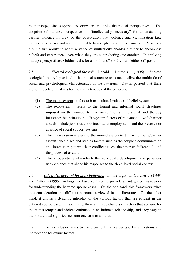relationships, she suggests to draw on multiple theoretical perspectives. The adoption of multiple perspectives is "intellectually necessary" for understanding partner violence in view of the observation that violence and victimization take multiple discourses and are not reducible to a single cause or explanation. Moreover, a clinician's ability to adopt a stance of multiplicity enables him/her to encompass beliefs and experiences even when they are contradicting one another. In applying multiple perspectives, Goldner calls for a "both-and" vis-à-vis an "either-or" position.

2.5 *"Nested ecological theory"* Donald Dutton's (1995) "nested ecological theory" provided a theoretical structure to conceptualize the multitude of social and psychological characteristics of the batterers. Dutton posited that there are four levels of analysis for the characteristics of the batterers:

- (1) The macrosystem refers to broad cultural values and belief systems.
- (2) The exosystem refers to the formal and informal social structures imposed on the immediate environment of an individual and thereby influences his behaviour. Exosystem factors of relevance to wife/partner assault include job stress, low income, unemployment, and the presence or absence of social support systems.
- (3) The microsystem –refers to the immediate context in which wife/partner assault takes place and studies factors such as the couple's communication and interaction pattern, their conflict issues, their power differential, and the process of assault.
- (4) The ontogenetic level refer to the individual's developmental experiences with violence that shape his responses to the three-level social context.

2.6 *Integrated account for male battering.*In the light of Goldner's (1999) and Dutton's (1995) findings, we have ventured to provide an integrated framework for understanding the battered spouse cases. On the one hand, this framework takes into consideration the different accounts reviewed in the literature. On the other hand, it allows a dynamic interplay of the various factors that are evident in the battered spouse cases. Essentially, there are three clusters of factors that account for the men's temper and violent outbursts in an intimate relationship, and they vary in their individual significance from one case to another.

2.7 The first cluster refers to the broad cultural values and belief systems and includes the following factors: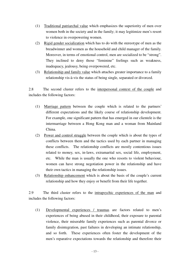- (1) Traditional patriarchal value which emphasizes the superiority of men over women both in the society and in the family; it may legitimize men's resort to violence in overpowering women.
- (2) Rigid gender socialization which has to do with the stereotype of men as the breadwinner and women as the household and child manager of the family. Moreover, in terms of emotional control, men are socialized to be "strong". They inclined to deny those "feminine" feelings such as weakness, inadequacy, jealousy, being overpowered, etc.
- (3) Relationship and family value which attaches greater importance to a family relationship vis-à-vis the status of being single, separated or divorced.

2.8 The second cluster refers to the interpersonal context of the couple and includes the following factors:

- (1) Marriage pattern between the couple which is related to the partners' different expectations and the likely course of relationship development. For example, one significant pattern that has emerged in our clientele is the intermarriage between a Hong Kong man and a woman from Mainland China.
- (2) Power and control struggle between the couple which is about the types of conflicts between them and the tactics used by each partner in managing these conflicts. The relationship conflicts are mostly contentious issues related to money, sex, in-laws, extramarital sex, social life, employment, etc. While the man is usually the one who resorts to violent behaviour, women can have strong negotiation power in the relationship and have their own tactics in managing the relationship issues.
- (3) Relationship enhancement which is about the basis of the couple's current relationship and how they enjoy or benefit from their life together.

2.9 The third cluster refers to the intrapsychic experiences of the man and includes the following factors:

(1) Developmental experiences / traumas are factors related to men's experiences of being abused in their childhood, their exposure to parental violence, their miserable family experiences such as parental divorce or family disintegration, past failures in developing an intimate relationship, and so forth. These experiences often foster the development of the men's reparative expectations towards the relationship and therefore their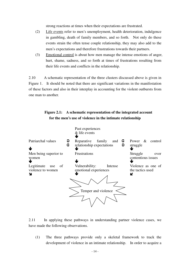strong reactions at times when their expectations are frustrated.

- (2) Life events refer to men's unemployment, health deterioration, indulgence in gambling, death of family members, and so forth. Not only do these events strain the often tense couple relationship, they may also add to the men's expectations and therefore frustrations towards their partners.
- (3) Emotional control is about how men manage the intense emotions of anger, hurt, shame, sadness, and so forth at times of frustrations resulting from their life events and conflicts in the relationship.

2.10 A schematic representation of the three clusters discussed above is given in Figure 1. It should be noted that there are significant variations in the manifestation of these factors and also in their interplay in accounting for the violent outbursts from one man to another.

## **Figure 2.1: A schematic representation of the integrated account for the men's use of violence in the intimate relationship**



2.11 In applying these pathways in understanding partner violence cases, we have made the following observations.

(1) The three pathways provide only a skeletal framework to track the development of violence in an intimate relationship. In order to acquire a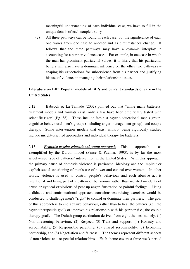meaningful understanding of each individual case, we have to fill in the unique details of each couple's story.

(2) All three pathways can be found in each case, but the significance of each one varies from one case to another and as circumstances change. It follows that the three pathways may have a dynamic interplay in accounting for a partner violence case. For example, in one case in which the man has prominent patriarchal values, it is likely that his patriarchal beliefs will also have a dominant influence on the other two pathways – shaping his expectations for subservience from his partner and justifying his use of violence in managing their relationship issues.

## **Literature on BIP: Popular models of BIPs and current standards of care in the United States**

2.12 Babcock & La Taillade (2002) pointed out that "while many batterers' treatment models and formats exist, only a few have been empirically tested with scientific rigor" (Pg. 38). These include feminist psycho-educational men's group, cognitive-behavioural men's groups (including anger management group), and couple therapy. Some intervention models that exist without being rigorously studied include insight-oriented approaches and individual therapy for batterers.

2.13 *Feminist psycho-educational group approach*. This approach, as exemplified by the Duluth model (Pence & Paymar, 1993), is by far the most widely-used type of batterers' intervention in the United States. With this approach, the primary cause of domestic violence is patriarchal ideology and the implicit or explicit social sanctioning of men's use of power and control over women. In other words, violence is used to control people's behaviour and each abusive act is intentional and being part of a pattern of behaviours rather than isolated incidents of abuse or cyclical explosions of pent-up anger, frustration or painful feelings. Using a didactic and confrontational approach, consciousness-raising exercises would be conducted to challenge men's "right" to control or dominate their partners. The goal of this approach is to end abusive behaviour, rather than to heal the batterer (i.e., the psychotherapeutic goal) or improve his relationship with his partner (i.e., the couple therapy goal). The Duluth group curriculum derives from eight themes, namely, (1) Non-threatening behaviour, (2) Respect, (3) Trust and support, (4) Honesty and accountability, (5) Responsible parenting, (6) Shared responsibility, (7) Economic partnership, and (8) Negotiation and fairness. The themes represent different aspects of non-violent and respectful relationships. Each theme covers a three-week period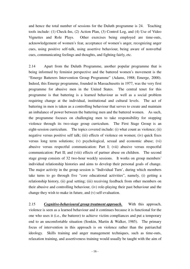and hence the total number of sessions for the Duluth programme is 24. Teaching tools include: (1) Check-Ins, (2) Action Plan, (3) Control Log, and (4) Use of Video Vignettes and Role Plays. Other exercises being employed are time-outs, acknowledgement of women's fear, acceptance of women's anger, recognizing anger cues, using positive self-talk, using assertive behaviour, being aware of nonverbal cues, communicating feelings and thoughts, and fighting fairly, etc.

2.14 Apart from the Duluth Programme, another popular programme that is being informed by feminist perspective and the battered women's movement is the "Emerge Batterers Intervention Group Programme" (Adams, 1988; Emerge, 2000). Indeed, this Emerge programme, founded in Massachusetts in 1977, was the very first programme for abusive men in the United States. The central tenet for this programme is that battering is a learned behaviour as well as a social problem requiring change at the individual, institutional and cultural levels. The act of battering in men is taken as a controlling behaviour that serves to create and maintain an imbalance of power between the battering men and the battered women. As such, the programme focuses on challenging men to take responsibility for stopping violence through its two-stage group curriculum. The First Stage Group is an eight-session curriculum. The topics covered include: (i) what count as violence; (ii) negative versus positive self talk; (iii) effects of violence on women; (iv) quick fixes versus long term solutions; (v) psychological, sexual and economic abuse; (vi) abusive versus respectful communication: Part I; (vii) abusive versus respectful communication: Part II; and (viii) effects of partner abuse on children. The second stage group consists of 32 two-hour weekly sessions. It works on group members' individual relationship histories and aims to develop their personal goals of change. The major activity in the group session is "Individual Turn', during which members take turns to go through five "core educational activities", namely, (i) getting a relationship history, (ii) goal setting; (iii) receiving feedback from other members on their abusive and controlling behaviour, (iv) role-playing their past behaviour and the change they wish to make in future, and (v) self-evaluation.

2.15 *Cognitive-behavioural group treatment approach.* With this approach, violence is seen as a learned behaviour and it continues because it is functional for the one who uses it (i.e., the batterer) to achieve victim compliances and put a temporary end to an uncomfortable situation (Sonkin, Martin & Walker, 1985). The primary focus of intervention in this approach is on violence rather than the patriarchal ideology. Skills training and anger management techniques, such as time-outs, relaxation training, and assertiveness training would usually be taught with the aim of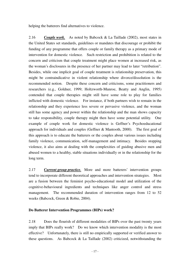helping the batterers find alternatives to violence.

2.16*Couple work.*As noted by Babcock & La Taillade (2002), most states in the United States set standards, guidelines or mandates that discourage or prohibit the funding of any programme that offers couple or family therapy as a primary mode of intervention for domestic violence. Such restriction and prohibition is related to the concern and criticism that couple treatment might place women at increased risk, as the woman's disclosures in the presence of her partner may lead to later "retribution". Besides, while one implicit goal of couple treatment is relationship preservation, this might be contraindicative in violent relationship where divorce/dissolution is the recommended notion. Despite these concern and criticisms, some practitioners and researchers (e.g., Goldner, 1999; Holtzworth-Munroe, Beatty and Anglin, 1995) contended that couple therapies might still have some role to play for families inflicted with domestic violence. For instance, if both partners wish to remain in the relationship and they experience less severe or pervasive violence, and the woman still has some agency and power within the relationship and the man shows capacity to take responsibility, couple therapy might then have some potential utility. One example of couple work for domestic violence is Geffner's Psychoeducational approach for individuals and couples (Geffner & Mantooth, 2000). The first goal of this approach is to educate the batterers or the couples about various issues including family violence, communication, self-management and intimacy. Besides stopping violence, it also aims at dealing with the complexities of guiding abusive men and abused women to a healthy, stable situations individually or in the relationship for the long term.

2.17 *Current group practice.*More and more batterers' intervention groups tend to incorporate different theoretical approaches and intervention strategies. Most are a fusion between the feminist psycho-educational model and utilization of the cognitive-behavioural ingredients and techniques like anger control and stress management. The recommended duration of intervention ranges from 12 to 52 weeks (Babcock, Green & Robie, 2004).

## **Do Batterer Intervention Programmes (BIPs) work?**

2.18 Does the flourish of different modalities of BIPs over the past twenty years imply that BIPs really work? Do we know which intervention modality is the most effective? Unfortunately, there is still no empirically supported or verified answer to these questions. As Babcock  $\&$  La Taillade (2002) criticized, notwithstanding the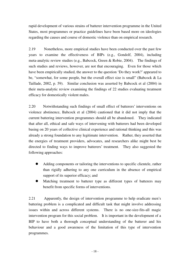rapid development of various strains of batterer intervention programme in the United States, most programmes or practice guidelines have been based more on ideologies regarding the causes and course of domestic violence than on empirical research.

2.19 Nonetheless, more empirical studies have been conducted over the past few years to examine the effectiveness of BIPs (e.g., Gondolf, 2004), including meta-analytic review studies (e.g., Babcock, Green & Robie, 2004). The findings of such studies and reviews, however, are not that encouraging. Even for those which have been empirically studied, the answer to the question 'Do they work?' appeared to be, "somewhat, for some people, but the overall effect size is small" (Babcock & La Taillade, 2002, p. 59). Similar conclusion was asserted by Babcock et al (2004) in their meta-analytic review examining the findings of 22 studies evaluating treatment efficacy for domestically violent males.

2.20 Notwithstanding such findings of small effect of batterers' interventions on violence abstinence, Babcock et al (2004) cautioned that it did not imply that the current battering intervention programmes should all be abandoned. They indicated that after all, ethical and safe ways of intervening with batterers had been developed basing on 20 years of collective clinical experience and rational thinking and this was already a strong foundation to any legitimate intervention. Rather, they asserted that the energies of treatment providers, advocates, and researchers alike might best be directed to finding ways to improve batterers' treatment. They also suggested the following approaches:

- Adding components or tailoring the interventions to specific clientele, rather than rigidly adhering to any one curriculum in the absence of empirical support of its superior efficacy; and
- Matching treatment to batterer type as different types of batterers may benefit from specific forms of interventions.

2.21 Apparently, the design of intervention programme to help eradicate men's battering problem is a complicated and difficult task that might involve addressing issues within and across different systems. There is no one-size-fits-all magic intervention program for this social problem. It is important in the development of a BIP to have both a thorough conceptual understanding of the batterer and his behaviour and a good awareness of the limitation of this type of intervention programmes.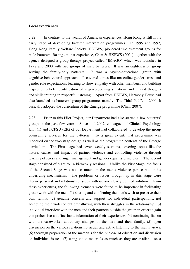#### **Local experiences**

2.22 In contrast to the wealth of American experiences, Hong Kong is still in its early stage of developing batterer intervention programmes. In 1995 and 1997, Hong Kong Family Welfare Society (HKFWS) pioneered two treatment groups for male batterers. Basing on that experience, Chan  $\&$  HKFWS (2001) together with the agency designed a group therapy project called "IMAGO" which was launched in 1998 and 2000 with two groups of male batterers. It was an eight-session group serving the family-only batterers. It was a psycho-educational group with cognitive-behavioural approach. It covered topics like masculine gender stress and gender role expectations, learning to show empathy with other members, and building respectful beliefs identification of anger-provoking situations and related thoughts and skills training in respectful listening. Apart from HKFWS, Harmony House had also launched its batterers' group programme, namely "The Third Path", in 2000. It basically adopted the curriculum of the Emerge programme (Chan, 2007).

2.23 Prior to this Pilot Project, our Department had also started a few batterers' groups in the past few years. Since mid-2002, colleagues of Clinical Psychology Unit (1) and FCPSU (EK) of our Department had collaborated to develop the group counselling services for the batterers. To a great extent, that programme was modelled on the two-stage design as well as the programme contents of the Emerge curriculum. The First stage had seven weekly sessions, covering topics like the nature, causes and impact of partner violence and controlling violence through learning of stress and anger management and gender equality principles. The second stage consisted of eight to 14 bi-weekly sessions. Unlike the First Stage, the focus of the Second Stage was not so much on the men's violence per se but on its underlying mechanisms. The problems or issues brought up in this stage were thorny personal and relationship issues without any clearly defined solution. From these experiences, the following elements were found to be important in facilitating group work with the men: (1) sharing and confirming the men's wish to preserve their own family, (2) genuine concern and support for individual participations, not accepting their violence but empathizing with their struggles in the relationship, (3) individual interview with the men and their partners outside the group in order to gain comprehensive and first-hand information of their experiences, (4) continuing liaison with the caseworker about any changes of the men and their family, (5) open discussion on the various relationship issues and active listening to the men's views, (6) thorough preparation of the materials for the purpose of education and discussion on individual issues, (7) using video materials as much as they are available on a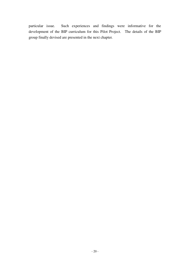particular issue. Such experiences and findings were informative for the development of the BIP curriculum for this Pilot Project. The details of the BIP group finally devised are presented in the next chapter.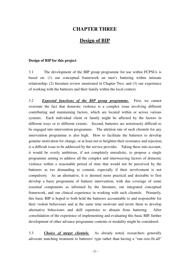## **CHAPTER THREE**

## **Design of BIP**

#### **Design of BIP for this project**

3.1 The development of the BIP group programme for use within FCPSUs is based on: (1) our conceptual framework on men's battering within intimate relationship; (2) literature review mentioned in Chapter Two; and (3) our experience of working with the batterers and their family within the local context.

3.2 *Expected functions of the BIP group programme.* First, we cannot overstate the fact that domestic violence is a complex issue involving different contributing and maintaining factors, which are located within or across various systems. Each individual client or family might be affected by the factors in different ways or to different extents. Second, batterers are notoriously difficult to be engaged into intervention programme. The attrition rate of such clientele for any intervention programme is also high. How to facilitate the batterers to develop genuine motivation for change, or at least not to heighten their resistance and rejection, is a difficult issue to be addressed by the service provider. Taking these into account, it would be overly ambitious, if not completely unrealistic, to propose a single programme aiming to address all the complex and interweaving factors of domestic violence within a reasonable period of time that would not be perceived by the batterers as too demanding to commit, especially if their involvement is not compulsory. As an alternative, it is deemed more practical and desirable to first develop a basic programme of batterer intervention, with due coverage of some essential components as informed by the literature, our integrated conceptual framework, and our clinical experience in working with such clientele. Primarily, this basic BIP is hoped to both hold the batterers accountable to and responsible for their violent behaviours and at the same time motivate and invite them to develop alternative behaviours and skill repertoire to abstain from battering. After consolidation of the experience of implementing and evaluating this basic BIP, further development of other advance programme contents or modality might be considered.

3.3 *Choice of target clientele.* As already noted, researchers generally advocate matching treatment to batterers' type rather than having a "one-size-fit-all"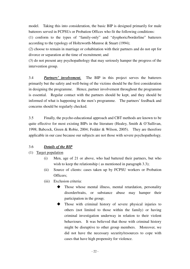model. Taking this into consideration, the basic BIP is designed primarily for male batterers served in FCPSUs or Probation Offices who fit the following conditions:

(1) conform to the types of "family-only" and "dysphoric/borderline" batterers according to the typology of Holtzworth-Munroe & Stuart (1994);

(2) choose to remain in marriage or cohabitation with their partners and do not opt for divorce or separation at the time of recruitment; and

(3) do not present any psychopathology that may seriously hamper the progress of the intervention group.

3.4 *Partners' involvement.* The BIP in this project serves the batterers primarily but the safety and well-being of the victims should be the first consideration in designing the programme. Hence, partner involvement throughout the programme is essential. Regular contact with the partners should be kept, and they should be informed of what is happening in the men's programme. The partners' feedback and concerns should be regularly checked.

3.5 Finally, the psycho-educational approach and CBT methods are known to be quite effective for most existing BIPs in the literature (Healey, Smith & O'Sullivan, 1998; Babcock, Green & Robie, 2004; Fedder & Wilson, 2005). They are therefore applicable in our case because our subjects are not those with severe psychopathology.

## 3.6 *Details of the BIP*

(1) Target population

- (i) Men, age of 21 or above, who had battered their partners, but who wish to keep the relationship (as mentioned in paragraph 3.3);
- (ii) Source of clients: cases taken up by FCPSU workers or Probation Officers;
- (iii) Exclusion criteria:
	- Those whose mental illness, mental retardation, personality disorder/traits, or substance abuse may hamper their participation in the group;
	- Those with criminal history of severe physical injuries to others (not limited to those within the family) or having criminal investigation underway in relation to their violent behaviours. It was believed that those with criminal history might be disruptive to other group members. Moreover, we did not have the necessary security/resources to cope with cases that have high propensity for violence.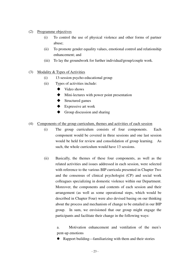- (2) Programme objectives
	- (i) To control the use of physical violence and other forms of partner abuse;
	- (ii) To promote gender equality values, emotional control and relationship enhancement; and
	- (iii) To lay the groundwork for further individual/group/couple work.
- (3) Modality & Types of Activities
	- (i) 13-session psycho-educational group
	- (ii) Types of activities include:
		- ◆ Video shows
		- Mini-lectures with power point presentation
		- **◆** Structured games
		- ◆ Expressive art work
		- Group discussion and sharing
- (4) Components of the group curriculum, themes and activities of each session
	- (i) The group curriculum consists of four components. Each component would be covered in three sessions and one last session would be held for review and consolidation of group learning. As such, the whole curriculum would have 13 sessions.
	- (ii) Basically, the themes of these four components, as well as the related activities and issues addressed in each session, were selected with reference to the various BIP curricula presented in Chapter Two and the consensus of clinical psychologist (CP) and social work colleagues specializing in domestic violence within our Department. Moreover, the components and contents of each session and their arrangement (as well as some operational steps, which would be described in Chapter Four) were also devised basing on our thinking about the process and mechanism of change to be entailed in our BIP group. In sum, we envisioned that our group might engage the participants and facilitate their change in the following ways:

a. Motivation enhancement and ventilation of the men's pent-up emotions

Rapport building—familiarizing with them and their stories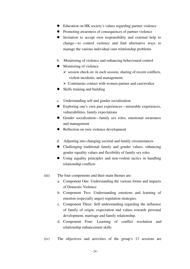- Education on HK society's values regarding partner violence
- Promoting awareness of consequences of partner violence
- Invitation to accept own responsibility and external help to change—to control violence and find alternative ways to manage the various individual cum relationship problems
- b. Monitoring of violence and enhancing behavioural control
- Monitoring of violence
	- $\triangleright$  session check-in: in each session, sharing of recent conflicts, violent incidents, and management;
	- $\triangleright$  Continuous contact with women partner and caseworker
- Skills training and building
- c. Understanding self and gender socialization
- Exploring one's own past experiences—miserable experiences, vulnerabilities, family expectations
- Gender socialization—family sex roles, emotional awareness and management
- Reflection on own violence development
- d. Adjusting into changing societal and family circumstances
- Challenging traditional family and gender values; enhancing gender equality values and flexibility of family sex roles
- Using equality principles and non-violent tactics in handling relationship conflicts
- (iii) The four components and their main themes are:
	- a. Component One: Understanding the various forms and impacts of Domestic Violence
	- b. Component Two: Understanding emotions and learning of emotion (especially anger) regulation strategies.
	- c. Component Three: Self understanding regarding the influence of family of origin, expectation and values towards personal development, marriage and family relationship.
	- d. Component Four: Learning of conflict resolution and relationship enhancement skills
- (iv) The objectives and activities of the group's 13 sessions are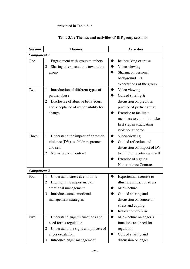## presented in Table 3.1:

| <b>Session</b>     | <b>Themes</b>                            | <b>Activities</b>             |
|--------------------|------------------------------------------|-------------------------------|
| <b>Component 1</b> |                                          |                               |
| One                | Engagement with group members<br>1       | Ice-breaking exercise         |
|                    | Sharing of expectations toward the<br>2  | Video-viewing                 |
|                    | group                                    | Sharing on personal           |
|                    |                                          | background &                  |
|                    |                                          | expectations of the group     |
| Two                | Introduction of different types of<br>1  | Video viewing                 |
|                    | partner abuse                            | Guided sharing &              |
|                    | Disclosure of abusive behaviours<br>2    | discussion on previous        |
|                    | and acceptance of responsibility for     | practice of partner abuse     |
|                    | change                                   | <b>Exercise to facilitate</b> |
|                    |                                          | members to commit to take     |
|                    |                                          | first step in eradicating     |
|                    |                                          | violence at home.             |
| Three              | Understand the impact of domestic<br>1   | Video-viewing                 |
|                    | violence (DV) to children, partner       | Guided reflection and         |
|                    | and self                                 | discussion on impact of DV    |
|                    | Non-violence Contract<br>2               | to children, partner and self |
|                    |                                          | Exercise of signing           |
|                    |                                          | Non-violence Contract         |
| <b>Component 2</b> |                                          |                               |
| Four               | Understand stress & emotions<br>1        | Experiential exercise to      |
|                    | Highlight the importance of<br>2         | illustrate impact of stress   |
|                    | emotional management                     | Mini-lecture                  |
|                    | Introduce some emotional<br>3            | Guided sharing and            |
|                    | management strategies                    | discussion on source of       |
|                    |                                          | stress and coping             |
|                    |                                          | Relaxation exercise           |
| Five               | Understand anger's functions and<br>1    | Mini-lecture on anger's       |
|                    | need for its regulation                  | functions and need for        |
|                    | Understand the signs and process of<br>2 | regulation                    |
|                    | anger escalation                         | Guided sharing and            |
|                    | Introduce anger management<br>3          | discussion on anger           |

## **Table 3.1 : Themes and activities of BIP group sessions**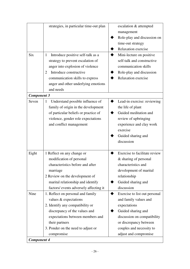| <b>Six</b>                 | strategies, in particular time-out plan<br>Introduce positive self-talk as a<br>$\mathbf{1}$<br>strategy to prevent escalation of<br>anger into explosion of violence<br>Introduce constructive<br>2<br>communication skills to express<br>anger and other underlying emotions | escalation & attempted<br>management<br>Role-play and discussion on<br>time-out strategy<br>Relaxation exercise<br>Mini-lecture on positive<br>self-talk and constructive<br>communication skills<br>Role-play and discussion<br>Relaxation exercise |
|----------------------------|--------------------------------------------------------------------------------------------------------------------------------------------------------------------------------------------------------------------------------------------------------------------------------|------------------------------------------------------------------------------------------------------------------------------------------------------------------------------------------------------------------------------------------------------|
|                            | and needs                                                                                                                                                                                                                                                                      |                                                                                                                                                                                                                                                      |
| <b>Component 3</b>         |                                                                                                                                                                                                                                                                                |                                                                                                                                                                                                                                                      |
| Seven                      | Understand possible influence of<br>$\mathbf{1}$<br>family of origin in the development<br>of particular beliefs or practice of<br>violence, gender role expectations<br>and conflict management                                                                               | Lead-in exercise: reviewing<br>the life of plant<br>Guided meditation and<br>review of upbringing<br>experience and clay work<br>exercise<br>Guided sharing and<br>discussion                                                                        |
| Eight                      | 1 Reflect on any change or<br>modification of personal<br>characteristics before and after<br>marriage<br>2 Review on the development of<br>marital relationship and identify<br>factors/ events adversely affecting it                                                        | Exercise to facilitate review<br>& sharing of personal<br>characteristics and<br>development of marital<br>relationship<br>Guided sharing and<br>discussion                                                                                          |
| Nine<br><b>Component 4</b> | 1. Reflect on personal and family<br>values $&$ expectations<br>2. Identify any compatibility or<br>discrepancy of the values and<br>expectations between members and<br>their partners<br>3. Ponder on the need to adjust or<br>compromise                                    | Exercise to list out personal<br>and family values and<br>expectations<br>Guided sharing and<br>discussion on compatibility<br>or discrepancy between<br>couples and necessity to<br>adjust and compromise                                           |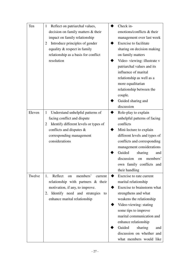| Ten    | Reflect on patriarchal values,<br>1              | Check in-                     |
|--------|--------------------------------------------------|-------------------------------|
|        | decision on family matters & their               | emotions/conflicts & their    |
|        | impact on family relationship                    | management over last week     |
|        | Introduce principles of gender<br>2              | <b>Exercise to facilitate</b> |
|        | equality & respect in family                     | sharing on decision making    |
|        | relationship as a basis for conflict             | on family matters             |
|        | resolution                                       | Video-viewing: illustrate v   |
|        |                                                  | patriarchal values and its    |
|        |                                                  | influence of marital          |
|        |                                                  | relationship as well as a     |
|        |                                                  | more equalitarian             |
|        |                                                  | relationship between the      |
|        |                                                  | couple.                       |
|        |                                                  | Guided sharing and            |
|        |                                                  | discussion                    |
| Eleven | Understand unhelpful patterns of<br>$\mathbf{1}$ | Role-play to explain          |
|        | facing conflict and dispute                      | unhelpful patterns of facing  |
|        | Identify different levels or types of<br>2       | conflicts                     |
|        | conflicts and disputes $\&$                      | Mini-lecture to explain       |
|        | corresponding management                         | different levels and types of |
|        | considerations                                   | conflicts and corresponding   |
|        |                                                  | management considerations     |
|        |                                                  | Guided<br>sharing<br>and      |
|        |                                                  | discussion<br>members'<br>on  |
|        |                                                  | own family conflicts and      |
|        |                                                  | their handling                |
| Twelve | Reflect<br>members'<br>1.<br>current<br>on       | Exercise to rate current      |
|        | relationship with partners $\&$ their            | marital relationship          |
|        | motivation, if any, to improve.                  | Exercise to brainstorm what   |
|        | 2. Identify need and strategies<br>to            | strengthens and what          |
|        | enhance marital relationship                     | weakens the relationship      |
|        |                                                  | Video-viewing: stating        |
|        |                                                  | some tips to improve          |
|        |                                                  | marital communication and     |
|        |                                                  | enhance relationship          |
|        |                                                  | Guided<br>sharing<br>and      |
|        |                                                  | discussion on whether and     |
|        |                                                  | what members would like       |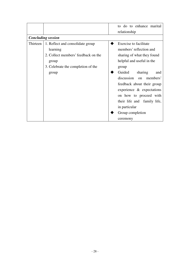|          |                                     | to do to enhance marital<br>relationship |
|----------|-------------------------------------|------------------------------------------|
|          | <b>Concluding session</b>           |                                          |
| Thirteen | 1. Reflect and consolidate group    | Exercise to facilitate                   |
|          | learning                            | members' reflection and                  |
|          | 2. Collect members' feedback on the | sharing of what they found               |
|          | group                               | helpful and useful in the                |
|          | 3. Celebrate the completion of the  | group                                    |
|          | group                               | Guided<br>sharing<br>and                 |
|          |                                     | discussion on members'                   |
|          |                                     | feedback about their group               |
|          |                                     | experience $\&$ expectations             |
|          |                                     | on how to proceed with                   |
|          |                                     | their life and family life,              |
|          |                                     | in particular                            |
|          |                                     | Group completion                         |
|          |                                     | ceremony                                 |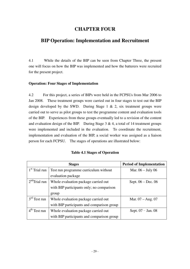## **CHAPTER FOUR**

## **BIP Operation: Implementation and Recruitment**

4.1 While the details of the BIP can be seen from Chapter Three, the present one will focus on how the BIP was implemented and how the batterers were recruited for the present project.

## **Operation: Four Stages of Implementation**

4.2 For this project, a series of BIPs were held in the FCPSUs from Mar 2006 to Jan 2008. These treatment groups were carried out in four stages to test out the BIP design developed by the SWD. During Stage 1 & 2, six treatment groups were carried out to serve as pilot groups to test the programme content and evaluation tools of the BIP. Experiences from these groups eventually led to a revision of the content and evaluation design of the BIP. During Stage  $3 \& 4$ , a total of 14 treatment groups were implemented and included in the evaluation. To coordinate the recruitment, implementation and evaluation of the BIP, a social worker was assigned as a liaison person for each FCPSU. The stages of operations are illustrated below:

|  |  | <b>Table 4.1 Stages of Operation</b> |
|--|--|--------------------------------------|
|--|--|--------------------------------------|

|                 | <b>Stages</b>                              | <b>Period of Implementation</b> |
|-----------------|--------------------------------------------|---------------------------------|
| $1st$ Trial run | Test run programme curriculum without      | Mar. $06 - July 06$             |
|                 | evaluation package                         |                                 |
| $2nd$ Trial run | Whole evaluation package carried out       | Sept. $06 - Dec. 06$            |
|                 | with BIP participants only; no comparison  |                                 |
|                 | group                                      |                                 |
| $3rd$ Test run  | Whole evaluation package carried out       | Mar. $07 - Aug. 07$             |
|                 | with BIP participants and comparison group |                                 |
| $4th$ Test run  | Whole evaluation package carried out       | Sept. 07 - Jan. 08              |
|                 | with BIP participants and comparison group |                                 |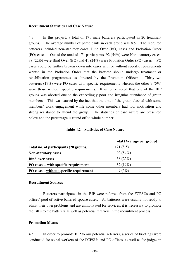#### **Recruitment Statistics and Case Nature**

4.3 In this project, a total of 171 male batterers participated in 20 treatment groups. The average number of participants in each group was 8.5. The recruited batterers included non-statutory cases, Bind Over (BO) cases and Probation Order (PO) cases. Out of the total of 171 participants, 92 (54%) were Non-statutory cases, 38 (22%) were Bind Over (BO) and 41 (24%) were Probation Order (PO) cases. PO cases could be further broken down into cases with or without specific requirements written in the Probation Order that the batterer should undergo treatment or rehabilitation programmes as directed by the Probation Officers. Thirty-two batterers (19%) were PO cases with specific requirements whereas the other 9 (5%) were those without specific requirements. It is to be noted that one of the BIP groups was aborted due to the exceedingly poor and irregular attendance of group members. This was caused by the fact that the time of the group clashed with some members' work engagement while some other members had low motivation and strong resistance to attend the group. The statistics of case nature are presented below and the percentage is round off to whole number:

|                                                          | Total (Average per group) |
|----------------------------------------------------------|---------------------------|
| Total no. of participants (20 groups)                    | 171(8.5)                  |
| <b>Non-statutory cases</b>                               | 92(54%)                   |
| <b>Bind over cases</b>                                   | 38 $(22%)$                |
| PO cases $-\underline{\text{with}}$ specific requirement | 32(19%)                   |
| PO cases – without specific requirement                  | 9(5%)                     |

**Table 4.2 Statistics of Case Nature** 

#### **Recruitment Sources**

4.4 Batterers participated in the BIP were referred from the FCPSUs and PO offices' pool of active battered spouse cases. As batterers were usually not ready to admit their own problems and are unmotivated for services, it is necessary to promote the BIPs to the batterers as well as potential referrers in the recruitment process.

#### **Promotion Means**

4.5 In order to promote BIP to our potential referrers, a series of briefings were conducted for social workers of the FCPSUs and PO offices, as well as for judges in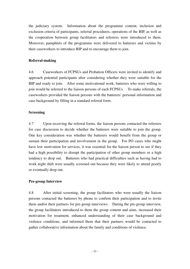the judiciary system. Information about the programme content, inclusion and exclusion criteria of participants, referral procedures, operations of the BIP, as well as the cooperation between group facilitators and referrers were introduced to them. Moreover, pamphlets of the programme were delivered to batterers and victims by their caseworkers to introduce BIP and to encourage them to join.

## **Referral-making**

4.6 Caseworkers of FCPSUs and Probation Officers were invited to identify and approach potential participants after considering whether they were suitable for the BIP and ready to join. After some motivational work, batterers who were willing to join would be referred to the liaison persons of each FCPSUs. To make referrals, the caseworkers provided the liaison persons with the batterers' personal information and case background by filling in a standard referral form.

### **Screening**

4.7 Upon receiving the referral forms, the liaison persons contacted the referrers for case discussion to decide whether the batterers were suitable to join the group. One key consideration was whether the batterers would benefit from the group or sustain their participation and involvement in the group. For PO cases who might have low motivation for services, it was essential for the liaison person to see if they had a high possibility to disrupt the participation of other group members or a high tendency to drop out. Batterers who had practical difficulties such as having had to work night shift were usually screened out because they were likely to attend poorly or eventually drop out.

## **Pre-group Interview**

4.8 After initial screening, the group facilitators who were usually the liaison persons contacted the batterers by phone to confirm their participation and to invite them and/or their partners for pre-group interviews. During the pre-group interview, the group facilitators introduced to them the group content and aims, increased their motivation for treatment, enhanced understanding of their case background and violence conditions, and informed them that their partners would be contacted to gather collaborative information about the family and conditions of violence.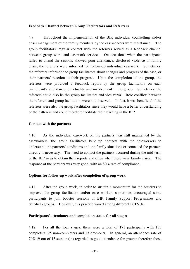## **Feedback Channel between Group Facilitators and Referrers**

4.9 Throughout the implementation of the BIP, individual counselling and/or crisis management of the family members by the caseworkers were maintained. The group facilitators' regular contact with the referrers served as a feedback channel between group work and casework services. On occasions when the participants failed to attend the session, showed poor attendance, disclosed violence or family crisis, the referrers were informed for follow-up individual casework. Sometimes, the referrers informed the group facilitators about changes and progress of the case, or their partners' reaction to their progress. Upon the completion of the group, the referrers were provided a feedback report by the group facilitators on each participant's attendance, punctuality and involvement in the group. Sometimes, the referrers could also be the group facilitators and vice versa. Role conflicts between the referrers and group facilitators were not observed. In fact, it was beneficial if the referrers were also the group facilitators since they would have a better understanding of the batterers and could therefore facilitate their learning in the BIP.

### **Contact with the partners**

4.10 As the individual casework on the partners was still maintained by the caseworkers, the group facilitators kept up contacts with the caseworkers to understand the partners' conditions and the family situations or contacted the partners directly if necessary. The need to contact the partners occurred during the mid-term of the BIP so as to obtain their reports and often when there were family crises. The response of the partners was very good, with an 80% rate of compliance.

#### **Options for follow-up work after completion of group work**

4.11 After the group work, in order to sustain a momentum for the batterers to improve, the group facilitators and/or case workers sometimes encouraged some participants to join booster sessions of BIP, Family Support Programmes and Self-help groups. However, this practice varied among different FCPSUs.

#### **Participants' attendance and completion status for all stages**

4.12 For all the four stages, there were a total of 171 participants with 133 completers, 25 non-completers and 13 drop-outs. In general, an attendance rate of 70% (9 out of 13 sessions) is regarded as good attendance for groups; therefore those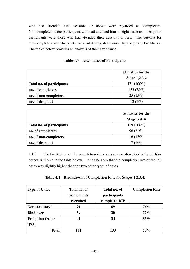who had attended nine sessions or above were regarded as Completers. Non-completers were participants who had attended four to eight sessions. Drop-out participants were those who had attended three sessions or less. The cut-offs for non-completers and drop-outs were arbitrarily determined by the group facilitators. The tables below provides an analysis of their attendance.

| Table 4.3 | <b>Attendance of Participants</b> |
|-----------|-----------------------------------|
|-----------|-----------------------------------|

|                           | <b>Statistics for the</b> |
|---------------------------|---------------------------|
|                           | <b>Stage 1,2,3,4</b>      |
| Total no. of participants | 171 (100%)                |
| no. of completers         | 133 (78%)                 |
| no. of non-completers     | 25(15%)                   |
| no. of drop out           | 13 (8%)                   |

|                           | <b>Statistics for the</b> |
|---------------------------|---------------------------|
|                           | Stage $3 & 4$             |
| Total no. of participants | $119(100\%)$              |
| no. of completers         | 96(81%)                   |
| no. of non-completers     | 16(13%)                   |
| no. of drop out           | 7(6%)                     |

4.13 The breakdown of the completion (nine sessions or above) rates for all four Stages is shown in the table below. It can be seen that the completion rate of the PO cases was slightly higher than the two other types of cases.

| Table 4.4 Breakdown of Completion Rate for Stages 1,2,3,4. |  |  |  |  |  |
|------------------------------------------------------------|--|--|--|--|--|
|------------------------------------------------------------|--|--|--|--|--|

| <b>Type of Cases</b>   | Total no. of | Total no. of  | <b>Completion Rate</b> |
|------------------------|--------------|---------------|------------------------|
|                        | participants | participants  |                        |
|                        | recruited    | completed BIP |                        |
| <b>Non-statutory</b>   | 91           | 69            | $76\%$                 |
| <b>Bind over</b>       | 39           | 30            | $77\%$                 |
| <b>Probation Order</b> | 41           | 34            | 83%                    |
| (PO)                   |              |               |                        |
| <b>Total</b>           | 171          | 133           | 78%                    |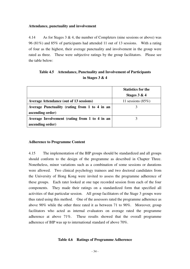### **Attendance, punctuality and involvement**

4.14 As for Stages 3 & 4, the number of Completers (nine sessions or above) was 96 (81%) and 85% of participants had attended 11 out of 13 sessions. With a rating of four as the highest, their average punctuality and involvement in the group were rated as three. These were subjective ratings by the group facilitators. Please see the table below:

|                                                | <b>Statistics for the</b> |
|------------------------------------------------|---------------------------|
|                                                | Stages $3 & 4$            |
| <b>Average Attendance (out of 13 sessions)</b> | 11 sessions $(85\%)$      |
| Average Punctuality (rating from 1 to 4 in an  |                           |
| ascending order)                               |                           |
| Average Involvement (rating from 1 to 4 in an  |                           |
| ascending order)                               |                           |

## **Table 4.5 Attendance, Punctuality and Involvement of Participants in Stages 3 & 4**

### **Adherence to Programme Content**

4.15 The implementation of the BIP groups should be standardized and all groups should conform to the design of the programme as described in Chapter Three. Nonetheless, minor variations such as a combination of some sessions or durations were allowed. Two clinical psychology trainees and two doctoral candidates from the University of Hong Kong were invited to assess the programme adherence of these groups. Each rater looked at one tape recorded session from each of the four components. They made their ratings on a standardized form that specified all activities of that particular session. All group facilitators of the Stage 3 groups were thus rated using this method. One of the assessors rated the programme adherence as above 90% while the other three rated it as between 71 to 90%. Moreover, group facilitators who acted as internal evaluators on average rated the programme adherence at above 71%. These results showed that the overall programme adherence of BIP was up to international standard of above 70%.

### **Table 4.6 Ratings of Programme Adherence**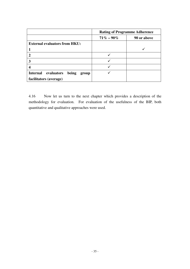|                                       | <b>Rating of Programme Adherence</b> |             |  |  |  |
|---------------------------------------|--------------------------------------|-------------|--|--|--|
|                                       | $71\% - 90\%$                        | 90 or above |  |  |  |
| <b>External evaluators from HKU:</b>  |                                      |             |  |  |  |
|                                       |                                      |             |  |  |  |
|                                       |                                      |             |  |  |  |
|                                       |                                      |             |  |  |  |
|                                       |                                      |             |  |  |  |
| Internal evaluators<br>being<br>group |                                      |             |  |  |  |
| facilitators (average)                |                                      |             |  |  |  |

4.16 Now let us turn to the next chapter which provides a description of the methodology for evaluation. For evaluation of the usefulness of the BIP, both quantitative and qualitative approaches were used.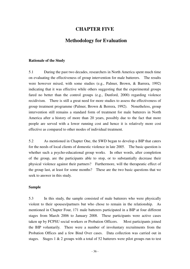# **CHAPTER FIVE**

## **Methodology for Evaluation**

#### **Rationale of the Study**

5.1 During the past two decades, researchers in North America spent much time on evaluating the effectiveness of group intervention for male batterers. The results were however mixed, with some studies (e.g., Palmer, Brown, & Barrera, 1992) indicating that it was effective while others suggesting that the experimental groups fared no better than the control groups (e.g., Dunford, 2000) regarding violence recidivism. There is still a great need for more studies to assess the effectiveness of group treatment programme (Palmer, Brown & Berrera, 1992). Nonetheless, group intervention still remains a standard form of treatment for male batterers in North America after a history of more than 20 years, possibly due to the fact that more people are served with a lower running cost and hence it is relatively more cost effective as compared to other modes of individual treatment.

5.2 As mentioned in Chapter One, the SWD began to develop a BIP that caters for the needs of local clients of domestic violence in late 2005. The basic question is whether such a psycho-educational group works. In other words, after completion of the group, are the participants able to stop, or to substantially decrease their physical violence against their partners? Furthermore, will the therapeutic effect of the group last, at least for some months? These are the two basic questions that we seek to answer in this study.

#### **Sample**

5.3 In this study, the sample consisted of male batterers who were physically violent to their spouses/partners but who chose to remain in the relationship. As mentioned in Chapter Four, 171 male batterers participated in a BIP at four different stages from March 2006 to January 2008. These participants were active cases taken up by FCPSU social workers or Probation Officers. Most participants joined the BIP voluntarily. There were a number of involuntary recruitments from the Probation Offices and a few Bind Over cases. Data collection was carried out in stages. Stages  $1 \& 2$  groups with a total of 52 batterers were pilot groups run to test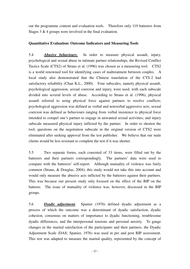out the programme content and evaluation tools. Therefore only 119 batterers from Stages 3 & 4 groups were involved in the final evaluation.

### **Quantitative Evaluation: Outcome Indicators and Measuring Tools**

5.4*Abusive behaviours.* In order to measure physical assault, injury, psychological and sexual abuse in intimate partner relationships, the Revised Conflict Tactics Scale (CTS2) of Straus et al. (1996) was chosen as a measuring tool. CTS2 is a world renowned tool for identifying cases of maltreatment between couples. A local study also demonstrated that the Chinese translation of the CTS-2 had satisfactory reliability (Chan K.L., 2000). Four subscales, namely physical assault, psychological aggression, sexual coercion and injury, were used, with each subscale divided into several levels of abuse. According to Straus et al. (1996), physical assault referred to using physical force against partners to resolve conflicts; psychological aggression was defined as verbal and nonverbal aggressive acts; sexual coercion was defined as behaviours ranging from verbal insistence to physical force intended to compel one's partner to engage in unwanted sexual activities; and injury subscale measured physical injury inflicted by the partner. In order to shorten the tool, questions on the negotiation subscale in the original version of CTS2 were eliminated after seeking approval from the test publisher. We believe that our male clients would be less resistant to complete the test if it was shorter.

5.5 Two separate forms, each consisted of 33 items, were filled out by the batterers and their partners correspondingly. The partners' data were used to compare with the batterers' self-report. Although mutuality of violence was fairly common (Straus, & Douglas, 2004), this study would not take this into account and would only measure the abusive acts inflicted by the batterers against their partners. This was because our present study only focused on the effect of the BIP on the batterer. The issue of mutuality of violence was, however, discussed in the BIP groups.

5.6 *Dyadic adjustment.* Spanier (1976) defined dyadic adjustment as a process of which the outcome was a determinant of dyadic satisfaction, dyadic cohesion, consensus on matters of importance to dyadic functioning, troublesome dyadic differences, and the interpersonal tensions and personal anxiety. To gauge changes in the marital satisfaction of the participants and their partners, the Dyadic Adjustment Scale (DAS; Spanier, 1976) was used in pre and post BIP assessment. This test was adapted to measure the marital quality, represented by the concept of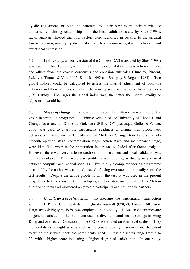dyadic adjustment, of both the batterers and their partners in their married or unmarried cohabiting relationships. In the local validation study by Shek (1994), factor analysis showed that four factors were identified in parallel to the original English version, namely dyadic satisfaction, dyadic consensus, dyadic cohesion, and affectional expression.

5.7 In this study, a short version of the Chinese DAS translated by Shek (1994) was used. It had 16 items, with items from the original dyadic satisfaction subscale, and others from the dyadic consensus and cohesion subscales (Hunsley, Pinsent, Lefebver, Tanner, & Vito, 1995; Kurdek, 1992 and Sharpley & Rogers, 1984). Two global indices could be calculated to assess the marital adjustment of both the batterers and their partners, of which the scoring scale was adopted from Spanier's (1976) study. The larger the global index was, the better the marital quality or adjustment would be.

5.8 *Stages of change.* To measure the stages that batterers moved through the group intervention programme, a Chinese version of the University of Rhode Island Change Assessment – Domestic Violence (URICA-DV) (Levesque, Gelles & Velicer, 2000) was used to chart the participants' readiness to change their problematic behaviours. Based on the Transtheoretical Model of Change, four factors, namely precontemplation stage, contemplation stage, action stage and maintenance stage, were identified, whereas the preparation factor was excluded after factor analysis. However, there was very little research on this instrument and local validation was not yet available. There were also problems with scoring as discrepancy existed between computer and manual scorings. Eventually a computer scoring programme provided by the author was adopted instead of using two raters to manually score the test results. Despite the above problems with the test, it was used in the present project due to time constraint in developing an alternative instrument. This 20-item questionnaire was administered only to the participants and not to their partners.

5.9 *Client's level of satisfaction.* To measure the participants' satisfaction with the BIP, the Client Satisfaction Questionnaire-8 (CSQ-8; Larson, Attkisson, Hargreaves & Nguyen, 1979) was employed in this study. It was an 8-item measure of general satisfaction that had been used in diverse mental health settings in Hong Kong and overseas. Questions in the CSQ-8 were rated on four-level scales. They included items on eight aspects, such as the general quality of services and the extent to which the service meets the participants' needs. Possible scores range from 8 to 32, with a higher score indicating a higher degree of satisfaction. In our study,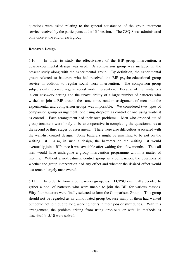questions were asked relating to the general satisfaction of the group treatment service received by the participants at the  $13<sup>th</sup>$  session. The CSQ-8 was administered only once at the end of each group.

### **Research Design**

5.10 In order to study the effectiveness of the BIP group intervention, a quasi-experimental design was used. A comparison group was included in the present study along with the experimental group. By definition, the experimental group referred to batterers who had received the BIP psycho-educational group service in addition to regular social work intervention. The comparison group subjects only received regular social work intervention. Because of the limitations in our casework setting and the unavailability of a large number of batterers who wished to join a BIP around the same time, random assignment of men into the experimental and comparison groups was impossible. We considered two types of comparison group arrangement: one using drop-out as control or one using wait-list as control. Each arrangement had their own problems. Men who dropped out of group treatment were likely to be uncooperative in completing the questionnaires at the second or third stages of assessment. There were also difficulties associated with the wait-list control design. Some batterers might be unwilling to be put on the waiting list. Also, in such a design, the batterers on the waiting list would eventually join a BIP once it was available after waiting for a few months. Thus all men would have undergone a group intervention programme within a matter of months. Without a no-treatment control group as a comparison, the questions of whether the group intervention had any effect and whether the desired effect would last remain largely unanswered.

5.11 In order to form a comparison group, each FCPSU eventually decided to gather a pool of batterers who were unable to join the BIP for various reasons. Fifty-four batterers were finally selected to form the Comparison Group. This group should not be regarded as an unmotivated group because many of them had wanted but could not join due to long working hours in their jobs or shift duties. With this arrangement, the problem arising from using drop-outs or wait-list methods as described in 5.10 were solved.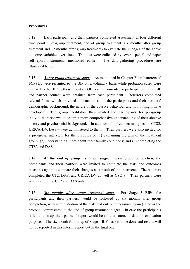### **Procedures**

5.12 Each participant and their partners completed assessment at four different time points (pre-group treatment, end of group treatment, six months after group treatment and 12 months after group treatment) to evaluate the changes of the above outcome variables over time. The data were collected by several pencil-and-paper self-report instruments mentioned earlier. The data-gathering procedures are illustrated below:

5.13 *At pre-group treatment stage*. As mentioned in Chapter Four, batterers of FCPSUs were recruited to the BIP on a voluntary basis while probation cases were referred to the BIP by their Probation Officers. Consents for participation in the BIP and partner contact were obtained from each participant. Referrers completed referral forms which provided information about the participants and their partners' demographic background, the nature of the abusive behaviour and how it might have developed. The group facilitators then invited the participants for pre-group individual interviews to obtain a more comprehensive understanding of their abusive history and psychosocial background. In addition, all three measuring tests—CTS2, URICA-DV, DAS—were administered to them. Their partners were also invited for a pre-group interview for the purposes of (1) explaining the aim of the treatment group; (2) understanding more about their family conditions; and (3) completing the CTS2 and DAS.

5.14 *At the end of group treatment stage***.** Upon group completion, the participants and their partners were invited to complete the tests and outcomes measures again to compare their changes as a result of the treatment. The batterers completed the CT2, DAS, and URICA-DV as well as CSQ-8. Their partners were administered the CT2 and DAS only.

5.15 *Six months after group treatment stage***.** For Stage 3 BIPs, the participants and their partners would be followed up six months after group completion, with administration of the tests and outcome measures again (same as the protocol administered at the end of group treatment stage). In case the participants failed to turn up, their partners' report would be another source of data for evaluation purpose. The six-month follow-up of Stage 4 BIP has yet to be done and results will not be reported in this interim report but in the final one.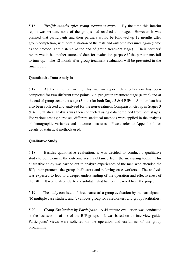5.16 *Twelfth months after group treatment stage.* By the time this interim report was written, none of the groups had reached this stage. However, it was planned that participants and their partners would be followed up 12 months after group completion, with administration of the tests and outcome measures again (same as the protocol administered at the end of group treatment stage). Their partners' report would be another source of data for evaluation purpose if the participants fail to turn up. The 12 month after group treatment evaluation will be presented in the final report.

### **Quantitative Data Analysis**

5.17 At the time of writing this interim report, data collection has been completed for two different time points, viz. pre-group treatment stage (0-mth) and at the end of group treatment stage  $(3-mth)$  for both Stage 3 & 4 BIPs. Similar data has also been collected and analyzed for the non-treatment Comparison Group in Stages 3 & 4. Statistical analysis was then conducted using data combined from both stages. For various testing purposes, different statistical methods were applied in the analysis of demographic variables and outcome measures. Please refer to Appendix 1 for details of statistical methods used.

### **Qualitative Study**

5.18 Besides quantitative evaluation, it was decided to conduct a qualitative study to complement the outcome results obtained from the measuring tools. This qualitative study was carried out to analyze experiences of the men who attended the BIP, their partners, the group facilitators and referring case workers. The analysis was expected to lead to a deeper understanding of the operation and effectiveness of the BIP. It would also help to consolidate what had been learned from the project.

5.19 The study consisted of three parts: (a) a group evaluation by the participants; (b) multiple case studies; and (c) a focus group for caseworkers and group facilitators.

5.20 *Group Evaluation by Participant* A 45-minute evaluation was conducted in the last session of six of the BIP groups. It was based on an interview guide. Participants' views were solicited on the operation and usefulness of the group programme.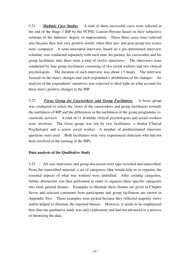5.21 *Multiple Case Studies* A total of three successful cases were selected at the end of the Stage 3 BIP by the FCPSU Liaison Persons based on their subjective estimate of the batterers' degree of improvement. These three cases were selected also because they had very positive results when their pre- and post-group test scores were compared. A semi-structured interview, based on a pre-determined interview schedule, was conducted separately with each man, his partner, his caseworker and his group facilitator; thus there were a total of twelve interviews. The interviews were conducted by four group facilitators consisting of two social workers and two clinical psychologists. The duration of each interview was about 1.5 hours. The interview focused on the man's changes and each respondent's attributions of his changes. An analysis of the respondents' narratives was expected to shed light on what account for these men's positive changes in the BIP.

5.22 *Focus Group for Caseworkers and Group Facilitators* A focus group was conducted to solicit the views of the caseworkers and group facilitators towards the usefulness of BIP and the differences in the usefulness of the group programme vs. casework services. A total of 11 frontline clinical psychologists and social workers were involved. The focus group was led by two facilitators, a Senior Clinical Psychologist and a senior social worker. A number of predetermined interview questions were used. Both facilitators were very experienced clinicians who had not been involved in the running of the BIPs.

### **Data analysis of the Qualitative Study**

5.23 All case interviews and group discussion were tape recorded and transcribed. From the transcribed material, a set of categories (that would help us to organize the essential aspects of what was written) were identified. After creating categories, further abstraction was then performed in order to organize these specific categories into more general themes. Examples to illustrate these themes are given in Chapter Seven and selected comments from participants and group facilitators are shown in Appendix Two. These examples were picked because they reflected majority views and/or helped to illustrate the reported themes. However, it needs to be emphasized here that our qualitative study was only exploratory and had not advanced to a process of theorizing the data.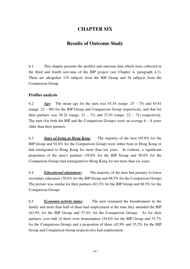# **CHAPTER SIX**

# **Results of Outcome Study**

6.1 This chapter presents the profiles and outcome data which were collected in the third and fourth test-runs of the BIP project (see Chapter 4, paragraph 4.1). There are altogether 119 subjects from the BIP Group and 54 subjects from the Comparison Group.

### **Profiles analysis**

6.2 *Age:* The mean age for the men was 45.34 (range: 25 – 75) and 45.81 (range: 23 – 80) for the BIP Group and Comparison Group respectively, and that for their partners was 39.24 (range:  $21 - 71$ ) and 37.93 (range:  $22 - 72$ ) respectively. The men (for both the BIP and the Comparison Groups) were on average  $6 - 8$  years older than their partners.

6.3 *Years of living in Hong Kong:* The majority of the men (95.8% for the BIP Group and 92.6% for the Comparison Group) were either born in Hong Kong or had immigrated to Hong Kong for more than ten years. In contrast, a significant proportion of the men's partners (39.8% for the BIP Group and 50.0% for the Comparison Group) had immigrated to Hong Kong for not more than six years.

6.4 *Educational attainment:* The majority of the men had primary to lower secondary education (70.6% for the BIP Group and 68.5% for the Comparison Group). The picture was similar for their partners (63.3% for the BIP Group and 68.5% for the Comparison Group).

6.5 *Economic activity status:* The men remained the breadwinners in the family and more than half of them had employment at the time they attended the BIP (63.9% for the BIP Group and 57.4% for the Comparison Group). As for their partners, over half of them were homemakers (54.6% for the BIP Group and 53.7% for the Comparison Group) and a proportion of them (42.9% and 35.2% for the BIP Group and Comparison Group respectively) had employment.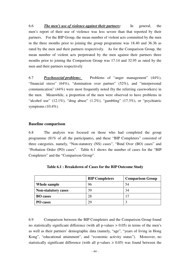6.6 *The men's use of violence against their partners:* In general, the men's report of their use of violence was less severe than that reported by their partners. For the BIP Group, the mean number of violent acts committed by the men in the three months prior to joining the group programme was 18.40 and 36.36 as rated by the men and their partners respectively. As for the Comparison Group, the mean number of violent acts perpetrated by the men against their partners three months prior to joining the Comparison Group was 17.14 and 32.95 as rated by the men and their partners respectively

6.7 *Psychosocial problems:* Problems of "anger management" (44%), "financial stress" (64%), "domination over partner" (52%), and "interpersonal communication" (44%) were most frequently noted (by the referring caseworkers) in the men. Meanwhile, a proportion of the men were observed to have problems in "alcohol use"  $(12.1\%)$ , "drug abuse"  $(1.2\%)$ , "gambling"  $(17.3\%)$ , or "psychiatric symptoms (10.4%).

### **Baseline comparison**

6.8 The analysis was focused on those who had completed the group programme (81% of all the participants), and these "BIP Completers" consisted of three categories, namely, "Non-statutory (NS) cases", "Bind Over (BO) cases" and "Probation Order (PO) cases". Table 6.1 shows the number of cases for the "BIP Completers" and the "Comparison Group".

|                            | <b>BIP Completers</b> | <b>Comparison Group</b> |
|----------------------------|-----------------------|-------------------------|
| Whole sample               | 96                    | 54                      |
| <b>Non-statutory cases</b> | 39                    | 34                      |
| <b>BO</b> cases            | 28                    |                         |
| PO cases                   | 29                    |                         |

**Table 6.1 : Breakdown of Cases for the BIP Outcome Study** 

6.9 Comparison between the BIP Completers and the Comparison Group found no statistically significant difference (with all p-values  $> 0.05$ ) in terms of the men's as well as their partners' demographic data (namely, "age", "years of living in Hong Kong", "educational attainment", and "economic activity status"). Moreover, no statistically significant difference (with all  $p$ -values  $> 0.05$ ) was found between the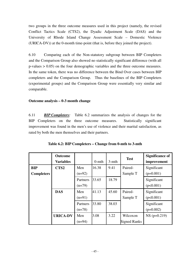two groups in the three outcome measures used in this project (namely, the revised Conflict Tactics Scale (CTS2), the Dyadic Adjustment Scale (DAS) and the University of Rhode Island Change Assessment Scale – Domestic Violence (URICA-DV)) at the 0-month time-point (that is, before they joined the project).

6.10 Comparing each of the Non-statutory subgroup between BIP Completers and the Comparison Group also showed no statistically significant difference (with all p-values > 0.05) on the four demographic variables and the three outcome measures. In the same token, there was no difference between the Bind Over cases between BIP completers and the Comparison Group. Thus the baselines of the BIP Completers (experimental groups) and the Comparison Group were essentially very similar and comparable.

### **Outcome analysis – 0-3 month change**

6.11 *BIP Completers:* Table 6.2 summarizes the analysis of changes for the BIP Completers on the three outcome measures. Statistically significant improvement was found in the men's use of violence and their marital satisfaction, as rated by both the men themselves and their partners.

|                   | <b>Outcome</b>   |          |          |          | <b>Test</b>         | <b>Significance of</b> |
|-------------------|------------------|----------|----------|----------|---------------------|------------------------|
|                   | <b>Variables</b> |          | $0$ -mth | $3-$ mth |                     | improvement            |
| <b>BIP</b>        | CTS <sub>2</sub> | Men      | 16.38    | 9.41     | Paired-             | Significant            |
| <b>Completers</b> |                  | $(n=92)$ |          |          | Sample T            | $(p=0.001)$            |
|                   |                  | Partners | 33.65    | 18.79    |                     | Significant            |
|                   |                  | $(n=79)$ |          |          |                     | (p<0.001)              |
|                   | <b>DAS</b>       | Men      | 41.13    | 45.60    | Paired-             | Significant            |
|                   |                  | $(n=91)$ |          |          | Sample T            | (p<0.001)              |
|                   |                  | Partners | 33.80    | 38.03    |                     | Significant            |
|                   |                  | $(n=78)$ |          |          |                     | $(p=0.002)$            |
|                   | <b>URICA-DV</b>  | Men      | 3.08     | 3.22     | Wilcoxon            | $NS (p=0.219)$         |
|                   |                  | $(n=94)$ |          |          | <b>Signed Ranks</b> |                        |

**Table 6.2: BIP Completers – Change from 0-mth to 3-mth**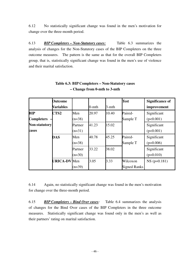6.12 No statistically significant change was found in the men's motivation for change over the three-month period.

6.13 *BIP Completers – Non-Statutory cases:* Table 6.3 summarizes the analysis of changes for the Non-Statutory cases of the BIP Completers on the three outcome measures. The pattern is the same as that for the overall BIP Completers group, that is, statistically significant change was found in the men's use of violence and their marital satisfaction.

|                      | <b>Outcome</b>      |          |          |       | <b>Test</b>         | <b>Significance of</b> |
|----------------------|---------------------|----------|----------|-------|---------------------|------------------------|
|                      | Variables           |          | $0$ -mth | 3-mth |                     | improvement            |
| BIP                  | CTS <sub>2</sub>    | Men      | 20.97    | 10.40 | Paired-             | Significant            |
| <b>Completers</b>    |                     | $(n=38)$ |          |       | Sample T            | (p<0.001)              |
| <b>Non-statutory</b> |                     | Partner  | 41.23    | 15.02 |                     | Significant            |
| cases                |                     | $(n=31)$ |          |       |                     | (p<0.001)              |
|                      | <b>DAS</b>          | Men      | 40.78    | 45.25 | Paired-             | Significant            |
|                      |                     | $(n=38)$ |          |       | Sample T            | $(p=0.006)$            |
|                      |                     | Partner  | 33.22    | 38.02 |                     | Significant            |
|                      |                     | $(n=30)$ |          |       |                     | $(p=0.010)$            |
|                      | <b>URICA-DV</b> Men |          | 3.05     | 3.33  | Wilcoxon            | $NS (p=0.181)$         |
|                      |                     | $(n=39)$ |          |       | <b>Signed Ranks</b> |                        |

### **Table 6.3: BIP Completers – Non-Statutory cases – Change from 0-mth to 3-mth**

6.14 Again, no statistically significant change was found in the men's motivation for change over the three-month period.

6.15 *BIP Completers – Bind Over cases:*Table 6.4 summarizes the analysis of changes for the Bind Over cases of the BIP Completers in the three outcome measures. Statistically significant change was found only in the men's as well as their partners' rating on marital satisfaction.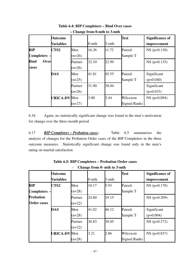|                                 | <b>Outcome</b><br><b>Variables</b> |                     | $0$ -mth | 3-mth | <b>Test</b>                     | <b>Significance of</b><br>improvement |
|---------------------------------|------------------------------------|---------------------|----------|-------|---------------------------------|---------------------------------------|
| <b>BIP</b><br><b>Completers</b> | CTS <sub>2</sub>                   | Men<br>$(n=26)$     | 16.36    | 11.72 | Paired-<br>Sample T             | $NS (p=0.130)$                        |
| <b>Bind</b><br>Over<br>cases    |                                    | Partner<br>$(n=26)$ | 32.10    | 22.99 |                                 | $NS (p=0.135)$                        |
|                                 | <b>DAS</b>                         | Men<br>$(n=25)$     | 41.81    | 45.55 | Paired-<br>Sample T             | Significant<br>$(p=0.040)$            |
|                                 |                                    | Partner<br>$(n=26)$ | 31.90    | 38.04 |                                 | Significant<br>$(p=0.033)$            |
|                                 | URICA-DV Men                       | $(n=27)$            | 3.00     | 3.44  | Wilcoxon<br><b>Signed Ranks</b> | $NS (p=0.094)$                        |

**Table 6.4: BIP Completers – Bind Over cases – Change from 0-mth to 3-mth** 

6.16 Again, no statistically significant change was found in the men's motivation for change over the three-month period.

6.17 *BIP Completers – Probation cases:* Table 6.5 summarizes the analysis of changes for the Probation Order cases of the BIP Completers in the three outcome measures. Statistically significant change was found only in the men's rating on marital satisfaction.

|                                        | <b>Outcome</b><br>Variables |                     | $0$ -mth | 3-mth | <b>Test</b>                     | <b>Significance of</b><br>improvement |
|----------------------------------------|-----------------------------|---------------------|----------|-------|---------------------------------|---------------------------------------|
| <b>BIP</b><br>Completers -             | CTS <sub>2</sub>            | Men<br>$(n=28)$     | 10.17    | 5.93  | Paired-<br>Sample T             | $NS$ (p=0.178)                        |
| <b>Probation</b><br><b>Order cases</b> |                             | Partner<br>$(n=22)$ | 24.80    | 19.15 |                                 | $NS (p=0.209)$                        |
|                                        | <b>DAS</b>                  | Men<br>$(n=28)$     | 41.02    | 46.12 | Paired-<br>Sample T             | Significant<br>$(p=0.004)$            |
|                                        |                             | Partner<br>$(n=22)$ | 36.83    | 38.05 |                                 | $NS (p=0.272)$                        |
|                                        | <b>URICA-DV</b> Men         | $(n=28)$            | 3.21     | 2.86  | Wilcoxon<br><b>Signed Ranks</b> | $NS (p=0.837)$                        |

**Table 6.5: BIP Completers – Probation Order cases**  – **Change from 0- mth to 3-mth**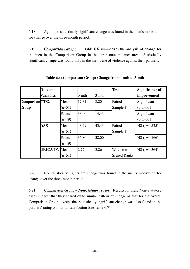6.18 Again, no statistically significant change was found in the men's motivation for change over the three-month period.

6.19 *Comparison Group:* Table 6.6 summarizes the analysis of change for the men in the Comparison Group in the three outcome measures. Statistically significant change was found only in the men's use of violence against their partners.

|                         | Outcome<br><b>Variables</b> |                     | $0$ -mth | 3-mth | <b>Test</b>                     | <b>Significance of</b><br>improvement |
|-------------------------|-----------------------------|---------------------|----------|-------|---------------------------------|---------------------------------------|
| ComparisonCTS2<br>Group |                             | Men<br>$(n=51)$     | 17.31    | 8.20  | Paired-<br>Sample T             | Significant<br>(p<0.001)              |
|                         |                             | Partner<br>$(n=49)$ | 33.00    | 14.43 |                                 | Significant<br>(p<0.001)              |
|                         | <b>DAS</b>                  | Men<br>$(n=51)$     | 43.49    | 43.43 | Paired-<br>Sample T             | $NS (p=0.525)$                        |
|                         |                             | Partner<br>$(n=49)$ | 36.80    | 38.00 |                                 | $NS (p=0.166)$                        |
|                         | <b>URICA-DV</b> Men         | $(n=51)$            | 2.72     | 2.86  | Wilcoxon<br><b>Signed Ranks</b> | $NS (p=0.364)$                        |

**Table 6.6: Comparison Group: Change from 0-mth to 3-mth** 

6.20 No statistically significant change was found in the men's motivation for change over the three-month period.

6.21 *Comparison Group – Non-statutory cases:* Results for these Non-Statutory cases suggest that they shared quite similar pattern of change as that for the overall Comparison Group, except that statistically significant change was also found in the partners' rating on marital satisfaction (see Table 6.7).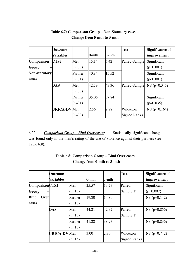|                      | <b>Outcome</b>      |          |          |       | <b>Test</b>         | <b>Significance of</b> |
|----------------------|---------------------|----------|----------|-------|---------------------|------------------------|
|                      | <b>Variables</b>    |          | $0$ -mth | 3-mth |                     | improvement            |
| Comparison           | CTS <sub>2</sub>    | Men      | 15.14    | 6.42  | Paired-Sample       | Significant            |
| Group                |                     | $(n=33)$ |          |       |                     | $(p=0.001)$            |
| <b>Non-statutory</b> |                     | Partner  | 40.84    | 15.52 |                     | Significant            |
| cases                |                     | $(n=31)$ |          |       |                     | (p<0.001)              |
|                      | <b>DAS</b>          | Men      | 42.79    | 43.36 | Paired-Sample       | $NS (p=0.345)$         |
|                      |                     | $(n=33)$ |          |       |                     |                        |
|                      |                     | Partner  | 35.06    | 37.84 |                     | Significant            |
|                      |                     | $(n=31)$ |          |       |                     | $(p=0.035)$            |
|                      | <b>URICA-DV</b> Men |          | 2.56     | 2.88  | Wilcoxon            | $NS (p=0.164)$         |
|                      |                     | $(n=33)$ |          |       | <b>Signed Ranks</b> |                        |

## **Table 6.7: Comparison Group – Non-Statutory cases – Change from 0-mth to 3-mth**

6.22 *Comparison Group – Bind Over cases:* Statistically significant change was found only in the men's rating of the use of violence against their partners (see Table 6.8).

|                              | <b>Outcome</b><br>Variables |                     | $0$ -mth | 3-mth | <b>Test</b>                     | <b>Significance of</b><br>improvement |
|------------------------------|-----------------------------|---------------------|----------|-------|---------------------------------|---------------------------------------|
| ComparisonCTS2<br>Group      |                             | Men<br>$(n=15)$     | 25.57    | 13.73 | Paired-<br>Sample T             | Significant<br>$(p=0.007)$            |
| <b>Bind</b><br>Over<br>cases |                             | Partner<br>$(n=15)$ | 19.80    | 14.80 |                                 | $NS (p=0.142)$                        |
|                              | <b>DAS</b>                  | Men<br>$(n=15)$     | 44.21    | 42.32 | Paired-<br>Sample T             | $NS (p=0.856)$                        |
|                              |                             | Partner<br>$(n=15)$ | 41.28    | 38.93 |                                 | $NS (p=0.836)$                        |
|                              | <b>URICA-DV</b> Men         | $(n=15)$            | 3.00     | 2.80  | Wilcoxon<br><b>Signed Ranks</b> | $NS (p=0.742)$                        |

# **Table 6.8: Comparison Group – Bind Over cases – Change from 0-mth to 3-mth**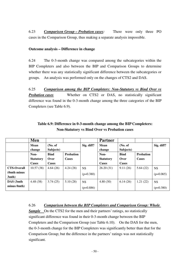6.23 *Comparison Group – Probation cases:* There were only three PO cases in the Comparison Group, thus making a separate analysis impossible.

### **Outcome analysis – Difference in change**

6.24 The 0-3-month change was compared among the subcategories within the BIP Completers and also between the BIP and Comparison Groups to determine whether there was any statistically significant difference between the subcategories or groups. An analysis was performed only on the changes of CTS2 and DAS.

6.25 *Comparison among the BIP Completers: Non-Statutory vs Bind Over vs*  **Probation cases Whether on CTS2 or DAS, no statistically significant** difference was found in the 0-3-month change among the three categories of the BIP Completers (see Table 6.9).

|                    | Men              |              |                  |             | <b>Partner</b>   |             |                  |             |
|--------------------|------------------|--------------|------------------|-------------|------------------|-------------|------------------|-------------|
|                    | Mean             | No. of       |                  | Sig. diff?  | Mean             | (No. of)    |                  | Sig. diff?  |
|                    | change           | Subjects)    |                  |             | change           | Subjects)   |                  |             |
|                    | Non-             | <b>Bind</b>  | <b>Probation</b> |             | Non-             | <b>Bind</b> | <b>Probation</b> |             |
|                    | <b>Statutory</b> | Over         | <b>Cases</b>     |             | <b>Statutory</b> | Over        | Cases            |             |
|                    | <b>Cases</b>     | <b>Cases</b> |                  |             | Cases            | Cases       |                  |             |
| <b>CTS-Overall</b> | 10.57(38)        | 4.64(26)     | 4.24(28)         | <b>NS</b>   | 26.20(31)        | 9.11(26)    | 5.64(22)         | <b>NS</b>   |
| (0mth minus)       |                  |              |                  | $(p=0.380)$ |                  |             |                  | $(p=0.065)$ |
| 3mth)              |                  |              |                  |             |                  |             |                  |             |
| DAS (3mth          | 4.48(38)         | 3.74(25)     | 5.10(28)         | <b>NS</b>   | 4.80(30)         | 6.14(26)    | 1.21(22)         | <b>NS</b>   |
| minus 0mth)        |                  |              |                  | $(p=0.886)$ |                  |             |                  | $(p=0.380)$ |

### **Table 6.9: Difference in 0-3-month change among the BIP Completers: Non-Statutory vs Bind Over vs Probation cases**

6.26 *Comparison between the BIP Completers and Comparison Group: Whole*  **Sample** On the CTS2 for the men and their partners' ratings, no statistically significant difference was found in their 0-3-month change between the BIP Completers and the Comparison Group (see Table 6.10). On the DAS for the men, the 0-3-month change for the BIP Completers was significantly better than that for the Comparison Group; but the difference in the partners' ratings was not statistically significant.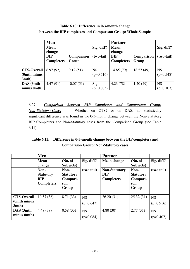## **Table 6.10: Difference in 0-3-month change between the BIP completers and Comparison Group: Whole Sample**

|                    | Men               |             |              | <b>Partner</b>    |            |             |  |  |
|--------------------|-------------------|-------------|--------------|-------------------|------------|-------------|--|--|
|                    | <b>Mean</b>       |             | Sig. diff?   | <b>Mean</b>       |            |             |  |  |
|                    | change            |             |              | change            |            |             |  |  |
|                    | <b>BIP</b>        | Comparison  | $(two-tail)$ | <b>BIP</b>        | Comparison | (two-tail)  |  |  |
|                    | <b>Completers</b> | Group       |              | <b>Completers</b> | Group      |             |  |  |
|                    |                   |             |              |                   |            |             |  |  |
| <b>CTS-Overall</b> | 6.97(92)          | 9.12(51)    | <b>NS</b>    | 14.85 (79)        | 18.57(49)  | <b>NS</b>   |  |  |
| (0mth minus)       |                   |             | $(p=0.516)$  |                   |            | $(p=0.548)$ |  |  |
| 3mth)              |                   |             |              |                   |            |             |  |  |
| DAS (3mth          | 4.47(91)          | $-0.07(51)$ | Sign.        | 4.23(78)          | 1.20(49)   | <b>NS</b>   |  |  |
| minus 0mth)        |                   |             | $(p=0.005)$  |                   |            | $(p=0.107)$ |  |  |

6.27 *Comparison between BIP Completers and Comparison Group: Non-Statutory Cases* Whether on CTS2 or on DAS, no statistically significant difference was found in the 0-3-month change between the Non-Statutory BIP Completers and Non-Statutory cases from the Comparison Group (see Table 6.11).

## **Table 6.11: Difference in 0-3-month change between the BIP completers and Comparison Group: Non-Statutory cases**

|                                               | Men                                                         |                                                      |                          | <b>Partner</b>                                          |                                                      |                          |
|-----------------------------------------------|-------------------------------------------------------------|------------------------------------------------------|--------------------------|---------------------------------------------------------|------------------------------------------------------|--------------------------|
|                                               | <b>Mean</b><br>change                                       | (No. of<br>Subjects)                                 | Sig. diff?               | Mean change                                             | (No. of<br>Subjects)                                 | Sig. diff?               |
|                                               | Non-<br><b>Statutory</b><br><b>BIP</b><br><b>Completers</b> | Non-<br><b>Statutory</b><br>Compari-<br>son<br>Group | (two tail)               | <b>Non-Statutory</b><br><b>BIP</b><br><b>Completers</b> | Non-<br><b>Statutory</b><br>Compari-<br>son<br>Group | (two tail)               |
| <b>CTS-Overall</b><br>(0mth minus<br>$3mth$ ) | 10.57(38)                                                   | 8.71 (33)                                            | <b>NS</b><br>$(p=0.647)$ | 26.20(31)                                               | 25.32(31)                                            | <b>NS</b><br>$(p=0.916)$ |
| DAS (3mth<br>minus 0mth)                      | 4.48(38)                                                    | 0.58(33)                                             | <b>NS</b><br>$(p=0.084)$ | 4.80(30)                                                | 2.77(31)                                             | <b>NS</b><br>$(p=0.407)$ |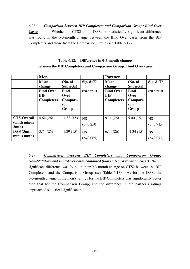6.28 *Comparison between BIP Completers and Comparison Group: Bind Over Cases* Whether on CTS2 or on DAS, no statistically significant difference was found in the 0-3-month change between the Bind Over cases from the BIP Completers and those from the Comparison Group (see Table 6.12).

## **Table 6.12: Difference in 0-3-month change between the BIP Completers and Comparison Group: Bind Over cases**

|                    | Men               |             |             | <b>Partner</b>    |             |             |
|--------------------|-------------------|-------------|-------------|-------------------|-------------|-------------|
|                    | <b>Mean</b>       | (No. of     | Sig. diff?  | <b>Mean</b>       | (No. of     | Sig. diff?  |
|                    | change            | Subjects)   |             | change            | Subjects)   |             |
|                    | <b>Bind Over</b>  | <b>Bind</b> | (two tail)  | <b>Bind Over</b>  | <b>Bind</b> | (two tail)  |
|                    | <b>BIP</b>        | Over        |             | <b>BIP</b>        | Over        |             |
|                    | <b>Completers</b> | Compari-    |             | <b>Completers</b> | Compari-    |             |
|                    |                   | son         |             |                   | son         |             |
|                    |                   | Group       |             |                   | Group       |             |
|                    |                   |             |             |                   |             |             |
| <b>CTS-Overall</b> | 4.64(26)          | 11.83(15)   | <b>NS</b>   | 9.11(26)          | 5.00(15)    | <b>NS</b>   |
| (0mth minus)       |                   |             | $(p=0.250)$ |                   |             | $(p=0.715)$ |
| $3mth$ )           |                   |             |             |                   |             |             |
| DAS (3mth          | 3.74(25)          | $-1.89(15)$ | <b>NS</b>   | 6.14(26)          | $-2.34(15)$ | <b>NS</b>   |
| minus 0mth)        |                   |             | $(p=0.065)$ |                   |             | $(p=0.071)$ |

6.29 *Comparison between BIP Completers and Comparison Group: Non-Statutory and Bind-Over cases combined (that is, Non-Probation cases)* No

significant difference was found in their 0-3-month change on CTS2 between the BIP Completers and the Comparison Group (see Table 6.13). As for the DAS, the 0-3-month change in the men's ratings for the BIP Completers was significantly better than that for the Comparison Group; and the difference in the partner's ratings approached statistical significance.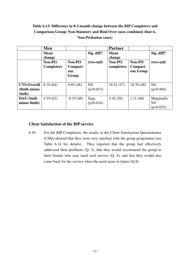## **Table 6.13: Difference in 0-3-month change between the BIP Completers and Comparison Group: Non-Statutory and Bind Over cases combined (that is, Non-Probation cases)**

|                                                | Men                         |                                    |                          | <b>Partner</b>        |                                 |                                        |
|------------------------------------------------|-----------------------------|------------------------------------|--------------------------|-----------------------|---------------------------------|----------------------------------------|
|                                                | <b>Mean</b><br>change       |                                    | Sig. diff?               | <b>Mean</b><br>change |                                 | Sig. diff?                             |
|                                                | Non-PO<br><b>Completers</b> | Non-PO<br>Compari-<br>son<br>Group | $(two-tail)$             | Non-PO<br>completers  | Non-PO<br>Compari-<br>son Group | (two-tail)                             |
| <b>CTS-Overall</b><br>(0mth minus)<br>$3mth$ ) | 8.16(64)                    | 9.69(48)                           | <b>NS</b><br>$(p=0.653)$ | 18.41 (57)            | 18.70(46)                       | <b>NS</b><br>$(p=0.966)$               |
| DAS (3mth<br>minus 0mth)                       | 4.19(63)                    | $-0.19(48)$                        | Sign.<br>$(p=0.016)$     | 5.42(56)              | 1.11(46)                        | Marginally<br><b>NS</b><br>$(p=0.053)$ |

### **Client Satisfaction of the BIP service**

6.30 For the BIP Completers, the results in the Client Satisfaction Questionnaire (CSQ) showed that they were very satisfied with the group programme (see Table 6.14 for details). They reported that the group had effectively addressed their problems (Q. 5), that they would recommend the group to their friends who may need such service (Q. 4), and that they would also come back for the service when the need arose in future (Q.8)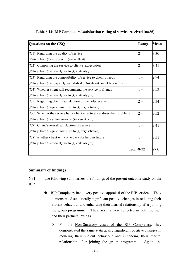| Questions on the CSQ                                                           | <b>Range</b> | <b>Mean</b> |
|--------------------------------------------------------------------------------|--------------|-------------|
| (Q1): Regarding the quality of service                                         | $2 - 4$      | 3.30        |
| (Rating: from (1) very poor to (4) excellent)                                  |              |             |
| (Q2): Comparing the service to client's expectation                            | $2 - 4$      | 3.41        |
| (Rating: from (1) certainly not to (4) certainly yes                           |              |             |
| $(Q3)$ : Regarding the compatibility of service to client's needs              | $1 - 4$      | 2.94        |
| (Rating: from (1) completely not satisfied to (4) almost completely satisfied) |              |             |
| $(Q4)$ : Whether client will recommend the service to friends                  | $1 - 4$      | 3.53        |
| (Rating: from (1) certainly not to (4) certainly yes)                          |              |             |
| (Q5): Regarding client's satisfaction of the help received                     | $2 - 4$      | 3.34        |
| (Rating: from (1) quite unsatisfied to (4) very satisfied)                     |              |             |
| (Q6): Whether the service helps client effectively address their problems      | $2 - 4$      | 3.52        |
| (Rating: from (1) getting worse to (4) a great help)                           |              |             |
| (Q7): Client's overall satisfaction of service                                 | $1 - 4$      | 3.41        |
| (Rating: from (1) quite unsatisfied to (4) very satisfied)                     |              |             |
| (Q8): Whether client will come back for help in future                         | $1 - 4$      | 3.51        |
| (Rating: from (1) certainly not to (4) certainly yes)                          |              |             |
| $(Total)$ 8-32                                                                 |              | 27.0        |

### **Table 6.14: BIP Completers' satisfaction rating of service received (n=86)**

### **Summary of findings**

6.31 The following summarizes the findings of the present outcome study on the BIP.

- BIP Completers had a very positive appraisal of the BIP service. They demonstrated statistically significant positive changes in reducing their violent behaviour and enhancing their marital relationship after joining the group programme. These results were reflected in both the men and their partners' ratings.
	- $\triangleright$  For the Non-Statutory cases of the BIP Completers, they demonstrated the same statistically significant positive changes in reducing their violent behaviour and enhancing their marital relationship after joining the group programme. Again, the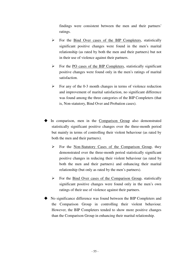findings were consistent between the men and their partners' ratings.

- $\triangleright$  For the Bind Over cases of the BIP Completers, statistically significant positive changes were found in the men's marital relationship (as rated by both the men and their partners) but not in their use of violence against their partners.
- $\triangleright$  For the PO cases of the BIP Completers, statistically significant positive changes were found only in the men's ratings of marital satisfaction.
- $\triangleright$  For any of the 0-3 month changes in terms of violence reduction and improvement of marital satisfaction, no significant difference was found among the three categories of the BIP Completers (that is, Non-statutory, Bind Over and Probation cases).
- In comparison, men in the Comparison Group also demonstrated statistically significant positive changes over the three-month period but mainly in terms of controlling their violent behaviour (as rated by both the men and their partners).
	- $\triangleright$  For the Non-Statutory Cases of the Comparison Group, they demonstrated over the three-month period statistically significant positive changes in reducing their violent behaviour (as rated by both the men and their partners) and enhancing their marital relationship (but only as rated by the men's partners).
	- $\triangleright$  For the Bind Over cases of the Comparison Group, statistically significant positive changes were found only in the men's own ratings of their use of violence against their partners.
- No significance difference was found between the BIP Completers and the Comparison Group in controlling their violent behaviour. However, the BIP Completers tended to show more positive changes than the Comparison Group in enhancing their marital relationship.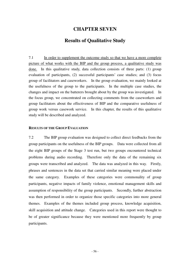## **CHAPTER SEVEN**

## **Results of Qualitative Study**

7.1 In order to supplement the outcome study so that we have a more complete picture of what works with the BIP and the group process, a qualitative study was done. In this qualitative study, data collection consists of three parts: (1) group evaluation of participants, (2) successful participants' case studies; and (3) focus group of facilitators and caseworkers. In the group evaluation, we mainly looked at the usefulness of the group to the participants. In the multiple case studies, the changes and impact on the batterers brought about by the group was investigated. In the focus group, we concentrated on collecting comments from the caseworkers and group facilitators about the effectiveness of BIP and the comparative usefulness of group work versus casework service. In this chapter, the results of this qualitative study will be described and analyzed.

### **RESULTS OF THE GROUP EVALUATION**

7.2 The BIP group evaluation was designed to collect direct feedbacks from the group participants on the usefulness of the BIP groups. Data were collected from all the eight BIP groups of the Stage 3 test run, but two groups encountered technical problems during audio recording. Therefore only the data of the remaining six groups were transcribed and analyzed. The data was analyzed in this way. Firstly, phrases and sentences in the data set that carried similar meaning were placed under the same category. Examples of these categories were commonality of group participants, negative impacts of family violence, emotional management skills and assumption of responsibility of the group participants. Secondly, further abstraction was then performed in order to organize those specific categories into more general themes. Examples of the themes included group process, knowledge acquisition, skill acquisition and attitude change. Categories used in this report were thought to be of greater significance because they were mentioned more frequently by group participants.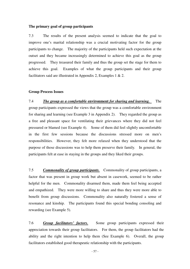#### **The primary goal of group participants**

7.3 The results of the present analysis seemed to indicate that the goal to improve one's marital relationship was a crucial motivating factor for the group participants to change. The majority of the participants held such expectation at the outset and they became increasingly determined to achieve this goal as the group progressed. They treasured their family and thus the group set the stage for them to achieve this goal. Examples of what the group participants and their group facilitators said are illustrated in Appendix 2, Examples 1 & 2.

#### **Group Process Issues**

7.4 *The group as a comfortable* **environment** *for sharing and learning.* The group participants expressed the views that the group was a comfortable environment for sharing and learning (see Example 3 in Appendix 2). They regarded the group as a free and pleasant space for ventilating their grievances where they did not feel pressured or blamed (see Example 4). Some of them did feel slightly uncomfortable in the first few sessions because the discussions stressed more on men's responsibilities. However, they felt more relaxed when they understood that the purpose of those discussions was to help them preserve their family. In general, the participants felt at ease in staying in the groups and they liked their groups.

7.5 *Commonality of group participants.* Commonality of group participants, a factor that was present in group work but absent in casework, seemed to be rather helpful for the men. Commonality disarmed them, made them feel being accepted and empathized. They were more willing to share and thus they were more able to benefit from group discussions. Commonality also naturally fostered a sense of resonance and kinship. The participants found this special bonding consoling and rewarding (see Example 5).

7.6 *Group facilitators' factors.* Some group participants expressed their appreciation towards their group facilitators. For them, the group facilitators had the ability and the right intention to help them (See Example 6). Overall, the group facilitators established good therapeutic relationship with the participants.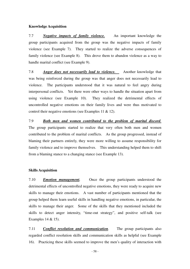#### **Knowledge Acquisition**

7.7 *Negative impacts of family violence.* An important knowledge the group participants acquired from the group was the negative impacts of family violence (see Example 7). They started to realize the adverse consequences of family violence (see Example 8). This drove them to abandon violence as a way to handle marital conflict (see Example 9).

7.8 *Anger does not necessarily lead to violence.* Another knowledge that was being reinforced during the group was that anger does not necessarily lead to violence. The participants understood that it was natural to feel angry during interpersonal conflicts. Yet there were other ways to handle the situation apart from using violence (see Example 10). They realized the detrimental effects of uncontrolled negative emotions on their family lives and were thus motivated to control their negative emotions (see Examples 11 & 12).

7.9 *Both men and women contributed to the problem of marital discord.* The group participants started to realize that very often both men and women contributed to the problem of marital conflicts. As the group progressed, instead of blaming their partners entirely, they were more willing to assume responsibility for family violence and to improve themselves. This understanding helped them to shift from a blaming stance to a changing stance (see Example 13).

### **Skills Acquisition**

7.10 *Emotion management.* Once the group participants understood the detrimental effects of uncontrolled negative emotions, they were ready to acquire new skills to manage their emotions. A vast number of participants mentioned that the group helped them learn useful skills in handling negative emotions, in particular, the skills to manage their anger. Some of the skills that they mentioned included the skills to detect anger intensity, "time-out strategy", and positive self-talk (see Examples 14 & 15).

7.11 *Conflict resolution and communication.* The group participants also regarded conflict resolution skills and communication skills as helpful (see Example 16). Practicing these skills seemed to improve the men's quality of interaction with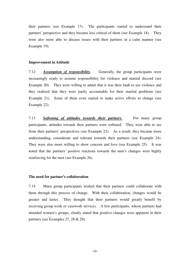their partners (see Example 17). The participants started to understand their partners' perspective and they became less critical of them (see Example 18). They were also more able to discuss issues with their partners in a calm manner (see Example 19).

### **Improvement in Attitude**

7.12 *Assumption of responsibility.* Generally, the group participants were increasingly ready to assume responsibility for violence and marital discord (see Example 20). They were willing to admit that it was their fault to use violence and they realized that they were partly accountable for their marital problems (see Example 21). Some of them even started to make active efforts to change (see Example 22).

7.13 *Softening of attitudes towards their partners.* For many group participants, attitudes towards their partners were softened. They were able to see from their partners' perspectives (see Example 23). As a result, they became more understanding, considerate and tolerant towards their partners (see Example 24). They were also more willing to show concern and love (see Example 25). It was noted that the partners' positive reactions towards the men's changes were highly reinforcing for the men (see Example 26).

### **The need for partner's collaboration**

7.14 Many group participants wished that their partners could collaborate with them through this process of change. With their collaboration, changes would be greater and faster. They thought that their partners would greatly benefit by receiving group work or casework services. A few participants, whose partners had attended women's groups, clearly stated that positive changes were apparent in their partners (see Examples 27, 28 & 29).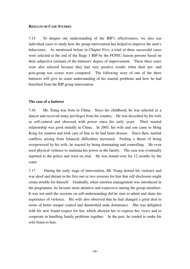#### **RESULTS OF CASE STUDIES**

7.15 To deepen our understanding of the BIP's effectiveness, we also use individual cases to study how the group intervention has helped to improve the men's behaviours. As mentioned before in Chapter Five, a total of three successful cases were selected at the end of the Stage 3 BIP by the FCPSU liaison persons based on their subjective estimate of the batterers' degree of improvement. These three cases were also selected because they had very positive results when their pre- and post-group test scores were compared. The following story of one of the three batterers will give us some understanding of his marital problems and how he had benefited from the BIP group intervention.

### **The case of a batterer**

7.16 Mr. Tsang was born in China. Since his childhood, he was selected as a dancer and received many privileges from his country. He was described by his wife as self-centred and obsessed with power since his early years. Their marital relationship was good initially in China. In 2003, his wife and son came to Hong Kong for reunion and took care of him as he had heart disease. Since then, marital conflicts arising from financial difficulties increased. Feeling a threat of being overpowered by his wife, he reacted by being dominating and controlling. He even used physical violence to maintain his power in the family. The case was eventually reported to the police and went on trial. He was bound over for 12 months by the court.

7.17 During the early stage of intervention, Mr. Tsang denied his violence and was aloof and distant in the first one or two sessions for fear that self-disclosure might create trouble for himself. Gradually, when emotion management was introduced in the programme, he became more attentive and expressive among the group members. It was not until the sessions on self-understanding did he start to admit and share his experience of violence. His wife also observed that he had changed a great deal in terms of better temper control and diminished male dominance. She was delighted with his new found respect for her, which allowed her to express her views and to cooperate in handling family problems together. In the past, he tended to make his wife listen to him.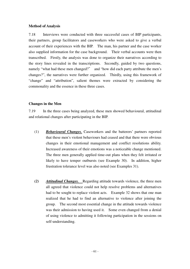### **Method of Analysis**

7.18 Interviews were conducted with three successful cases of BIP participants, their partners, group facilitators and caseworkers who were asked to give a verbal account of their experiences with the BIP. The man, his partner and the case worker also supplied information for the case background. Their verbal accounts were then transcribed. Firstly, the analysis was done to organize their narratives according to the story lines revealed in the transcriptions. Secondly, guided by two questions, namely "what had these men changed?" and "how did each party attribute the men's changes?", the narratives were further organized. Thirdly, using this framework of "change" and "attribution", salient themes were extracted by considering the commonality and the essence in these three cases.

### **Changes in the Men**

7.19 In the three cases being analyzed, these men showed behavioural, attitudinal and relational changes after participating in the BIP.

- (1) *Behavioural Changes.* Caseworkers and the batterers' partners reported that these men's violent behaviours had ceased and that there were obvious changes in their emotional management and conflict resolutions ability. Increased awareness of their emotions was a noticeable change mentioned. The three men generally applied time-out plans when they felt irritated or likely to have temper outbursts (see Example 30). In addition, higher frustration tolerance level was also noted (see Examples 31).
- *(2) Attitudinal Changes.* Regarding attitude towards violence, the three men all agreed that violence could not help resolve problems and alternatives had to be sought to replace violent acts. Example 32 shows that one man realized that he had to find an alternative to violence after joining the group. The second most essential change in the attitude towards violence was their admission to having used it. Some even changed from a denial of using violence to admitting it following participation in the sessions on self-understanding.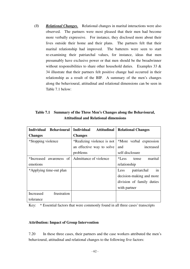*(3) Relational Changes.* Relational changes in marital interactions were also observed. The partners were most pleased that their men had become more verbally expressive. For instance, they disclosed more about their lives outside their home and their plans. The partners felt that their marital relationship had improved. The batterers were seen to start re-examining their patriarchal values, for instance, ideas that men presumably have exclusive power or that men should be the breadwinner without responsibilities to share other household duties. Examples 33  $\&$ 34 illustrate that their partners felt positive change had occurred in their relationship as a result of the BIP. A summary of the men's changes along the behavioural, attitudinal and relational dimensions can be seen in Table 7.1 below:

| Table 7.1 Summary of the Three Men's Changes along the Behavioural, |
|---------------------------------------------------------------------|
| <b>Attitudinal and Relational dimensions</b>                        |

| <b>Individual</b><br><b>Behavioural</b> | <b>Individual</b><br>Attitudinal | <b>Relational Changes</b> |
|-----------------------------------------|----------------------------------|---------------------------|
| <b>Changes</b>                          | <b>Changes</b>                   |                           |
| *Stopping violence                      | *Realizing violence is not       | *More verbal expression   |
|                                         | an effective way to solve        | increased<br>and          |
|                                         | problems                         | self-disclosure           |
| *Increased awareness of                 | Admittance of violence           | marital<br>*Less<br>tense |
| emotions                                |                                  | relationship              |
| *Applying time-out plan                 |                                  | patriarchal<br>Less<br>in |
|                                         |                                  | decision-making and more  |
|                                         |                                  | division of family duties |
|                                         |                                  | with partner              |
| frustration<br>Increased                |                                  |                           |
| tolerance                               |                                  |                           |

Key: \* Essential factors that were commonly found in all three cases' transcripts

### **Attribution: Impact of Group Intervention**

7.20 In these three cases, their partners and the case workers attributed the men's behavioural, attitudinal and relational changes to the following five factors: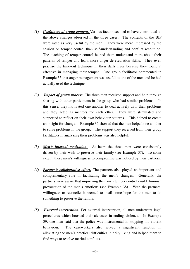- *(1) Usefulness of group content.* Various factors seemed to have contributed to the above changes observed in the three cases. The contents of the BIP were rated as very useful by the men. They were more impressed by the session on temper control than self-understanding and conflict resolution. The teaching of temper control helped them understand more about their patterns of temper and learn more anger de-escalation skills. They even practise the time-out technique in their daily lives because they found it effective in managing their temper. One group facilitator commented in Example 35 that anger management was useful to one of the men and he had actually used the technique.
- *(2) Impact of group process.* The three men received support and help through sharing with other participants in the group who had similar problems. In this sense, they motivated one another to deal actively with their problems and they acted as mentors for each other. They were stimulated and supported to reflect on their own behaviour patterns. This helped to create an insight for change. Example 36 showed that the men helped one another to solve problems in the group. The support they received from their group facilitators in analyzing their problems was also helpful.
- *(3) Men's internal motivation.* At heart the three men were consistently driven by their wish to preserve their family (see Example 37). To some extent, these men's willingness to compromise was noticed by their partners.
- *(4) Partner's collaborative effort.* The partners also played an important and complementary role in facilitating the men's changes. Generally, the partners were aware that improving their own temper control could diminish provocation of the men's emotions (see Example 38). With the partners' willingness to reconcile, it seemed to instil some hope for the men to do something to preserve the family.
- *(5) External intervention.* For external intervention, all men underwent legal procedures which boosted their alertness in ending violence. In Example 39, one man said that the police was instrumental in stopping his violent behaviour. The caseworkers also served a significant function in alleviating the men's practical difficulties in daily living and helped them to find ways to resolve marital conflicts.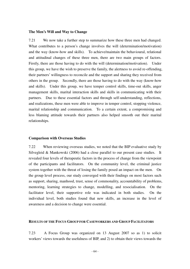#### **The Men's Will and Way to Change**

7.21 We now take a further step to summarize how these three men had changed. What contributes to a person's change involves the will (determination/motivation) and the way (know-how and skills). To achieve/maintain the behavioural, relational and attitudinal changes of these three men, there are two main groups of factors. Firstly, there are those having to do with the will (determination/motivation). Under this group, we have the wish to preserve the family, the alertness to avoid re-offending, their partners' willingness to reconcile and the support and sharing they received from others in the group. Secondly, there are those having to do with the way (know-how and skills). Under this group, we have temper control skills, time-out skills, anger management skills, marital interaction skills and skills in communicating with their partners. Due to these essential factors and through self-understanding, reflections, and realizations, these men were able to improve in temper control, stopping violence, marital relationship and communication. To a certain extent, a compromising and less blaming attitude towards their partners also helped smooth out their marital relationships.

### **Comparison with Overseas Studies**

7.22 When reviewing overseas studies, we noted that the BIP evaluative study by Silvegleid & Mankowski (2006) had a close parallel to our present case studies. It revealed four levels of therapeutic factors in the process of change from the viewpoint of the participants and facilitators. On the community level, the criminal justice system together with the threat of losing the family posed an impact on the men. On the group level process, our study converged with their findings on most factors such as support, sharing, manhood, trust, sense of commonality, accountability of problems, mentoring, learning strategies to change, modelling, and resocialisation. On the facilitator level, their supportive role was indicated in both studies. On the individual level, both studies found that new skills, an increase in the level of awareness and a decision to change were essential.

#### **RESULTS OF THE FOCUS GROUP FOR CASEWORKERS AND GROUP FACILITATORS**

7.23 A Focus Group was organized on 13 August 2007 so as 1) to solicit workers' views towards the usefulness of BIP, and 2) to obtain their views towards the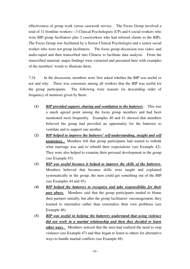effectiveness of group work versus casework service. The Focus Group involved a total of 11 frontline workers—3 Clinical Psychologists (CP) and 6 social workers who were BIP group facilitators plus 2 caseworkers who had referred clients to the BIPs. The Focus Group was facilitated by a Senior Clinical Psychologist and a senior social worker who were not group facilitators. The focus group discussion was video- and audio-taped and then transcribed into Chinese to facilitate data analysis. From the transcribed material, major findings were extracted and presented here with examples of the members' words to illustrate them.

7.24 In the discussion, members were first asked whether the BIP was useful or not and why. There was consensus among all workers that the BIP was useful for the group participants. The following were reasons (in descending order of frequency of mention) given by them:

- *(1) BIP provided support, sharing and ventilation to the batterers.* This was a much agreed point among the focus group members and had been mentioned most frequently. Examples 40 and 41 showed that members believed the group had provided an opportunity for the batterers to ventilate and to support one another.
- *(2) BIP helped to improve the batterers' self-understanding, insight and self awareness.* Members felt that group participants had started to rethink what marriage was and to rebuild their expectations (see Example 42). They were also helped to examine their personal development in the group (see Example 43).
- *(3) BIP was useful because it helped to improve the skills of the batterers.* Members believed that because skills were taught and explained systematically in the group, the men could get something out of the BIP (see Examples 44 and 45).
- *(4) BIP helped the batterers to recognize and take responsibility for their past abuse.* Members said that the group participants tended to blame their partners initially, but after the group facilitators' encouragement, they learned to internalize rather than externalize their own problems (see Example 46).
- *(5) BIP was useful in helping the batterers understand that using violence did not work in a marital relationship and then they decided to learn other ways*. Members noticed that the men had realized the need to stop violence (see Example 47) and thus began to listen to others for alternative ways to handle marital conflicts (see Example 48).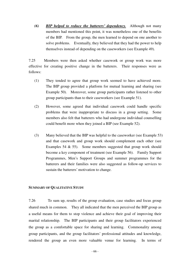*(6) BIP helped to reduce the batterers' dependency.* Although not many members had mentioned this point, it was nonetheless one of the benefits of the BIP. From the group, the men learned to depend on one another to solve problems. Eventually, they believed that they had the power to help themselves instead of depending on the caseworkers (see Example 49).

7.25 Members were then asked whether casework or group work was more effective for creating positive change in the batterers. Their responses were as follows:

- (1) They tended to agree that group work seemed to have achieved more. The BIP group provided a platform for mutual learning and sharing (see Example 50). Moreover, some group participants rather listened to other group participants than to their caseworkers (see Example 51).
- (2) However, some agreed that individual casework could handle specific problems that were inappropriate to discuss in a group setting. Some members also felt that batterers who had undergone individual counselling could benefit more when they joined a BIP (see Example 52).
- (3) Many believed that the BIP was helpful to the caseworker (see Example 53) and that casework and group work should complement each other (see Examples 54 & 55). Some members suggested that group work should become a key component of treatment (see Example 56). Family Support Programmes, Men's Support Groups and summer programmes for the batterers and their families were also suggested as follow-up services to sustain the batterers' motivation to change.

### **SUMMARY OF QUALITATIVE STUDY**

7.26 To sum up, results of the group evaluation, case studies and focus group shared much in common. They all indicated that the men perceived the BIP group as a useful means for them to stop violence and achieve their goal of improving their marital relationship. The BIP participants and their group facilitators experienced the group as a comfortable space for sharing and learning. Commonality among group participants, and the group facilitators' professional attitudes and knowledge, rendered the group an even more valuable venue for learning. In terms of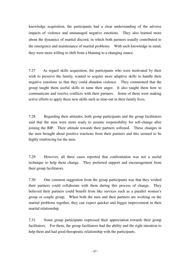knowledge acquisition, the participants had a clear understanding of the adverse impacts of violence and unmanaged negative emotions. They also learned more about the dynamics of marital discord, in which both partners usually contributed to the emergence and maintenance of marital problems. With such knowledge in mind, they were more willing to shift from a blaming to a changing stance.

7.27 As regard skills acquisition, the participants who were motivated by their wish to preserve the family, wanted to acquire more adaptive skills to handle their negative emotions so that they could abandon violence. They commented that the group taught them useful skills to tame their anger. It also taught them how to communicate and resolve conflicts with their partners. Some of them were making active efforts to apply these new skills such as time-out in their family lives.

7.28 Regarding their attitudes, both group participants and the group facilitators said that the men were more ready to assume responsibility for self-change after joining the BIP. Their attitude towards their partners softened. These changes in the men brought about positive reactions from their partners and this seemed to be highly reinforcing for the men.

7.29 However, all three cases reported that confrontation was not a useful technique to help them change. They preferred support and encouragement from their group facilitators.

7.30 One common suggestion from the group participants was that they wished their partners could collaborate with them during this process of change. They believed their partners could benefit from like services such as a parallel women's group or couple group. When both the men and their partners are working on the marital problems together, they can expect quicker and bigger improvement in their marital relationship.

7.31 Some group participants expressed their appreciation towards their group facilitators. For them, the group facilitators had the ability and the right intention to help them and had good therapeutic relationship with the participants.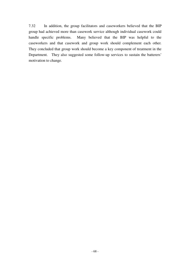7.32 In addition, the group facilitators and caseworkers believed that the BIP group had achieved more than casework service although individual casework could handle specific problems. Many believed that the BIP was helpful to the caseworkers and that casework and group work should complement each other. They concluded that group work should become a key component of treatment in the Department. They also suggested some follow-up services to sustain the batterers' motivation to change.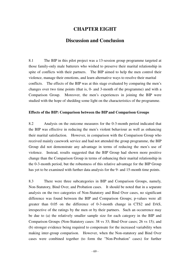# **CHAPTER EIGHT**

## **Discussion and Conclusion**

8.1 The BIP in this pilot project was a 13-session group programme targeted at those family-only male batterers who wished to preserve their marital relationship in spite of conflicts with their partners. The BIP aimed to help the men control their violence, manage their emotions, and learn alternative ways to resolve their marital conflicts. The effects of the BIP was at this stage evaluated by comparing the men's changes over two time points (that is, 0- and 3-month of the programme) and with a Comparison Group. Moreover, the men's experiences in joining the BIP were studied with the hope of shedding some light on the characteristics of the programme.

### **Effects of the BIP: Comparison between the BIP and Comparison Groups**

8.2 Analysis on the outcome measures for the 0-3-month period indicated that the BIP was effective in reducing the men's violent behaviour as well as enhancing their marital satisfaction. However, in comparison with the Comparison Group who received mainly casework service and had not attended the group programme, the BIP Group did not demonstrate any advantage in terms of reducing the men's use of violence. Instead, results suggested that the BIP Group had shown more positive change than the Comparison Group in terms of enhancing their marital relationship in the 0-3-month period, but the robustness of this relative advantage for the BIP Group has yet to be examined with further data analysis for the 9- and 15-month time points.

8.3 There were three subcategories in BIP and Comparison Groups, namely, Non-Statutory, Bind Over, and Probation cases. It should be noted that in a separate analysis on the two categories of Non-Statutory and Bind Over cases, no significant difference was found between the BIP and Comparison Groups; p-values were all greater than 0.05 on the difference of 0-3-month change in CTS2 and DAS, irrespective of the ratings by the men or by their partners. Such an occurrence may be due to (a) the relatively smaller sample size for each category in the BIP and Comparison Groups (Non-Statutory cases: 38 vs 33; Bind Over cases; 26 vs 15); and (b) stronger evidence being required to compensate for the increased variability when making inter-group comparison. However, when the Non-statutory and Bind Over cases were combined together (to form the "Non-Probation" cases) for further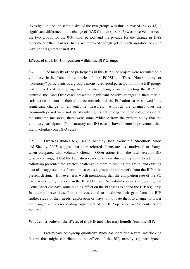investigation and the sample size of the two groups was thus increased (64 vs 48), a significant difference in the change of DAS for men  $(p < 0.05)$  was observed between the two groups for the 0-3-month period, and the p-value for the change in DAS outcome for their partners had also improved though yet to reach significance (with p-value still greater than 0.05).

#### **Effects of the BIP: Comparison within the BIP Groups**

8.4 The majority of the participants in this BIP pilot project were recruited on a voluntary basis from the clientele of the FCPSUs. These Non-statutory or "voluntary" participants as a group demonstrated good participation in the BIP groups and showed statistically significant positive changes on completing the BIP. In contrast, the Bind Over cases presented significant positive changes in their marital satisfaction but not in their violence control; and the Probation cases showed little significant change on all outcome measures. Although the changes over the 0-3-month period were not statistically significant among the three categories on all the outcome measures, there were some evidence from the present study that the voluntary participants (Non-statutory and BO cases) showed better improvement than the involuntary ones (PO cases).

8.5 Overseas studies (e.g. Begun, Murphy, Bolt, Weinstein, Strodthoff, Short and Shelley, 2003) suggest that court-referred clients are less motivated to change when compared with voluntary clients. Observations from the facilitators of BIP groups did suggest that the Probation cases who were directed by court to attend the follow-up presented the greatest challenge to them in running the group, and existing data also suggested that Probation cases as a group did not benefit from the BIP in its present design. However, it is worth mentioning that the completion rate of the PO cases was slightly higher than the Bind Over and Non-statutory cases, suggesting that Court Order did have some binding effect on the PO cases to attend the BIP regularly. In order to serve these Probation cases and to maximize their gain from the BIP, further study of their needs, exploration of ways to motivate them to change, to lower their anger, and corresponding adjustment of the BIP operation and/or contents are required.

#### **What contributes to the effects of the BIP and who may benefit from the BIP?**

8.6 Preliminary post-group qualitative study has identified several interlocking factors that might contribute to the effects of the BIP, namely, (a) participants'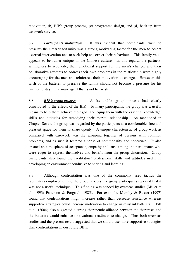motivation, (b) BIP's group process, (c) programme design, and (d) back-up from casework service.

8.7 *Participants' motivation* It was evident that participants' wish to preserve their marriage/family was a strong motivating factor for the men to accept external intervention and to seek help to correct their behaviour. This family value appears to be rather unique in the Chinese culture. In this regard, the partners' willingness to reconcile, their emotional support for the men's change, and their collaborative attempts to address their own problems in the relationship were highly encouraging for the men and reinforced their motivation to change. However, this wish of the batterer to preserve the family should not become a pressure for his partner to stay in the marriage if that is not her wish.

8.8 *BIP's group process* A favourable group process had clearly contributed to the effects of the BIP. To many participants, the group was a useful means to help them achieve their goal and equip them with the essential knowledge, skills and attitudes for remedying their marital relationship. As mentioned in Chapter Seven, the group was regarded by the participants as a comfortable, free and pleasant space for them to share openly. A unique characteristic of group work as compared with casework was the grouping together of persons with common problems, and as such it fostered a sense of commonality and coherence. It also created an atmosphere of acceptance, empathy and trust among the participants who were eager to express themselves and benefit from the group discussion. Group participants also found the facilitators' professional skills and attitudes useful in developing an environment conducive to sharing and learning.

8.9 Although confrontation was one of the commonly used tactics the facilitators employed during the group process, the group participants reported that it was not a useful technique. This finding was echoed by overseas studies (Miller et al., 1993; Patterson & Forgatch, 1985). For example, Murphy & Baxter (1997) found that confrontations might increase rather than decrease resistance whereas supportive strategies could increase motivation to change in resistant batterers. Taft et al. (2004) also suggested a strong therapeutic alliance between the therapists and the batterers would enhance motivational readiness to change. Thus both overseas studies and the present result suggested that we should use more supportive strategies than confrontations in our future BIPs.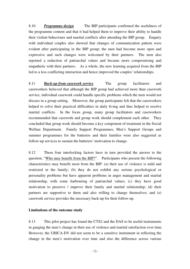8.10 *Programme design* The BIP participants confirmed the usefulness of the programme content and that it had helped them to improve their ability to handle their violent behaviours and marital conflicts after attending the BIP group. Enquiry with individual couples also showed that changes of communication pattern were evident after participating in the BIP group; the men had become more open and expressive and such changes were welcomed by their partners. The men also reported a reduction of patriarchal values and became more compromising and empathetic with their partners. As a whole, the new learning acquired from the BIP led to a less conflicting interaction and hence improved the couples' relationships.

8.11 *Back-up from casework service* The group facilitators and caseworkers believed that although the BIP group had achieved more than casework service, individual casework could handle specific problems which the men would not discuss in a group setting. Moreover, the group participants felt that the caseworkers helped to solve their practical difficulties in daily living and thus helped to resolve marital conflicts. In the focus group, many group facilitators and caseworkers recommended that casework and group work should complement each other. They concluded that group work should become a key component of treatment in the Social Welfare Department. Family Support Programmes, Men's Support Groups and summer programmes for the batterers and their families were also suggested as follow-up services to sustain the batterers' motivation to change.

8.12 These four interlocking factors have in turn provided the answer to the question, "Who may benefit from the BIP?". Participants who present the following characteristics may benefit most from the BIP: (a) their use of violence is mild and restricted in the family; (b) they do not exhibit any serious psychological or personality problems but have apparent problems in anger management and marital relationship, with some harbouring of patriarchal values; (c) they have good motivation to preserve / improve their family and marital relationship; (d) their partners are supportive to them and also willing to change themselves; and (e) casework service provides the necessary back-up for their follow-up.

#### **Limitations of the outcome study**

8.13 This pilot project has found the CTS2 and the DAS to be useful instruments in gauging the men's change in their use of violence and marital satisfaction over time. However, the URICA-DV did not seem to be a sensitive instrument in reflecting the change in the men's motivation over time and also the difference across various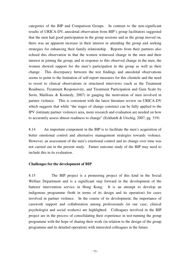categories of the BIP and Comparison Groups. In contrast to the non-significant results of URICA-DV, anecdotal observation from BIP's group facilitators suggested that the men had good participation in the group sessions and as the group moved on, there was an apparent increase in their interest in attending the group and seeking strategies for enhancing their family relationship. Reports from their partners also echoed this observation in that the women witnessed change in the men and their interest in joining the group; and in response to this observed change in the men, the women showed support for the men's participation in the group as well as their change. This discrepancy between the test findings and anecdotal observations seems to point to the limitation of self-report measures for this clientele and the need to resort to clinical observations or structured interviews (such as the Treatment Readiness, Treatment Responsivity, and Treatment Participation and Gain Scale by Serin, Mailloux & Kennedy, 2007) in gauging the motivation of men involved in partner violence. This is consistent with the latest literature review on URICA-DV which suggests that while "the stages of change construct can be fully applied to the IPV (intimate partner violence) area, more research and evaluation are needed on how to accurately assess abuser readiness to change" (Eckhardt & Utschig, 2007, pg. 319)

8.14 An important component in the BIP is to facilitate the men's acquisition of better emotional control and alternative management strategies towards violence. However, an assessment of the men's emotional control and its change over time was not carried out in the present study. Future outcome study of the BIP may need to include this in its evaluation.

#### **Challenges for the development of BIP**

8.15 The BIP project is a pioneering project of this kind in the Social Welfare Department and is a significant step forward in the development of the batterer intervention service in Hong Kong. It is an attempt to develop an indigenous programme (both in terms of its design and its operation) for cases involved in partner violence. In the course of its development, the importance of casework support and collaboration among professionals (in our case, clinical psychologist and social workers) are highlighted. Colleagues involved in the BIP project are in the process of consolidating their experience in test-running the group programme with the hope of sharing their work (in relation to the design of the group programme and its detailed operation) with interested colleagues in the future.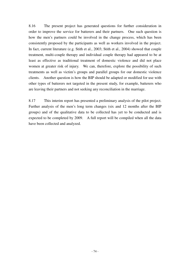8.16 The present project has generated questions for further consideration in order to improve the service for batterers and their partners. One such question is how the men's partners could be involved in the change process, which has been consistently proposed by the participants as well as workers involved in the project. In fact, current literature (e.g. Stith et al., 2003; Stith et al., 2004) showed that couple treatment, multi-couple therapy and individual couple therapy had appeared to be at least as effective as traditional treatment of domestic violence and did not place women at greater risk of injury. We can, therefore, explore the possibility of such treatments as well as victim's groups and parallel groups for our domestic violence clients. Another question is how the BIP should be adapted or modified for use with other types of batterers not targeted in the present study, for example, batterers who are leaving their partners and not seeking any reconciliation in the marriage.

8.17 This interim report has presented a preliminary analysis of the pilot project. Further analysis of the men's long term changes (six and 12 months after the BIP groups) and of the qualitative data to be collected has yet to be conducted and is expected to be completed by 2009. A full report will be compiled when all the data have been collected and analyzed.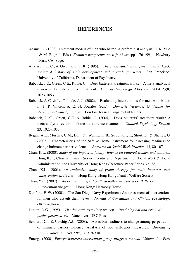### **REFERENCES**

- Adams, D. (1988). Treatment models of men who batter: A profeminist analysis. In K. Yllo & M. Bograd (Eds.). *Feminist perspective on wife abuse* (pp. 176-199). Newbury Park, CA: Sage.
- Attkisson, C. C., & Greenfield, T. K. (1995). *The client satisfaction questionnaire (CSQ) scales: A history of scale development and a guide for users.* San Francisco: University of California, Department of Psychiatry.
- Babcock, J.C., Green, C.E., Robie, C. Does batterers' treatment work? A meta-analytical review of domestic violence treatment. *Clinical Psychological Review.* 2004, 23(8): 1023-1053.
- Babcock, J. C. & La Taillade, J. J. (2002). Evaluating interventions for men who batter. In J. P. Vincent & E. N. Jouriles (eds.). *Domestic Violence: Guidelines for Research-informed practice*. London: Jessica Kingsley Publishers.
- Babcock, J. C., Green, C.E. & Robie, C. (2004). Does batterers' treatment work? A meta-analytic review of domestic violence treatment. *Clinical Psychology Review,*  23*,* 1023-1053.
- Begun, A.L., Murphy, C.M., Bolt, D., Weinstein, B., Strodthoff, T., Short, L., & Shelley, G. (2003). Characteristics of the Safe at Home instrument for assessing readiness to change intimate partner violence. *Research on Social Work Practice*, 13, 80-107.
- Chan, K.L. (2000). *Study of the impact of family violence on battered women and children.*  Hong Kong Christian Family Service Centre and Department of Social Work & Social Administration, the University of Hong Kong (Resource Paper Series No. 38).
- Chan, K.L. (2001). *An evaluative study of group therapy for male batterers cum intervention strategies.* Hong Kong: Hong Kong Family Welfare Society.
- Chan, Y.C. (2007). *An evaluation report on third path men's services: Batterers Intervention program.* Hong Kong: Harmony House.
- Dunford, F. W. (2000). The San Diego Navy Experiment: An assessment of interventions for men who assault their wives. *Journal of Consulting and Clinical Psychology,*  68(3), 468-476.
- Dutton, D.G. (1995). *The domestic assault of women Psychological and criminal justice perspectives.* Vancouver: UBC Press.
- Eckhardt C.I. & Utschig A.C. (2008). Assession readiness to change among perpetrators of intimate partner violence: Analysis of two self-report measures. *Journal of Family Violence.* Vol 22(5), 7, 319-330.

Emerge (2000). *Emerge batterers intervention group program manual: Volume 1 – First*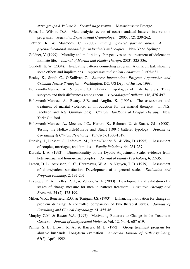*stage groups & Volume 2 – Second stage groups.* Massachusetts: Emerge.

- Feder, L., Wilson, D.A. Meta-analytic review of court-mandated batterer intervention programs. *Journal of Experimental Criminology*. 2005: 1(2): 239-262.
- Geffner, R. & Mantooth, C. (2000). *Ending spouse/ partner abuse: A psychoeducational approach for individuals and couples.* New York: Springer.
- Goldner, V. (1999) Morality and multiplicity: Perspectives on the treatment of violence in intimate life. *Journal of Marital and Family Therapy,* 25(3), 325-336.
- Gondolf, E. W. (2004). Evaluating batterer counseling program: A difficult task showing some effects and implications. *Aggression and Violent Behaviour,* 9, 605-631.
- Healey K., Smith C., O'Sullivan C. *Batterer Intervention: Program Approaches and Criminal Justice Strategies.* Washington, DC: US Dept. of Justice; 1998.
- Holtzworth-Munroe, A., & Stuart, G.L. (1994). Typologies of male batterers: Three subtypes and their differences among them. *Psychological Bulletin,* 116, 476-497.
- Holtzworth-Munroe, A., Beatty, S.B. and Anglin, K. (1995). The assessment and treatment of marital violence: an introduction for the marital therapist. In N.S. Jacobson and A.S. Gurman (eds). *Clinical Handbook of Couple Therapy.* New York: Guilford.
- Holtzworth-Munroe, A., Meehan, J.C., Herron, K., Rehman, U. & Stuart, G.L. (2000). Testing the Holtzworth-Munroe and Stuart (1994) batterer typology. *Journal of Consulting & Clinical Psychology. Vol* 68(6), 1000-1019.
- Hunsley, J., Pinsent, C., Lefebvre, M., James-Tanner, S., & Vito, D. (1995). Assessment of couples, marriages, and families. *Family Relations,* 44, 231-237.
- Kurdek, I. A. (1992). Dimensionality of the Dyadic Adjustment Scale: evidence from heterosexual and homosexual couples. *Journal of Family Psychology,* **6,** 22-35.
- Larsen, D. L., Attkisson, C. C., Hargreaves, W. A., & Nguyen, T. D. (1979). Assessment of client/patient satisfaction: Development of a general scale. *Evaluation and Program Planning,* 2, 197-207.
- Levesque, D. A., Gelles, R. J., & Velicer, W. F. (2000) Development and validation of a stages of change measure for men in batterer treatment. *Cognitive Therapy and Research,* 24 (2), 175-199.
- Miller, W.R., Benefield, R.G., & Tonigan, J.S. (1993). Enhancing motivation for change in problem drinking: A controlled comparison of two therapist styles. *Journal of Consulting and Clinical Psychology*, 61, 455-461.
- Murphy C.M. & Baxter V.A. (1997) Motivating Batterers to Change in the Treatment Context. *Journal of Interpersonal Violence*, Vol. 12, No. 4, 607-619.
- Palmer, S. E., Brown, R. A., & Barrera, M. E. (1992). Group treatment program for abusive husbands: Long-term evaluation. *American Journal of Orthopsychiatry,*  62(2), April, 1992.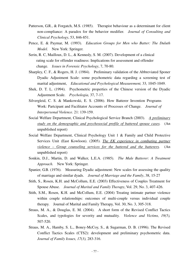- Patterson, G.R., & Forgatch, M.S. (1985). Therapist behaviour as a determinant for client non-compliance: A paradox for the behavior modifier. *Journal of Consulting and Clinical Psychology*, 53, 846-851.
- Pence, E. & Paymar, M. (1993). *Education Groups for Men who Batter: The Duluth Model.* New York: Springer.
- Serin, R. C, Mailloux, D. L., & Kennedy, S. M. (2007). Development of a clinical rating scale for offender readiness: Implications for assessment and offender change. *Issues in Forensic Psychology*, 7, 70-80.
- Sharpley, C. F., & Rogers, H. J. (1984). Preliminary validation of the Abbreviated Sponer Dyadic Adjustment Scale: some psychometric data regarding a screening test of marital adjustment, *Educational and Psychological Measurement,* 33*,* 1045-1049.
- Shek, D. T. L. (1994). Psychometric properties of the Chinese version of the Dyadic Adjustment Scale. *Psychologia,* 37, 7-17.
- Silvergleid, C. S. & Mankowski, E. S. (2006). How Batterer Invention Programs Work: Partcipant and Facilitator Accounts of Processes of Change. *Journal of Interpersonal Violence.* 21: 139-159.
- Social Welfare Department, Clinical Psychological Service Branch (2003). *A preliminary study on the demographic and psychosocial profile of battered spouse cases.* (An unpublished report)
- Social Welfare Department, Clinical Psychology Unit 1 & Family and Child Protective Services Unit (East Kowloon). (2005). *The EK experience in combating partner violence – Group counseling services for the battered and the batterers.* (An unpublished report)
- Sonkin, D.J., Martin, D. and Walker, L.E.A. (1985). *The Male Batterer: A Treatment Approach.* New York: Springer.
- Spanier, G.B. (1976). Measuring Dyadic adjustment: New scales for assessing the quality of marriage and similar dyads. *Journal of Marriage and the Family*, 38, 15-27
- Stith, S., Rosen, K.H. and McCollum, E.E. (2003) Effectiveness of Couples Treatment for Spouse Abuse. *Journal of Marital and Family Therapy*, Vol. 29, No. 3, 407-426.
- Stith, S.M., Rosen, K.H. and McCollum, E.E. (2004) Treating intimate partner violence within couple relationships: outcomes of multi-couple versus individual couple therapy. Journal of Marital and Family Therapy, Vol. 30, No. 3, 305-318.
- Straus, M. A., & Douglas, E. M. (2004). A short form of the Revised Conflict Tactics Scales, and typologies for severity and mutuality. *Violence and Victims, 19(5),* 507-520.
- Straus, M. A., Hamby, S. L., Boney-McCoy, S., & Sugarman, D. B. (1996). The Revised Conflict Tactics Scales (CTS2): development and preliminary psychometric data. *Journal of Family Issues, 17(3),* 283-316.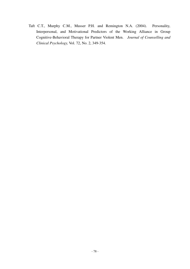Taft C.T., Murphy C.M., Musser P.H. and Remington N.A. (2004). Personality, Interpersonal, and Motivational Predictors of the Working Alliance in Group Cognitive-Behavioral Therapy for Partner Violent Men. *Journal of Counselling and Clinical Psychology,* Vol. 72, No. 2, 349-354.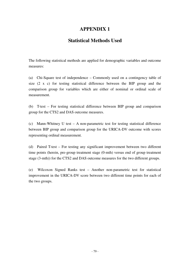# **APPENDIX 1**

### **Statistical Methods Used**

The following statistical methods are applied for demographic variables and outcome measures:

(a) Chi-Square test of independence – Commonly used on a contingency table of size (2 x c) for testing statistical difference between the BIP group and the comparison group for variables which are either of nominal or ordinal scale of measurement.

(b) T-test – For testing statistical difference between BIP group and comparison group for the CTS2 and DAS outcome measures.

(c) Mann-Whitney U test – A non-parametric test for testing statistical difference between BIP group and comparison group for the URICA-DV outcome with scores representing ordinal measurement.

(d) Paired T-test – For testing any significant improvement between two different time points (herein, pre-group treatment stage (0-mth) versus end of group treatment stage (3-mth)) for the CTS2 and DAS outcome measures for the two different groups.

(e) Wilcoxon Signed Ranks test – Another non-parametric test for statistical improvement in the URICA-DV score between two different time points for each of the two groups.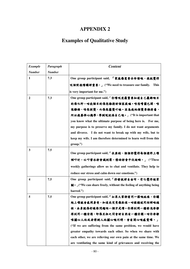# **APPENDIX 2**

# **Examples of Qualitative Study**

| <b>Example</b> | Paragraph     | <b>Content</b>                                                   |
|----------------|---------------|------------------------------------------------------------------|
| <b>Number</b>  | <b>Number</b> |                                                                  |
| 1              | 7.3           | One group participant said, 「家庭係需要去珍惜嘅,我就覺得                      |
|                |               | 呢個對我嚟講好重要。」 ("We need to treasure our family.<br><b>This</b>     |
|                |               | is very important for me.")                                      |
| 2              | 7.3           | One group participant said, 「你嚟呢度最紧要知道自己最终嘅目                     |
|                |               | 的係乜野。咁我個目的係想維持好個家庭嘛。唔想嘈團巴閉,唔                                     |
|                |               | 想離婚,唔想掟煲,而係想箍煲吖嘛。因為我地個煲要維持番,                                     |
|                |               | 所以我要俾心機學,學到呢就係自己嘅。」("It is important that                        |
|                |               | you know what the ultimate purpose of being here is. For me,     |
|                |               | my purpose is to preserve my family. I do not want arguments     |
|                |               | and divorce. I do not want to break up with my wife, but to      |
|                |               | keep my wife. I am therefore determined to learn well from this  |
|                |               | group.'')                                                        |
| 3              | 7.5           | One group participant said, 「在座的, 個個都覺得每個禮拜上擊                    |
|                |               | 傾吓計,吐吓苦水都會減到壓,情緒都會平伏返啲。」("These                                  |
|                |               | weekly gatherings allow us to chat and ventilate. They help to   |
|                |               |                                                                  |
|                |               | reduce our stress and calm down our emotions.")                  |
| 4              | 7.5           | One group participant said, 「抒發就好自由呀, 有乜覺得被禁                     |
|                |               | 制· J("We can share freely, without the feeling of anything being |
|                |               | barred.")                                                        |
| 5              | 7.5           | One group participant said, 「如果大家都有同一樣嘅病痛, 你講                    |
|                |               | 起上嚟就會感同身受,知道我究竟係點樣。咁樣講述同埋傾嘅過                                     |
|                |               | 程,本身就係舒緩你問題嘅一個方式嚟。你得到同一種發洩亦都                                     |
|                |               | 得到同一種安慰,即係互相之間會好自然有一種安慰。咁你亦都                                     |
|                |               | <b>喺關心人地或者得到人地關心嘅同時,會有開心嘅感覺囉。」</b>                               |
|                |               | ("If we are suffering from the same problem, we would have       |
|                |               | greater empathy towards each other. So when we share with        |
|                |               | each other, we are relieving our own pain at the same time. We   |
|                |               | are ventilating the same kind of grievances and receiving the    |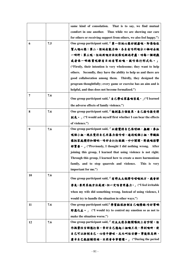|    |     | same kind of consolation.<br>That is to say, we find mutual        |
|----|-----|--------------------------------------------------------------------|
|    |     | comfort in one another. Thus while we are showing our care         |
|    |     | for others or receiving support from others, we also feel happy.") |
| 6  | 7.5 | One group participant said, 「第一佢地心態好健康嘅, 即係唸住                      |
|    |     | 幫人嘅心態;第二, 佢地有能力啦, 各自有唔同嘅分工啦咁去做                                     |
|    |     | 一啲野;第三呢,佢地用嘅方法就像呢經過考慮,咁每一個遊戲                                       |
|    |     | 或者係一啲鍊習呢都有目的有幫助嘅,就唔係行形式化。」                                         |
|    |     | ("Firstly, their intention is very wholesome; they want to help    |
|    |     | others. Secondly, they have the ability to help us and there are   |
|    |     | good collaboration among them. Thirdly, they designed the          |
|    |     | program thoughtfully; every game or exercise has an aim and is     |
|    |     | helpful, and thus does not become formalized.")                    |
| 7  | 7.6 | One group participant said, 「自己學咗家暴嘅害處。」("I learned                |
|    |     | the adverse effects of family violence.")                          |
| 8  | 7.6 | One group participant said, 「諗到暴力個後果, 自己接唔接受得                      |
|    |     | 到先 • J ("I would ask myself first whether I can bear the effects   |
|    |     | of violence.")                                                     |
| 9  | 7.6 | One group participant said, 「以前覺得自己係啱晒,無錯。參加                       |
|    |     | 呢個小組, 現在覺得自己用暴力係唔啱。通過呢個小組, 學識點                                     |
|    |     | 樣把家庭攪得和諧啲,唔好去打打殺殺、吵吵鬧鬧,對我嘅影響                                       |
|    |     | 好緊要 • 」 ("Previously, I thought I did nothing wrong. After         |
|    |     | joining this group, I learned that using violence is not right.    |
|    |     | Through this group, I learned how to create a more harmonious      |
|    |     | family, and to stop quarrels and violence.<br>This is very         |
|    |     | important for me.")                                                |
| 10 | 7.6 | One group participant said, 「有時太太做得唔啱嘅地方, 我會好                      |
|    |     | 勞氣,要用其他方法處理,但一定唔會用暴力。」("I feel irritable                           |
|    |     | when my wife did something wrong. Instead of using violence, I     |
|    |     | would try to handle the situation in other ways.")                 |
| 11 | 7.6 | One group participant said, 學習點樣控制自己嘅情緒,唔好等啲                       |
|    |     | 野恩化左。」 ("I would try to control my emotion so as not to            |
|    |     | make the situation worse.")                                        |
| 12 | 7.6 | One group participant said, 「同太太復合期間喺街上有吵鬧, 佢                      |
|    |     | 作挑繫性言語想打架。幸好自己想起小組嘅片段,學到嘅嘢,使                                       |
|    |     |                                                                    |
|    |     | 自己可以控制自己,心情平静咗,反而叫佢安静。事後很高興,                                       |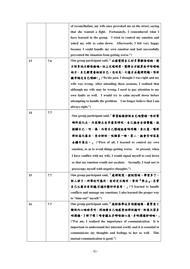|    |     | of reconciliation, my wife once provoked me on the street, saying  |  |  |  |  |
|----|-----|--------------------------------------------------------------------|--|--|--|--|
|    |     | that she wanted a fight. Fortunately, I remembered what I          |  |  |  |  |
|    |     | have learned in the group. I tried to control my emotion and       |  |  |  |  |
|    |     | asked my wife to calm down. Afterwards, I felt very happy          |  |  |  |  |
|    |     | because I could handle my own emotion and had successfully         |  |  |  |  |
|    |     | prevented the situation from getting worse.")                      |  |  |  |  |
| 13 | 7.6 | One group participant said, 「以前覺得自己好多事都係啱晒,對                       |  |  |  |  |
|    |     | 方好多地方都係錯嘅。但上完呢啲堂,覺得女方就算有咩唔啱嘅                                       |  |  |  |  |
|    |     | 地方,自己都需要檢討自己。忍咗先,之後才去處理問題。唔好                                       |  |  |  |  |
|    |     | 经常認定自己啱晒。」 ("In the past, I thought I was right and my             |  |  |  |  |
|    |     | wife was wrong. After attending these sessions, I realized that    |  |  |  |  |
|    |     | although my wife may be wrong, I need to pay attention to my       |  |  |  |  |
|    |     | own faults as well. I would try to calm myself down before         |  |  |  |  |
|    |     | attempting to handle the problem. I no longer believe that I am    |  |  |  |  |
|    |     | always right.")                                                    |  |  |  |  |
| 14 | 7.7 |                                                                    |  |  |  |  |
|    |     | One group participant said, <sup>[</sup> 學習點樣控制自已嘅情绪, 唔好等          |  |  |  |  |
|    |     | 啲野惡化左,而家變左有矛盾果時呢,自己就會有個警號,就                                        |  |  |  |  |
|    |     | 提醒自己,呀,像,而家自己情绪就有啲問题,要注意,唔好                                        |  |  |  |  |
|    |     | 俾佢惡化落去,要冷卻佢,呢個第一啦。第二,就會有咁容易                                        |  |  |  |  |
|    |     | 去鑽牛角尖。」 ("First of all, I learned to control my own                |  |  |  |  |
|    |     | emotion, so as to avoid things getting worse. At present, when     |  |  |  |  |
|    |     | I have conflict with my wife, I would signal myself to cool down   |  |  |  |  |
|    |     | so that my emotion would not escalate. Secondly, I tend not to     |  |  |  |  |
|    |     | preoccupy myself with negative thoughts.")                         |  |  |  |  |
| 15 | 7.7 | One group participant said, 「處理衝突, 控制情緒。學習多了,                      |  |  |  |  |
|    |     | 對人好了。所學的可應用,有時更不夠用,常用『停止』。其實                                       |  |  |  |  |
|    |     | 自己之前亦有用過,不過不懂好好善用。」("I learned to handle                           |  |  |  |  |
|    |     | conflicts and manage my emotions. I also learned the proper way    |  |  |  |  |
|    |     | to "time-out" myself.")                                            |  |  |  |  |
| 16 | 7.7 | One group participant said, 「我都係學咗多啲溝通囉,最緊要了                       |  |  |  |  |
|    |     | 解佢内心嘅世界呀,同埋將自己嘅感受話俾佢聽呀,即係大家多                                       |  |  |  |  |
|    |     | <b>啲溝通、了解下喔!唔會擺太多嘢喺個心度,多啲溝通好啲嘅。」</b>                               |  |  |  |  |
|    |     | ("For me, I realized the importance of communication.<br>It is     |  |  |  |  |
|    |     | important to understand her internal world, and it is essential to |  |  |  |  |
|    |     | communicate my thoughts and feelings to her as well.<br>This       |  |  |  |  |
|    |     | mutual communication is good.")                                    |  |  |  |  |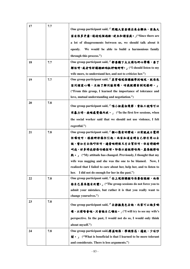| 17 | 7.7 | One group participant said, 「問題大家要講出來去解決, 因為大                                 |
|----|-----|-------------------------------------------------------------------------------|
|    |     | 家有很多矛盾,通過呢個過程,建立和諧家庭。」("Since there are                                       |
|    |     | a lot of disagreements between us, we should talk about it                    |
|    |     | We would be able to build a harmonious family<br>openly.                      |
|    |     | through this process.")                                                       |
| 18 | 7.7 | One group participant said,「都要聽下太太講乜嘢心聲囉,要了                                   |
|    |     | 解佢呀,或者唔好講埋晒啲批評嘅嘢呀。」("I should listen to my                                    |
|    |     | wife more, to understand her, and not to criticize her.")                     |
| 19 | 7.7 | One group participant said,「其實喺呢個課程學到嘅呢,就係包                                   |
|    |     | 容同埋爱心囉,互相了解同協商囉,咁我就體會到呢樣嘢。」                                                   |
|    |     | ("From this group, I learned the importance of tolerance and                  |
|    |     | love, mutual understanding and negotiation.")                                 |
| 20 | 7.8 |                                                                               |
|    |     | One group participant said, 「喺小組最初幾節,當社工說唔可以                                  |
|    |     | 用暴力時,我嘅感覺係內疚。」("In the first few sessions, when                               |
|    |     | the social worker said that we should not use violence, I felt                |
|    |     | regretful.")                                                                  |
| 21 | 7.8 | One group participant said, 「個心態有啲變咗。以前就成日覺得                                  |
|    |     | 佢囉唆呀,樣樣嘢都係佢引起。而家知道有時自己都有用心去                                                   |
|    |     | 做,譬如冇去氹吓佢呀,適當嘅時候又冇去幫佢呀,佢有時講嘢                                                  |
|    |     | 叫我,好多時我都係唔睬佢呀。即係以前做得唔夠,真係做得唔                                                  |
|    |     | 夠 • 」 ("My attitude has changed. Previously, I thought that my                |
|    |     | wife was nagging and she was the one to be blamed. Now, I                     |
|    |     | realized that I failed to care about her, help her, and to listen to          |
|    |     | I did not do enough for her in the past.")<br>her.                            |
| 22 | 7.8 | One group participant said, 「你上呢個課程唔係要你認錯,而係                                  |
|    |     | 你自己真像想有改變。」 ("The group sessions do not force you to                          |
|    |     | admit your mistakes, but rather it is that you really want to                 |
|    |     | change yourselves.")                                                          |
| 23 | 7.8 | One group participant said, 「去掉換角色去諗, 而家可以諗多啲                                 |
|    |     | 喔,以前唔會嘅,只會諗自己嗰面。」("I will try to see my wife's                                |
|    |     | perspective. In the past, I would not do so, I would only think               |
|    |     | about myself.")                                                               |
| 24 | 7.8 | One group participant said,得益嘅係,學識容忍,遷就,少咗吵                                   |
|    |     | 鬧 • $\blacksquare$ ("What is beneficial is that I learned to be more tolerant |
|    |     | and considerate. There is less arguments.")                                   |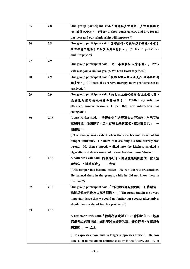| 25 | 7.8  | One group participant said, 「對伴侶多啲關懷,多啲照顧同愛                            |
|----|------|------------------------------------------------------------------------|
|    |      | 心, 關係就會好。」 ("I try to show concern, care and love for my               |
|    |      | partners and our relationship will improve.")                          |
| 26 | 7.8  | One group participant said, 改吓佢呀, 而家乜都肯做囉, 嘻嘻!                         |
|    |      | 所以咪有回報囉!而家真係用心付出。」 ("I try to please her                               |
|    |      | and it repays.")                                                       |
| 27 | 7.9  | One group participant said, 「另一半都参加,大家學習。」 ("My                        |
|    |      | wife also join a similar group. We both learn together.")              |
| 28 | 7.9  | One group participant said, 我認為呢兩個人去見,可以解決既問                           |
|    |      | 題多啲 • 」 ("If both of us receive therapy, more problems can be          |
|    |      | resolved.")                                                            |
| 29 | 7.9  | One group participant said, 「我太太上過呢啲堂,佢上完堂之後,                          |
|    |      | 我感覺到佢同我嘅相處係變咗架!」 ("After my wife has                                   |
|    |      | attended similar sessions, I feel that our interaction has             |
|    |      | changed!")                                                             |
| 30 | 7.13 | A caseworker said, 「改變係先生大聲罵太太佢知衰,自己又這                                 |
|    |      | 樣發脾氣,後來停了,走入廚房食煙飲凍水,就冷靜自己」                                             |
|    |      | 個案社工                                                                   |
|    |      | ("The change was evident when the men became aware of his              |
|    |      | temper tantrums. He knew that scolding his wife fiercely was           |
|    |      | He then stopped, walked into the kitchen, smoked a<br>wrong.           |
|    |      | cigarette, and drank some cold water to calm himself down.")           |
| 31 | 7.13 | A batterer's wife said,脾氣都好了,他現在能夠抑壓住,他上堂                              |
|    |      | 識這些 ,以前唔會」 – 太太                                                        |
|    |      | ("His temper has become better. He can tolerate frustrations.          |
|    |      | He learned these in the groups, while he did not know these in         |
|    |      | the past,")                                                            |
| 32 | 7.13 | One group participant said, 「因為俾我好緊要既嘢,打係唔得,                           |
|    |      | 你用其他辦法能夠去解決問題。」 ("The group taught me a very                           |
|    |      | important issue that we could not batter our spouse; alternatives      |
|    |      | should be considered to solve problems")                               |
| 33 | 7.13 |                                                                        |
|    |      | A batterer's wife said, 「他現在多說話了,不會抑壓自己,最後                             |
|    |      | 都很多說話同我講講孩子將來讀書的事好咗好多,咩事都會                                             |
|    |      | 講出來」 - 太太                                                              |
|    |      | ("He expresses more and no longer suppresses himself.<br>He now        |
|    |      | talks a lot to me, about children's study in the future, etc.<br>A lot |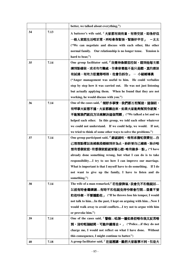|    |      | better, we talked about everything,")                                              |
|----|------|------------------------------------------------------------------------------------|
| 34 | 7.13 | A batterer's wife said, 「大家都有商有量, 有得交談, 即係好似                                       |
|    |      | 一般人家庭生活咁正常,再唔會像緊張,緊張好辛苦」<br>一太太                                                    |
|    |      | ("We can negotiate and discuss with each other, like other                         |
|    |      | normal family. Our relationship is no longer tense. Tension is                     |
|    |      | hard to bear,")                                                                    |
| 35 | 7.14 | One group facilitator said, 「我覺得像憤怒控制,聽到他每次都                                       |
|    |      | 講到點樣做,或者有冇難處,你會發覺他不是只是聽,真的應該                                                       |
|    |      | 有試過,有地方佢覺得唔得,他會告訴你」 – 小組輔導員                                                        |
|    |      | ("Anger management was useful to him. He could verbalize                           |
|    |      | step by step how it was carried out. He was not just listening                     |
|    |      | but actually applying them. When he found that they are not                        |
|    |      | working, he would discuss with you.")                                              |
| 36 | 7.14 | One of the cases said, 「傾好多事情,我們都互相幫助,這個組,                                         |
|    |      | 有咩事大家想不通,大家都講出來,如果大家能夠幫到你就幫,                                                       |
|    |      | 不能幫我們就找方法來解決這個問題」("We talked a lot and we                                          |
|    |      | helped each other. In this group, we told each other whatever                      |
|    |      | we could not understand. If we could help, we would. If not,                       |
|    |      | we tried to think of some other ways to solve the problems.")                      |
| 37 | 7.14 | One group participant said, 「錯就錯咗,唯有承擔呢個責任自                                        |
|    |      | 己想想點樣以後補救段婚姻到好為止,始終要自己補救。除非唔                                                       |
|    |      | 想有番個家庭,有番個家庭就要留心聽,唯有做多一點」("I have                                                  |
|    |      | already done something wrong, but what I can do is to take                         |
|    |      | responsibilityI try to see how I can improve our marriage.                         |
|    |      | What is important is that I myself have to do something. If I do                   |
|    |      | not want to give up the family, I have to listen and do                            |
|    |      | something.")                                                                       |
| 38 | 7.14 | The wife of a man remarked, 若他發脾氣, 我會先不和他說話                                        |
|    |      | 以前有時會繼續講…有時不和他說免得吵架會行開…盡量不要                                                        |
|    |      | 和他吵架,不要煽動他」 ("If he throws lose his temper, I would                                |
|    |      | not talk to himIn the past, I kept on arguing with himNow I                        |
|    |      | would walk away to avoid conflictsI try not to argue with him<br>or provoke him.") |
| 39 | 7.14 | One of the cases said, 「警察唸深一層如果佢唔告我又反思唔                                           |
|    |      | 到,沒咗呢個結局,可能仲錯落去。」 ("Policeif they do not                                           |
|    |      | charge me, I would not reflect on what I have done. Without                        |
|    |      | this consequence, I might continue to batter.")                                    |
| 40 | 7.18 | A group facilitator said, 「 在這裡講,雖然大家故事不同,但是大                                      |
|    |      |                                                                                    |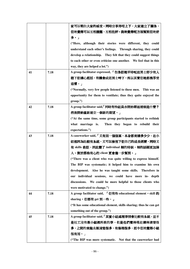|    |      | 家可以明白大家的感受。同時分享得咁上下,大家建立了關係,                                        |
|----|------|---------------------------------------------------------------------|
|    |      | 佢地覺得可以互相提醒,互相批評。我地覺得呢方面幫到佢地好                                        |
|    |      | 多。」                                                                 |
|    |      | ("Here, although their stories were different, they could           |
|    |      | understand each other's feelings. Through sharing, they could       |
|    |      | develop a relationship. They felt that they could suggest things    |
|    |      | to each other or even criticize one another. We feel that in this   |
|    |      | way, they are helped a lot.")                                       |
| 41 | 7.18 | A group facilitator expressed, 「但係佢地平時呢班男士好少有人                      |
|    |      | 聽下佢講心底話,有機會成班男士呻下,所以其實佢地都幾享受                                        |
|    |      | 這樣・」                                                                |
|    |      | ("Normally, very few people listened to these men. This was an      |
|    |      | opportunity for them to ventilate; thus they quite enjoyed the      |
|    |      | $group$ .")                                                         |
| 42 | 7.18 | A group facilitator said,「同時有些組員亦開始睇返婚姻是什麼?                         |
|    |      | 然後開始重新建立一個新的期望。」                                                    |
|    |      | ("At the same time, some group participants started to rethink      |
|    |      | what marriage is.<br>Then they began to rebuild their               |
|    |      | expectations.")                                                     |
| 43 | 7.18 | A caseworker said, 「又有另一個個案,本身都肯講多少少, 在小                            |
|    |      | 組裡因為比較有系統,又可以檢視下佢自己的成長經歷,同時又                                        |
|    |      | 有 skills 教佢,因此變了 individual 傾的時候,傾的話題更加深                            |
|    |      |                                                                     |
|    |      |                                                                     |
|    |      | 入。對於那些有心的 client 更會進一步幫到。」                                          |
|    |      | ("There was a client who was quite willing to express himself.      |
|    |      | The BIP was systematic; it helped him to examine his own            |
|    |      | development. Also he was taught some skills. Therefore in           |
|    |      | our individual sessions, we could have more in- depth               |
|    |      | discussions. We could be more helpful to those clients who          |
|    |      | were motivated to change.")                                         |
| 44 | 7.18 | A group facilitator said, 「佢有些 educational element, skill 的         |
|    |      | sharing, 佢都有 get 到一些。」                                              |
|    |      | ("It has some educational element, skills sharing; thus he can get  |
|    |      | something out of the group.")                                       |
| 45 | 7.18 | A group facilitator said, 「其實小組處理事情會比較有系統,並不                        |
|    |      | 是社工沒有教小組裡所教的事,但是他們覺得現在講得清楚很                                         |
|    |      | 多,之間的來龍去脈清楚很多、有條理很多,而令佢地覺得小組                                        |
|    |      | 很有用。」<br>("The BIP was more systematic. Not that the caseworker had |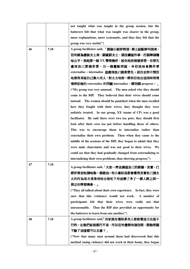|    |      | not taught what was taught in the group session, but the         |
|----|------|------------------------------------------------------------------|
|    |      | batterers felt that what was taught was clearer in the group,    |
|    |      | more explanations, more systematic, and thus they felt that the  |
|    |      | group was very useful.")                                         |
| 46 | 7.18 | A group facilitator said, 「我個小組好特別,男士話點解叫我來,                     |
|    |      | 佢地認為應該女士來,罸就罸女士,跟住講返件事,打個陣個種                                     |
|    |      | 唔公平 · 我地那一組 XX 帶得幾好,話你地有兩個茶煲,你要先                                 |
|    |      | 處理自己那個茶煲,另一個遲點再說,令佢地唔會將件事                                        |
|    |      | externalize, internalize 返處理自己個茶煲先。跟住去到中間佢                       |
|    |      | 地都有承認自己像大男人,對太太唔好·睇到佢地在這段時間慢                                     |
|    |      | 慢將佢地的 externalize 的問題 internalize,睇到個 progress • 」               |
|    |      | ("My group was very unusual. The men asked why they should       |
|    |      | come to the BIP. They believed that their wives should come      |
|    |      | instead. The women should be punished when the men recalled      |
|    |      | how they fought with their wives; they thought they were         |
|    |      | unfairly treated. In our group, XX (name of CP) was a good       |
|    |      | facilitator. He said there were two tea pots; they should first  |
|    |      |                                                                  |
|    |      | look after their own tea pot before handling those of others.    |
|    |      | This was to encourage them to internalize rather than            |
|    |      | externalize their own problem. Then when they came to the        |
|    |      | middle of the sessions of the BIP, they began to admit that they |
|    |      | were male chauvinists and was not good to their wives. We        |
|    |      | could see that they had gradually changed from externalizing to  |
|    |      | internalizing their own problems, thus showing progress.")       |
| 47 | 7.18 | A group facilitator said, 「大家一齊去講返自己的經驗, 其實, 已                   |
|    |      | 經好肯定呢個唔係一個做法·有小量組員都會覺得其實自己個太                                     |
|    |      | 太的行為是否真像咁唔合理呢?咁就變了多了一個人際之間一                                      |
|    |      | 個互相學習機會・」                                                        |
|    |      | ("They all talked about their own experience. In fact, they were |
|    |      | sure that this (violence) would not work.<br>A number of         |
|    |      | participants felt that their wives were really not that          |
|    |      | unreasonable. Thus the BIP also provided an opportunity for      |
|    |      | the batterers to learn from one another.")                       |
| 48 | 7.18 | A group facilitator said,「而家連身邊很多男人都發覺這方法是不                      |
|    |      | 行的,在他們家裡都行不通,所以佢地覺得有個空間,開始想聽                                     |
|    |      | <b>下除了這樣還可以怎樣?」</b>                                              |
|    |      | ("Now that many men around them had discovered that this         |
|    |      | method (using violence) did not work in their home, they began   |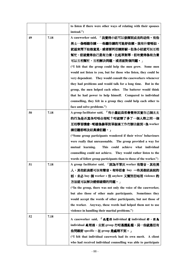|    |      | to listen if there were other ways of relating with their spouses |  |  |  |
|----|------|-------------------------------------------------------------------|--|--|--|
|    |      | instead.")                                                        |  |  |  |
| 49 | 7.18 | A caseworker said, 「我覺得小組可以發揮到成長的功效。有些                            |  |  |  |
|    |      | 男士一係唔聽你講,一些聽你講的可能好依賴。我有什麼唔掂,                                      |  |  |  |
|    |      | 就返來問下姑娘意見,或者要同佢傾好耐。但像小組就可以互相                                      |  |  |  |
|    |      | 幫忙,佢就覺得自己是有力量。比起單對單,佢地覺得係有力量                                      |  |  |  |
|    |      | 可以互相幫忙,互相解決問題,或者面對個問題。」                                           |  |  |  |
|    |      | ("I felt that the group could help the men grow. Some men         |  |  |  |
|    |      | would not listen to you, but for those who listen, they could be  |  |  |  |
|    |      | very dependent. They would consult the caseworkers whenever       |  |  |  |
|    |      | they had problems and would talk for a long time. But in the      |  |  |  |
|    |      | group, the men helped each other. The batterer would think        |  |  |  |
|    |      | that he had power to help himself. Compared to individual         |  |  |  |
|    |      | counselling, they felt in a group they could help each other to   |  |  |  |
|    |      | face and solve problems.")                                        |  |  |  |
| 50 | 7.18 | A group facilitator said, 「有小量組員都會覺得其實自己個太太                       |  |  |  |
|    |      | 的行為是否真像咁唔合理呢?咁 <b>就變了</b> 多了一個人際之間一個                              |  |  |  |
|    |      | 互相學習機會・呢樣係靠單對單個案工作冇辦法做到・係 worker                                  |  |  |  |
|    |      | 講佢聽都唔及組員講佢聽・」                                                     |  |  |  |
|    |      | ("Some group participants wondered if their wives' behaviours     |  |  |  |
|    |      | were really that unreasonable. The group provided a way for       |  |  |  |
|    |      | This could achieve what individual<br>mutual learning.            |  |  |  |
|    |      | counselling could not achieve. They would rather listen to the    |  |  |  |
|    |      | words of fellow group participants than to those of the worker.") |  |  |  |
| 51 | 7.18 | A group facilitator said, 「因為不單只 worker 有聲音,其他男                   |  |  |  |
|    |      | 人,其他組員都可以有聲音。有時佢會 buy 一些其他組員說的                                    |  |  |  |
|    |      | 話,未必 buy 個 worker。但 anyhow 又幫到佢唔用 violence 的                      |  |  |  |
|    |      | 方法就可以解決婚姻破裂的問題。」                                                  |  |  |  |
|    |      | ("In the group, there was not only the voice of the caseworker,   |  |  |  |
|    |      | but also those of other male participants.<br>Sometimes they      |  |  |  |
|    |      | would accept the words of other participants, but not those of    |  |  |  |
|    |      | the worker. Anyway, these words had helped them not to use        |  |  |  |
|    |      | violence in handling their marital problems.")                    |  |  |  |
| 52 | 7.18 | A caseworker said, 「我覺得 individual 有 individual 好, 因為             |  |  |  |
|    |      | individual 處理過,去到 group 冇咁易攪亂檔。另一些就是佢有                            |  |  |  |
|    |      | 些問題好 specific,在 group 是處理不到。 」                                    |  |  |  |
|    |      | ("I felt that individual casework had its own merit. A client     |  |  |  |
|    |      | who had received individual counselling was able to participate   |  |  |  |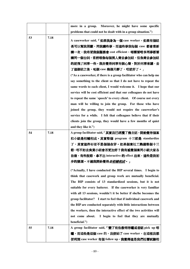|    |      | more in a group. Moreover, he might have some specific                                                                                                                                                                                                                                                                                                                                                                                                                                                                                                                                                                                                                                                                                                                            |
|----|------|-----------------------------------------------------------------------------------------------------------------------------------------------------------------------------------------------------------------------------------------------------------------------------------------------------------------------------------------------------------------------------------------------------------------------------------------------------------------------------------------------------------------------------------------------------------------------------------------------------------------------------------------------------------------------------------------------------------------------------------------------------------------------------------|
|    |      | problems that could not be dealt with in a group situation.")                                                                                                                                                                                                                                                                                                                                                                                                                                                                                                                                                                                                                                                                                                                     |
| 53 | 7.18 | A caseworker said, 「如果我身為一個 case worker, 如果有個組<br>長可以幫我照顧,同我講些事,而這些事我每個 case 都會重新<br>講一次,我希望我個服務會 cost efficient,唔需要咁多同事都要<br>講同一個台詞,當然唔係每個男人肯去参加組,但係肯去参加組<br>的就飛了同事一些 · 我亦覺得同事有個心聲, 對於同事來講, 去<br>了這個組之後,呢個 case 幾個月靜了,咁就好了。」<br>("As a caseworker, if there is a group facilitator who can help me<br>say something to the client so that I do not have to repeat the<br>same words to each client, I would welcome it. I hope that our<br>service will be cost efficient and that our colleagues do not have<br>to repeat the same `speech' to every client. Of course not every<br>man will be willing to join the group. For those who have<br>joined the group, they would not require the caseworker's<br>service for a while. I felt that colleagues believe that if their |
|    |      | clients join the group, they would have a few months of quiet                                                                                                                                                                                                                                                                                                                                                                                                                                                                                                                                                                                                                                                                                                                     |
| 54 | 7.18 | and they like it.")                                                                                                                                                                                                                                                                                                                                                                                                                                                                                                                                                                                                                                                                                                                                                               |
|    |      | A group facilitator said, 「其實我已經攪了幾次組, 開始覺得個案<br>和小組是相輔相成。其實整個 program 十三節是 standardize                                                                                                                                                                                                                                                                                                                                                                                                                                                                                                                                                                                                                                                                                           |
|    |      | 了,其實這件衫並不是個個合穿。如果個案社工熟識整個十三                                                                                                                                                                                                                                                                                                                                                                                                                                                                                                                                                                                                                                                                                                                                                       |
|    |      | 節,咁不如去負責小組會否更加好?我有感覺個案同小組大家各                                                                                                                                                                                                                                                                                                                                                                                                                                                                                                                                                                                                                                                                                                                                                      |
|    |      | 自做,有些脫節,拿不出 interactive 的 effect 出來,這些是我初                                                                                                                                                                                                                                                                                                                                                                                                                                                                                                                                                                                                                                                                                                                                         |
|    |      | 步的猜測。不過我開始覺得 <i>是相輔相成</i> 。」                                                                                                                                                                                                                                                                                                                                                                                                                                                                                                                                                                                                                                                                                                                                                      |
|    |      |                                                                                                                                                                                                                                                                                                                                                                                                                                                                                                                                                                                                                                                                                                                                                                                   |
|    |      | ("Actually, I have conducted the BIP several times. I begin to                                                                                                                                                                                                                                                                                                                                                                                                                                                                                                                                                                                                                                                                                                                    |
|    |      | think that casework and group work are mutually beneficial.                                                                                                                                                                                                                                                                                                                                                                                                                                                                                                                                                                                                                                                                                                                       |
|    |      | The BIP consists of 13 standardized sessions, but it is not                                                                                                                                                                                                                                                                                                                                                                                                                                                                                                                                                                                                                                                                                                                       |
|    |      | suitable for every batterer. If the caseworker is very familiar                                                                                                                                                                                                                                                                                                                                                                                                                                                                                                                                                                                                                                                                                                                   |
|    |      | with all 13 sessions, wouldn't it be better if she/he becomes the                                                                                                                                                                                                                                                                                                                                                                                                                                                                                                                                                                                                                                                                                                                 |
|    |      | group facilitator? I start to feel that if individual casework and                                                                                                                                                                                                                                                                                                                                                                                                                                                                                                                                                                                                                                                                                                                |
|    |      | the BIP are conducted separately with little interactions between                                                                                                                                                                                                                                                                                                                                                                                                                                                                                                                                                                                                                                                                                                                 |
|    |      | the workers, then the interactive effect of the two activities will                                                                                                                                                                                                                                                                                                                                                                                                                                                                                                                                                                                                                                                                                                               |
|    |      | not come about.<br>I begin to feel that they are mutually<br>beneficial.")                                                                                                                                                                                                                                                                                                                                                                                                                                                                                                                                                                                                                                                                                                        |
| 55 | 7.18 | A group facilitator said, 「變了有些教唔得曬或者組 pick up 唔                                                                                                                                                                                                                                                                                                                                                                                                                                                                                                                                                                                                                                                                                                                                  |
|    |      | 曬,而這些是這個 case 的,我便給了 case worker,在這裡我都                                                                                                                                                                                                                                                                                                                                                                                                                                                                                                                                                                                                                                                                                                                                            |
|    |      | 便利到 case worker 有個 follow up,我覺得這是我們社署試驗相                                                                                                                                                                                                                                                                                                                                                                                                                                                                                                                                                                                                                                                                                                                                         |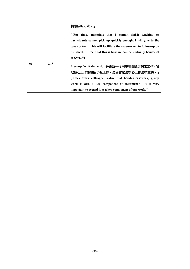|    |      | 輔相成的方法。」<br>("For those materials that I cannot finish teaching or<br>participants cannot pick up quickly enough, I will give to the<br>caseworker. This will facilitate the caseworker to follow-up on<br>the client. I feel that this is how we can be mutually beneficial<br>at $SWD$ .") |
|----|------|----------------------------------------------------------------------------------------------------------------------------------------------------------------------------------------------------------------------------------------------------------------------------------------------|
| 56 | 7.18 | A group facilitator said, 「是否每一位同事明白除了個案工作,我<br>地核心工作像包括小組工作。是否當它是核心工作是很重要。」<br>"Does every colleague realize that besides casework, group<br>work is also a key component of treatment? It is very<br>important to regard it as a key component of our work.")                              |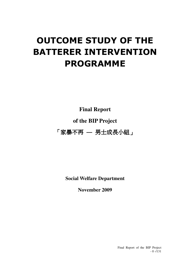# OUTCOME STUDY OF THE BATTERER INTERVENTION PROGRAMME

**Final Report** 

# **of the BIP Project**

「家暴不再 **—** 男士成長小組」

**Social Welfare Department** 

**November 2009** 

Final Report of the BIP Project  $-0 -1131$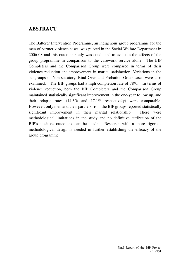# **ABSTRACT**

The Batterer Intervention Programme, an indigenous group programme for the men of partner violence cases, was piloted in the Social Welfare Department in 2006-08 and this outcome study was conducted to evaluate the effects of the group programme in comparison to the casework service alone. The BIP Completers and the Comparison Group were compared in terms of their violence reduction and improvement in marital satisfaction. Variations in the subgroups of Non-statutory, Bind Over and Probation Order cases were also examined. The BIP groups had a high completion rate of 78%. In terms of violence reduction, both the BIP Completers and the Comparison Group maintained statistically significant improvement in the one-year follow up, and their relapse rates (14.3% and 17.1% respectively) were comparable. However, only men and their partners from the BIP groups reported statistically significant improvement in their marital relationship. There were methodological limitations in the study and no definitive attribution of the BIP's positive outcomes can be made. Research with a more rigorous methodological design is needed in further establishing the efficacy of the group programme.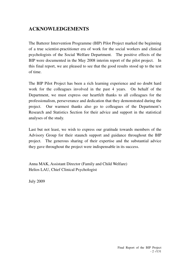# **ACKNOWLEDGEMENTS**

The Batterer Intervention Programme (BIP) Pilot Project marked the beginning of a true scientist-practitioner era of work for the social workers and clinical psychologists of the Social Welfare Department. The positive effects of the BIP were documented in the May 2008 interim report of the pilot project. In this final report, we are pleased to see that the good results stood up to the test of time.

The BIP Pilot Project has been a rich learning experience and no doubt hard work for the colleagues involved in the past 4 years. On behalf of the Department, we must express our heartfelt thanks to all colleagues for the professionalism, perseverance and dedication that they demonstrated during the project. Our warmest thanks also go to colleagues of the Department's Research and Statistics Section for their advice and support in the statistical analyses of the study.

Last but not least, we wish to express our gratitude towards members of the Advisory Group for their staunch support and guidance throughout the BIP project. The generous sharing of their expertise and the substantial advice they gave throughout the project were indispensable in its success.

Anna MAK, Assistant Director (Family and Child Welfare) Helios LAU, Chief Clinical Psychologist

July 2009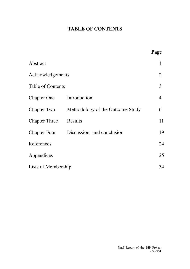# **TABLE OF CONTENTS**

|                          |                                  | Page           |  |
|--------------------------|----------------------------------|----------------|--|
| Abstract                 |                                  | 1              |  |
| Acknowledgements         |                                  |                |  |
| <b>Table of Contents</b> |                                  |                |  |
| <b>Chapter One</b>       | Introduction                     | $\overline{4}$ |  |
| <b>Chapter Two</b>       | Methodology of the Outcome Study | 6              |  |
| <b>Chapter Three</b>     | Results                          | 11             |  |
| <b>Chapter Four</b>      | Discussion and conclusion        | 19             |  |
| References               |                                  | 24             |  |
| Appendices               |                                  | 25             |  |
| Lists of Membership      |                                  | 34             |  |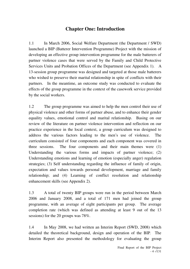# **Chapter One: Introduction**

1.1 In March 2006, Social Welfare Department (the Department / SWD) launched a BIP (Batterer Intervention Programme) Project with the mission of developing an effective group intervention programme for the male batterers of partner violence cases that were served by the Family and Child Protective Services Units and Probation Offices of the Department (see Appendix 1). A 13-session group programme was designed and targeted at those male batterers who wished to preserve their marital relationship in spite of conflicts with their partners. In the meantime, an outcome study was conducted to evaluate the effects of the group programme in the context of the casework service provided by the social workers.

1.2 The group programme was aimed to help the men control their use of physical violence and other forms of partner abuse, and to enhance their gender equality values, emotional control and marital relationship. Basing on our review of the literature on partner violence intervention and reflection on our practice experience in the local context, a group curriculum was designed to address the various factors leading to the men's use of violence. The curriculum consisted of four components and each component was covered in three sessions. The four components and their main themes were (1) Understanding the various forms and impacts of partner violence; (2) Understanding emotions and learning of emotion (especially anger) regulation strategies; (3) Self understanding regarding the influence of family of origin, expectation and values towards personal development, marriage and family relationship; and (4) Learning of conflict resolution and relationship enhancement skills (see Appendix 2).

1.3 A total of twenty BIP groups were run in the period between March 2006 and January 2008, and a total of 171 men had joined the group programme, with an average of eight participants per group. The average completion rate (which was defined as attending at least 9 out of the 13 sessions) for the 20 groups was 78%.

1.4 In May 2008, we had written an Interim Report (SWD, 2008) which detailed the theoretical background, design and operation of the BIP. The Interim Report also presented the methodology for evaluating the group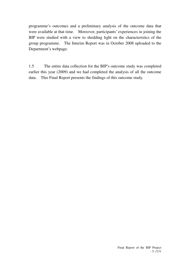programme's outcomes and a preliminary analysis of the outcome data that were available at that time. Moreover, participants' experiences in joining the BIP were studied with a view to shedding light on the characteristics of the group programme. The Interim Report was in October 2008 uploaded to the Department's webpage.

1.5 The entire data collection for the BIP's outcome study was completed earlier this year (2009) and we had completed the analysis of all the outcome data. This Final Report presents the findings of this outcome study.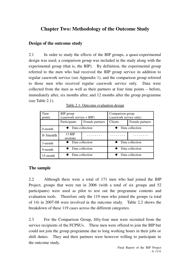# **Chapter Two: Methodology of the Outcome Study**

### **Design of the outcome study**

2.1 In order to study the effects of the BIP groups, a quasi-experimental design was used; a comparison group was included in the study along with the experimental group (that is, the BIP). By definition, the experimental group referred to the men who had received the BIP group service in addition to regular casework service (see Appendix 1), and the comparison group referred to those men who received regular casework service only. Data were collected from the men as well as their partners at four time points – before, immediately after, six months after, and 12 months after the group programme (see Table 2.1).

| Time<br>points | BIP group<br>$(casework service + BIP)$ |                 | Comparison group<br>(casework service only) |                 |
|----------------|-----------------------------------------|-----------------|---------------------------------------------|-----------------|
|                | Participants                            | Female partners | Clients                                     | Female partners |
| $0$ -month     | Data collection                         |                 |                                             | Data collection |
| $0-3$ month    | 13 BIP<br>sessions                      |                 |                                             |                 |
| 3-month        | Data collection                         |                 |                                             | Data collection |
| 9-month        | Data collection                         |                 | Data collection                             |                 |
| $15$ -month    | Data collection                         |                 | Data collection                             |                 |

Table 2.1: Outcome evaluation design

### **The sample**

2.2 Although there were a total of 171 men who had joined the BIP Project, groups that were run in 2006 (with a total of six groups and 52 participants) were used as pilot to test out the programme contents and evaluation tools. Therefore only the 119 men who joined the groups (a total of 14) in 2007-08 were involved in the outcome study. Table 2.2 shows the breakdown of these 119 cases across the different categories.

2.3 For the Comparison Group, fifty-four men were recruited from the service recipients of the FCPSUs. These men were offered to join the BIP but could not join the group programme due to long working hours in their jobs or shift duties. They and their partners were however willing to participate in the outcome study.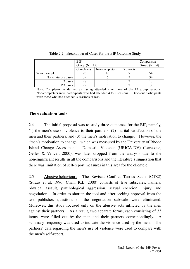|                     | <b>BIP</b><br>Group $(N=119)$ | Comparison<br>Group $(N=54)$ |           |    |
|---------------------|-------------------------------|------------------------------|-----------|----|
|                     | Completers                    | Non-completers               | Drop-outs |    |
| Whole sample        | 96                            |                              |           | 54 |
| Non-statutory cases | 39                            |                              |           | 34 |
| <b>BO</b> cases     | 28                            |                              |           |    |
| PO cases            |                               |                              |           |    |

Table 2.2 : Breakdown of Cases for the BIP Outcome Study

Note: Completion is defined as having attended 9 or more of the 13 group sessions. Non-completers were participants who had attended 4 to 8 sessions. Drop-out participants were those who had attended 3 sessions or less.

### **The evaluation tools**

2.4 The initial proposal was to study three outcomes for the BIP, namely, (1) the men's use of violence to their partners, (2) marital satisfaction of the men and their partners, and (3) the men's motivation to change. However, the "men's motivation to change", which was measured by the University of Rhode Island Change Assessment – Domestic Violence (URICA-DV) (Levesque, Gelles & Velicer, 2000), was later dropped from the analysis due to the non-significant results in all the comparisons and the literature's suggestion that there was limitation of self-report measures in this area for the clientele.

2.5 Abusive behaviours The Revised Conflict Tactics Scale (CTS2) (Straus et al, 1996; Chan, K.L, 2000) consists of five subscales, namely, physical assault, psychological aggression, sexual coercion, injury, and negotiation. In order to shorten the tool and after seeking approval from the test publisher, questions on the negotiation subscale were eliminated. Moreover, this study focused only on the abusive acts inflicted by the men against their partners. As a result, two separate forms, each consisting of 33 items, were filled out by the men and their partners correspondingly. A summary frequency was used to indicate the violence used by the men. The partners' data regarding the men's use of violence were used to compare with the men's self-report.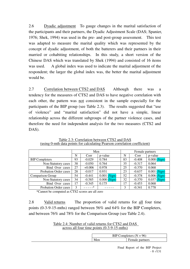2.6 Dyadic adjustment To gauge changes in the marital satisfaction of the participants and their partners, the Dyadic Adjustment Scale (DAS; Spanier, 1976; Shek, 1994) was used in the pre- and post-group assessment. This test was adapted to measure the marital quality which was represented by the concept of dyadic adjustment, of both the batterers and their partners in their married or cohabiting relationships. In this study, a short version of the Chinese DAS which was translated by Shek (1994) and consisted of 16 items was used. A global index was used to indicate the marital adjustment of the respondent; the larger the global index was, the better the marital adjustment would be.

2.7 Correlation between CTS2 and DAS Although there was a tendency for the measures of CTS2 and DAS to have negative correlation with each other, the pattern was not consistent in the sample especially for the participants of the BIP group (see Table 2.3). The results suggested that "use of violence" and "marital satisfaction" did not have a simple, linear relationship across the different subgroups of the partner violence cases, and therefore the need for independent analysis for the two measures (CTS2 and DAS).

|                              | Men |          |                | Female partners |          |                |
|------------------------------|-----|----------|----------------|-----------------|----------|----------------|
|                              | N   | Corr     | p-value        | N               | Corr     | p-value        |
| <b>BIP</b> Completers        | 93  | $-0.029$ | 0.784          | 83              | $-0.408$ | $0.000$ (Sign) |
| Non-Statutory cases          | 38  | $-0.050$ | 0.764          | 35              | $-0.317$ | 0.064          |
| Bind Over cases              | 27  | $+0.006$ | 0.978          | 25              | $-0.370$ | 0.068          |
| <b>Probation Order cases</b> | 28  | $-0.017$ | 0.931          | 23              | $-0.637$ | $0.001$ (Sign) |
| <b>Comparison Group</b>      | 54  | $-0.441$ | $0.001$ (Sign) | 52              | $-0.378$ | $0.006$ (Sign) |
| Non-Statutory cases          | 34  | $-0.585$ | $0.000$ (Sign) | 32              | $-0.370$ | $0.037$ (Sign) |
| Bind Over cases              | 17  | $-0.345$ | 0.175          | 17              | $-0.453$ | 0.068          |
| <b>Probation Order cases</b> | 3   | $\ast$   |                | 3               | $-0.341$ | 0.778          |

Table 2.3: Correlation between CTS2 and DAS (using 0-mth data points for calculating Pearson correlation coefficient)

\*Cannot be computed as CTS2 scores are all zero

2.8 Valid returns The proportion of valid returns for all four time points (0-3-9-15-mths) ranged between 56% and 64% for the BIP Completers, and between 76% and 78% for the Comparison Group (see Table 2.4).

> Table 2.4: Number of valid returns for CTS2 and DAS across all four time points (0-3-9-15-mths)

| <b>BIP C</b> | Completers $(N = 96)$ |
|--------------|-----------------------|
| Men          | Female<br>partners    |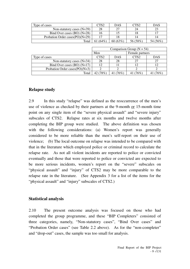| Type of cases                      | CTS2       | <b>DAS</b> | CTS2     | DAS      |
|------------------------------------|------------|------------|----------|----------|
| Non-statutory cases $(N=39)$       | 28         |            | 24       |          |
| Bind Over cases $(BO) (N=28)$      | 10         |            |          |          |
| Probation Order cases $(PO)(N=29)$ |            |            |          |          |
| Total                              | 61 $(64%)$ | 60(63%)    | 56 (58%) | 54 (56%) |

|                                   | Comparison Group ( $N = 54$ ) |            |        |            |  |
|-----------------------------------|-------------------------------|------------|--------|------------|--|
|                                   | Men<br>Female partners        |            |        |            |  |
| Type of cases                     | CTS <sub>2</sub>              | <b>DAS</b> | CTS2   | <b>DAS</b> |  |
| Non-statutory cases $(N=34)$      | 28                            | 28         | 27     |            |  |
| Bind Over cases (BO) $(N=17)$     | 12                            |            | 12     |            |  |
| Probation Order cases $(PO)(N=3)$ |                               |            |        |            |  |
| Total                             | 42 (78%)                      | 76%)       | $76\%$ |            |  |

### **Relapse study**

2.9 In this study "relapse" was defined as the reoccurrence of the men's use of violence as checked by their partners at the 9-month or 15-month time point on any single item of the "severe physical assault" and "severe injury" subscales of CTS2. Relapse rates at six months and twelve months after completing the BIP group were studied. The above definition was chosen with the following considerations: (a) Women's report was generally considered to be more reliable than the men's self-report on their use of violence; (b) The local outcome on relapse was intended to be compared with that in the literature which employed police or criminal record to calculate the relapse rate. As not all violent incidents are reported to police or convicted eventually and those that were reported to police or convicted are expected to be more serious incidents, women's report on the "severe" subscales on "physical assault" and "injury" of CTS2 may be more comparable to the relapse rate in the literature. (See Appendix 3 for a list of the items for the "physical assault" and "injury" subscales of CTS2.)

### **Statistical analysis**

2.10 The present outcome analysis was focused on those who had completed the group programme, and these "BIP Completers" consisted of three categories, namely, "Non-statutory cases", "Bind Over cases" and "Probation Order cases" (see Table 2.2 above). As for the "non-completer" and "drop-out" cases, the sample was too small for analysis.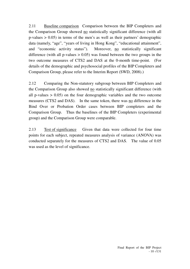2.11 Baseline comparison Comparison between the BIP Completers and the Comparison Group showed no statistically significant difference (with all  $p$ -values  $> 0.05$ ) in terms of the men's as well as their partners' demographic data (namely, "age", "years of living in Hong Kong", "educational attainment", and "economic activity status"). Moreover, no statistically significant difference (with all p-values  $> 0.05$ ) was found between the two groups in the two outcome measures of CTS2 and DAS at the 0-month time-point. (For details of the demographic and psychosocial profiles of the BIP Completers and Comparison Group, please refer to the Interim Report (SWD, 2008).)

2.12 Comparing the Non-statutory subgroup between BIP Completers and the Comparison Group also showed no statistically significant difference (with all p-values  $> 0.05$ ) on the four demographic variables and the two outcome measures (CTS2 and DAS). In the same token, there was no difference in the Bind Over or Probation Order cases between BIP completers and the Comparison Group. Thus the baselines of the BIP Completers (experimental group) and the Comparison Group were comparable.

2.13 Test of significance Given that data were collected for four time points for each subject, repeated measures analysis of variance (ANOVA) was conducted separately for the measures of CTS2 and DAS. The value of 0.05 was used as the level of significance.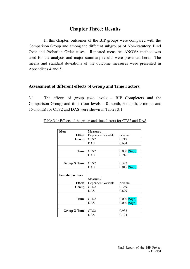# **Chapter Three: Results**

 In this chapter, outcomes of the BIP groups were compared with the Comparison Group and among the different subgroups of Non-statutory, Bind Over and Probation Order cases. Repeated measures ANOVA method was used for the analysis and major summary results were presented here. The means and standard deviations of the outcome measures were presented in Appendices 4 and 5.

### **Assessment of different effects of Group and Time Factors**

3.1 The effects of group (two levels – BIP Completers and the Comparison Group) and time (four levels – 0-month, 3-month, 9-month and 15-month) for CTS2 and DAS were shown in Tables 3.1.

| Men                    | Measure /          |                  |
|------------------------|--------------------|------------------|
| <b>Effect</b>          | Dependent Variable | p-value          |
| Group                  | CTS2               | 0.717            |
|                        | <b>DAS</b>         | 0.674            |
|                        |                    |                  |
| <b>Time</b>            | CTS <sub>2</sub>   | $0.000$ (Sign)   |
|                        | <b>DAS</b>         | 0.216            |
|                        |                    |                  |
| <b>Group X Time</b>    | CTS <sub>2</sub>   | 0.373            |
|                        | <b>DAS</b>         | $0.015$ (Sign)   |
|                        |                    |                  |
| <b>Female partners</b> |                    |                  |
|                        | Measure /          |                  |
| <b>Effect</b>          | Dependent Variable | p-value          |
| Group                  | CTS <sub>2</sub>   | 0.369            |
|                        | <b>DAS</b>         | 0.899            |
|                        |                    |                  |
| Time                   | CTS <sub>2</sub>   | $0.000$ $(Sign)$ |
|                        | <b>DAS</b>         | $0.040$ (Sign)   |
|                        |                    |                  |
| <b>Group X Time</b>    | CTS <sub>2</sub>   | 0.933            |
|                        | <b>DAS</b>         | 0.124            |
|                        |                    |                  |

| Table 3.1: Effects of the group and time factors for CTS2 and DAS |
|-------------------------------------------------------------------|
|-------------------------------------------------------------------|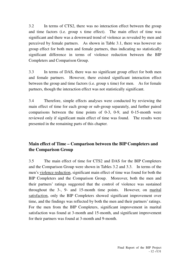3.2 In terms of CTS2, there was no interaction effect between the group and time factors (i.e. group x time effect). The main effect of time was significant and there was a downward trend of violence as revealed by men and perceived by female partners. As shown in Table 3.1, there was however no group effect for both men and female partners, thus indicating no statistically significant difference in terms of violence reduction between the BIP Completers and Comparison Group.

3.3 In terms of DAS, there was no significant group effect for both men and female partners. However, there existed significant interaction effect between the group and time factors (i.e. group x time) for men. As for female partners, though the interaction effect was not statistically significant.

3.4 Therefore, simple effects analyses were conducted by reviewing the main effect of time for each group or sub-group separately, and further paired comparisons between the time points of 0-3, 0-9, and 0-15-month were reviewed only if significant main effect of time was found. The results were presented in the remaining parts of this chapter.

# **Main effect of Time – Comparison between the BIP Completers and the Comparison Group**

3.5 The main effect of time for CTS2 and DAS for the BIP Completers and the Comparison Group were shown in Tables 3.2 and 3.3. In terms of the men's violence reduction, significant main effect of time was found for both the BIP Completers and the Comparison Group. Moreover, both the men and their partners' ratings suggested that the control of violence was sustained throughout the 3-, 9- and 15-month time points. However, on marital satisfaction, only the BIP Completers showed significant improvement over time, and the findings was reflected by both the men and their partners' ratings. For the men from the BIP Completers, significant improvement in marital satisfaction was found at 3-month and 15-month, and significant improvement for their partners was found at 3-month and 9-month.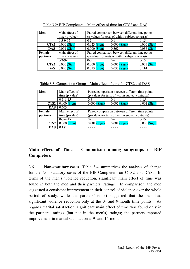| Men              | Main effect of | Paired comparison between different time points  |                |                |  |  |
|------------------|----------------|--------------------------------------------------|----------------|----------------|--|--|
|                  | time (p-value) | (p-values for tests of within subject contrasts) |                |                |  |  |
|                  | $0-3-9-15$     | $0-3$                                            | $0 - 9$        | $0 - 15$       |  |  |
| CTS <sub>2</sub> | $0.000$ (Sign) | $0.023$ (Sign)                                   | $0.000$ (Sign) | $0.000$ (Sign) |  |  |
| <b>DAS</b>       | $0.001$ (Sign) | $0.000$ (Sign)                                   | 0.362          | $0.038$ (Sign) |  |  |
| Female           | Main effect of | Paired comparison between different time points  |                |                |  |  |
| <i>partners</i>  | time (p-value) | (p-values for tests of within subject contrasts) |                |                |  |  |
|                  | $0-3-9-15$     | $0 - 3$                                          | $0 - 9$        | $0 - 15$       |  |  |
| CTS <sub>2</sub> | $0.000$ (Sign) | $0.000$ (Sign)                                   | $0.002$ (Sign) | $0.001$ (Sign) |  |  |
| <b>DAS</b>       | $0.026$ (Sign) | $0.013$ (Sign)                                   | $0.035$ (Sign) | 0.114          |  |  |

Table 3.2: BIP Completers – Main effect of time for CTS2 and DAS

Table 3.3: Comparison Group – Main effect of time for CTS2 and DAS

| Men              | Main effect of | Paired comparison between different time points  |                |                |  |  |
|------------------|----------------|--------------------------------------------------|----------------|----------------|--|--|
|                  | time (p-value) | (p-values for tests of within subject contrasts) |                |                |  |  |
|                  | $0-3-9-15$     | $0 - 9$<br>$0-15$<br>$0-3$                       |                |                |  |  |
| CTS <sub>2</sub> | $0.000$ (Sign) | $0.000$ (Sign)                                   | $0.002$ (Sign) | $0.001$ (Sign) |  |  |
| <b>DAS</b>       | 0.503          |                                                  |                |                |  |  |
| Female           | Main effect of | Paired comparison between different time points  |                |                |  |  |
| partners         | time (p-value) | (p-values for tests of within subject contrasts) |                |                |  |  |
|                  | $0-3-9-15$     | $0-3$                                            | $0-9$          | $0 - 15$       |  |  |
| CTS <sub>2</sub> | $0.000$ (Sign) | $0.001$ (Sign)                                   | $0.001$ (Sign) | $0.000$ (Sign) |  |  |
| <b>DAS</b>       | 0.181          |                                                  |                |                |  |  |

# **Main effect of Time – Comparison among subgroups of BIP Completers**

3.6 **Non-statutory cases** Table 3.4 summarizes the analysis of change for the Non-statutory cases of the BIP Completers on CTS2 and DAS. In terms of the men's violence reduction, significant main effect of time was found in both the men and their partners' ratings. In comparison, the men suggested a consistent improvement in their control of violence over the whole period of study, while the partners' report suggested that the men had significant violence reduction only at the 3- and 9-month time points. As regards marital satisfaction, significant main effect of time was found only in the partners' ratings (but not in the men's) ratings; the partners reported improvement in marital satisfaction at 9- and 15-month.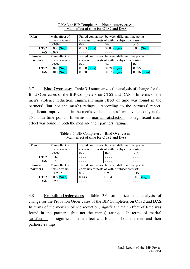| Men              | Main effect of | Paired comparison between different time points  |                |                |  |  |
|------------------|----------------|--------------------------------------------------|----------------|----------------|--|--|
|                  | time (p-value) | (p-values for tests of within subject contrasts) |                |                |  |  |
|                  | $0-3-9-15$     | $0 - 3$                                          | $0 - 9$        | $0-15$         |  |  |
| CTS <sub>2</sub> | $0.000$ (Sign) | $0.003$ (Sign)                                   | $0.002$ (Sign) | $0.000$ (Sign) |  |  |
| <b>DAS</b>       | 0.097          |                                                  |                |                |  |  |
| Female           | Main effect of | Paired comparison between different time points  |                |                |  |  |
| partners         | time (p-value) | (p-values for tests of within subject contrasts) |                |                |  |  |
|                  | $0-3-9-15$     | $0 - 3$                                          | $0 - 9$        | $0 - 15$       |  |  |
| CTS <sub>2</sub> | $0.020$ (Sign) | $0.000$ (Sign)                                   | $0.024$ (Sign) | 0.095          |  |  |
| <b>DAS</b>       | $0.015$ (Sign) | 0.058                                            | $0.016$ (Sign) | $0.016$ (Sign) |  |  |

Table 3.4: BIP Completers – Non-statutory cases – Main effect of time for CTS2 and DAS

3.7 **Bind Over cases** Table 3.5 summarizes the analysis of change for the Bind Over cases of the BIP Completers on CTS2 and DAS. In terms of the men's violence reduction, significant main effect of time was found in the partners' (but not the men's) ratings. According to the partners' report, significant improvement in the men's violence control was evident only at the 15-month time point. In terms of marital satisfaction, no significant main effect was found in both the men and their partners' ratings.

| Men              | Main effect of<br>time (p-value) | Paired comparison between different time points<br>(p-values for tests of within subject contrasts) |         |                |  |
|------------------|----------------------------------|-----------------------------------------------------------------------------------------------------|---------|----------------|--|
|                  | $0-3-9-15$                       | $0-9$<br>$0 - 15$<br>$0-3$                                                                          |         |                |  |
| CTS <sub>2</sub> | 0.116                            |                                                                                                     |         |                |  |
| <b>DAS</b>       | 0.150                            |                                                                                                     |         |                |  |
| Female           | Main effect of                   | Paired comparison between different time points                                                     |         |                |  |
| partners         | time (p-value)                   | (p-values for tests of within subject contrasts)                                                    |         |                |  |
|                  | $0-3-9-15$                       | $0 - 3$                                                                                             | $0 - 9$ | $0-15$         |  |
| CTS <sub>2</sub> | $0.039$ (Sign)                   | 0.143                                                                                               | 0.194   | $0.010$ (Sign) |  |
| <b>DAS</b>       | 0.255                            |                                                                                                     |         |                |  |

Table 3.5: BIP Completers – Bind Over cases – Main effect of time for CTS2 and DAS

3.8 **Probation Order cases** Table 3.6 summarizes the analysis of change for the Probation Order cases of the BIP Completers on CTS2 and DAS. In terms of the men's violence reduction, significant main effect of time was found in the partners' (but not the men's) ratings. In terms of marital satisfaction, no significant main effect was found in both the men and their partners' ratings.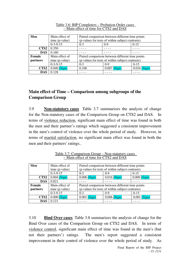| Men              | Main effect of | Paired comparison between different time points |                                                  |                |  |  |  |
|------------------|----------------|-------------------------------------------------|--------------------------------------------------|----------------|--|--|--|
|                  | time (p-value) |                                                 | (p-values for tests of within subject contrasts) |                |  |  |  |
|                  | $0-3-9-15$     | $0 - 3$                                         | $0 - 15$                                         |                |  |  |  |
| CTS <sub>2</sub> | 0.350          |                                                 |                                                  |                |  |  |  |
| <b>DAS</b>       | 0.160          |                                                 |                                                  |                |  |  |  |
| Female           | Main effect of |                                                 | Paired comparison between different time points  |                |  |  |  |
| partners         | time (p-value) |                                                 | (p-values for tests of within subject contrasts) |                |  |  |  |
|                  | $0-3-9-15$     | $0 - 3$                                         | $0 - 9$                                          | $0-15$         |  |  |  |
| CTS <sub>2</sub> | $0.040$ (Sign) | 0.106                                           | $0.007$ (Sign)                                   | $0.016$ (Sign) |  |  |  |
| <b>DAS</b>       | 0.128          |                                                 |                                                  |                |  |  |  |

#### Table 3.6: BIP Completers – Probation Order cases – Main effect of time for CTS2 and DAS

## **Main effect of Time – Comparison among subgroups of the Comparison Group**

3.9 **Non-statutory cases** Table 3.7 summarizes the analysis of change for the Non-statutory cases of the Comparison Group on CTS2 and DAS. In terms of violence reduction, significant main effect of time was found in both the men and their partner's ratings which suggested a consistent improvement in the men's control of violence over the whole period of study. However, in terms of marital satisfaction, no significant main effect was found in both the men and their partners' ratings..

| Men              | Main effect of<br>time (p-value) | Paired comparison between different time points<br>(p-values for tests of within subject contrasts) |                                                  |                |  |  |  |  |
|------------------|----------------------------------|-----------------------------------------------------------------------------------------------------|--------------------------------------------------|----------------|--|--|--|--|
|                  | $0-3-9-15$                       | $0-3$                                                                                               | $0-15$<br>$0-9$                                  |                |  |  |  |  |
| CTS <sub>2</sub> | $0.004$ (Sign)                   | $0.006$ (Sign)                                                                                      | $0.016$ (Sign)                                   | $0.009$ (Sign) |  |  |  |  |
| <b>DAS</b>       | 0.821                            |                                                                                                     |                                                  |                |  |  |  |  |
| Female           | Main effect of                   |                                                                                                     | Paired comparison between different time points  |                |  |  |  |  |
| partners         | time (p-value)                   |                                                                                                     | (p-values for tests of within subject contrasts) |                |  |  |  |  |
|                  | $0-3-9-15$                       | $0-3$                                                                                               | $0 - 9$                                          | $0 - 15$       |  |  |  |  |
| CTS <sub>2</sub> | $0.000$ (Sign)                   | $0.001$ (Sign)                                                                                      | $0.006$ (Sign)                                   | $0.001$ (Sign) |  |  |  |  |
| <b>DAS</b>       | 0.121                            |                                                                                                     |                                                  |                |  |  |  |  |

Table 3.7: Comparison Group – Non-statutory cases – Main effect of time for CTS2 and DAS

3.10 **Bind Over cases** Table 3.8 summarizes the analysis of change for the Bind Over cases of the Comparison Group on CTS2 and DAS. In terms of violence control, significant main effect of time was found in the men's (but not their partners') ratings. The men's report suggested a consistent improvement in their control of violence over the whole period of study. As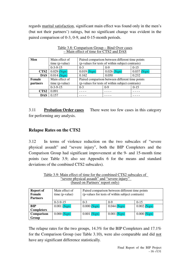regards marital satisfaction, significant main effect was found only in the men's (but not their partners') ratings, but no significant change was evident in the paired comparison of 0-3, 0-9, and 0-15-month periods.

| Men              | Main effect of | Paired comparison between different time points  |                                                  |                |  |  |  |
|------------------|----------------|--------------------------------------------------|--------------------------------------------------|----------------|--|--|--|
|                  | time (p-value) | (p-values for tests of within subject contrasts) |                                                  |                |  |  |  |
|                  | $0-3-9-15$     | $0 - 3$                                          | $0-9$                                            | $0-15$         |  |  |  |
| CTS <sub>2</sub> | $0.029$ (Sign) | $0.019$ (Sign)                                   | $0.026$ (Sign)                                   | $0.037$ (Sign) |  |  |  |
| <b>DAS</b>       | $0.014$ (Sign) | 0.162                                            | 0.050                                            | 0.232          |  |  |  |
| Female           | Main effect of |                                                  | Paired comparison between different time points  |                |  |  |  |
| partners         | time (p-value) |                                                  | (p-values for tests of within subject contrasts) |                |  |  |  |
|                  | $0-3-9-15$     | $0 - 3$                                          | $0 - 9$                                          | $0 - 15$       |  |  |  |
| CTS <sub>2</sub> | 0.091          |                                                  |                                                  |                |  |  |  |
| <b>DAS</b>       | 0.157          |                                                  |                                                  |                |  |  |  |

Table 3.8: Comparison Group – Bind Over cases – Main effect of time for CTS2 and DAS

3.11 **Probation Order cases** There were too few cases in this category for performing any analysis.

## **Relapse Rates on the CTS2**

3.12 In terms of violence reduction on the two subscales of "severe physical assault" and "severe injury", both the BIP Completers and the Comparison Group had significant improvement at the 9- and 15-month time points (see Table 3.9; also see Appendix 6 for the means and standard deviations of the combined CTS2 subscales).

| <b>Report of</b><br>Female<br><b>Partners</b> | Main effect of<br>time (p-value) | Paired comparison between different time points<br>(p-values for tests of within subject contrasts) |                |                |  |  |  |
|-----------------------------------------------|----------------------------------|-----------------------------------------------------------------------------------------------------|----------------|----------------|--|--|--|
|                                               | $0-3-9-15$                       | $0 - 3$                                                                                             | $0-9$          | $0 - 15$       |  |  |  |
| BIP                                           | $0.001$ (Sign)                   | $0.000$ (Sign)                                                                                      | $0.044$ (Sign) | $0.002$ (Sign) |  |  |  |
| <b>Completers</b>                             |                                  |                                                                                                     |                |                |  |  |  |
| Comparison                                    | $0.000$ (Sign)                   | $0.001$ (Sign)                                                                                      | $0.001$ (Sign) | $0.000$ (Sign) |  |  |  |
| Group                                         |                                  |                                                                                                     |                |                |  |  |  |

Table 3.9: Main effect of time for the combined CTS2 subscales of "severe physical assault" and "severe injury" (based on Partners' report only)

The relapse rates for the two groups, 14.3% for the BIP Completers and 17.1% for the Comparison Group (see Table 3.10), were also comparable and did not have any significant difference statistically.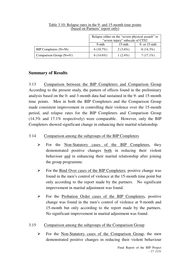|                           | Relapse either on the "severe physical assault" or<br>"severe injury" subscale of CTS2 |            |                 |  |  |  |
|---------------------------|----------------------------------------------------------------------------------------|------------|-----------------|--|--|--|
|                           | 9-mth                                                                                  | $15-$ mth  | 9- or $15$ -mth |  |  |  |
| BIP Completers $(N=56)$   | $6(10.7\%)$                                                                            | $2(3.6\%)$ | $8(14.3\%)$     |  |  |  |
| Comparison Group $(N=41)$ | $6(14.6\%)$                                                                            | $1(2.4\%)$ | $7(17.1\%)$     |  |  |  |

#### Table 3.10: Relapse rates in the 9- and 15-month time points (based on Partners' report only)

## **Summary of Results**

3.13 Comparison between the BIP Completers and Comparison Group According to the present study, the pattern of effects found in the preliminary analysis based on the 0- and 3-month data had sustained in the 9- and 15-month time points. Men in both the BIP Completers and the Comparison Group made consistent improvement in controlling their violence over the 15-month period, and relapse rates for the BIP Completers and Comparison Group (14.3% and 17.1% respectively) were comparable. However, only the BIP Completers showed significant change in enhancing their marital relationship.

## 3.14 Comparison among the subgroups of the BIP Completers

- $\triangleright$  For the Non-Statutory cases of the BIP Completers, they demonstrated positive changes both in reducing their violent behaviour and in enhancing their marital relationship after joining the group programme.
- $\triangleright$  For the Bind Over cases of the BIP Completers, positive change was found in the men's control of violence at the 15-month time point but only according to the report made by the partners. No significant improvement in marital adjustment was found.
- $\triangleright$  For the Probation Order cases of the BIP Completers, positive change was found in the men's control of violence at 9-month and 15-month but only according to the report made by the partners. No significant improvement in marital adjustment was found.

### 3.15 Comparison among the subgroups of the Comparison Group

 $\triangleright$  For the Non-Statutory cases of the Comparison Group, the men demonstrated positive changes in reducing their violent behaviour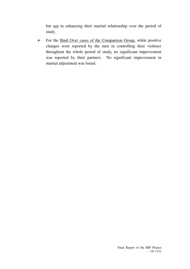but not in enhancing their marital relationship over the period of study.

 $\triangleright$  For the Bind Over cases of the Comparison Group, while positive changes were reported by the men in controlling their violence throughout the whole period of study, no significant improvement was reported by their partners. No significant improvement in marital adjustment was found.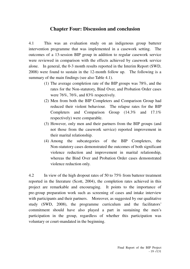## **Chapter Four: Discussion and conclusion**

4.1 This was an evaluation study on an indigenous group batterer intervention programme that was implemented in a casework setting. The outcomes of a 13-session BIP group in addition to regular casework service were reviewed in comparison with the effects achieved by casework service alone. In general, the 0-3 month results reported in the Interim Report (SWD, 2008) were found to sustain in the 12-month follow up. The following is a summary of the main findings (see also Table 4.1).

- (1) The average completion rate of the BIP groups was 78%, and the rates for the Non-statutory, Bind Over, and Probation Order cases were 76%, 76%, and 83% respectively.
- (2) Men from both the BIP Completers and Comparison Group had reduced their violent behaviour. The relapse rates for the BIP Completers and Comparison Group (14.3% and 17.1% respectively) were comparable.
- (3) However, only men and their partners from the BIP groups (and not those from the casework service) reported improvement in their marital relationship.
- (4) Among the subcategories of the BIP Completers, the Non-statutory cases demonstrated the outcomes of both significant violence reduction and improvement in marital relationship, whereas the Bind Over and Probation Order cases demonstrated violence reduction only.

4.2 In view of the high dropout rates of 50 to 75% from batterer treatment reported in the literature (Scott, 2004), the completion rates achieved in this project are remarkable and encouraging. It points to the importance of pre-group preparation work such as screening of cases and intake interview with participants and their partners. Moreover, as suggested by our qualitative study (SWD, 2008), the programme curriculum and the facilitators' commitment should have also played a part in sustaining the men's participation in the group, regardless of whether this participation was voluntary or court-mandated in the beginning.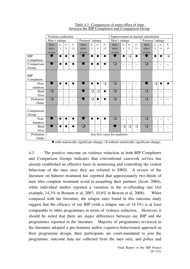|             | Violence reduction |                                    |      |           | Improvement in marital satisfaction |            |            |            |                              |            |            |            |                |                |       |            |
|-------------|--------------------|------------------------------------|------|-----------|-------------------------------------|------------|------------|------------|------------------------------|------------|------------|------------|----------------|----------------|-------|------------|
|             |                    | Partners' ratings<br>Men's ratings |      |           | Men's ratings<br>Partners' ratings  |            |            |            |                              |            |            |            |                |                |       |            |
|             | Main               | $0-$                               | $0-$ | $0-$      | Main                                | $() -$     | $O -$      | $0-$       | Main                         | $0 -$      | $() -$     | $0-$       | Main           | $0-$           | $O -$ | $() -$     |
|             | effect             | 3                                  | 9    | 15        | effect                              | 3          | 9          | 15         | effect                       | 3          | 9          | 15         | effect         | 3              | 9     | 15         |
|             | of time            |                                    |      |           | of time                             |            |            |            | of time                      |            |            |            | of time        |                |       |            |
| <b>BIP</b>  |                    |                                    |      |           |                                     |            |            |            |                              | $\bullet$  | $\bigcirc$ |            |                |                |       | $\bigcirc$ |
| Completers  |                    |                                    |      |           |                                     |            |            |            |                              |            |            |            |                |                |       |            |
| Comparison  |                    |                                    |      | $\bullet$ |                                     |            |            | ●          | $\overline{O}$               | $-$        | $-$        | $-$        | $\overline{O}$ | $-$            |       |            |
| Group       |                    |                                    |      |           |                                     |            |            |            |                              |            |            |            |                |                |       |            |
|             |                    |                                    |      |           |                                     |            |            |            |                              |            |            |            |                |                |       |            |
| <b>BIP</b>  |                    |                                    |      |           |                                     |            |            |            |                              |            |            |            |                |                |       |            |
| Completers  |                    |                                    |      |           |                                     |            |            |            |                              |            |            |            |                |                |       |            |
| Non-        |                    |                                    |      |           |                                     |            |            | $\bigcirc$ | $\overline{\text{O}}$        | $-$        |            |            |                | $\overline{O}$ |       |            |
| statutory   |                    |                                    |      |           |                                     |            |            |            |                              |            |            |            |                |                |       |            |
| <b>Bind</b> | $\bigcirc$         |                                    | $-$  | --        |                                     | $\bigcirc$ | $\bigcirc$ | ●          | $\overline{O}$               | --         | $-$        | --         | $\overline{O}$ | $-$            |       |            |
| Over        |                    |                                    |      |           |                                     |            |            |            |                              |            |            |            |                |                |       |            |
| Probation   | $\overline{O}$     | $-$                                | --   | --        |                                     | $\bigcirc$ |            |            | $\overline{O}$               | $-$        | --         | $-$        | $\overline{O}$ | $-$            |       |            |
| Order       |                    |                                    |      |           |                                     |            |            |            |                              |            |            |            |                |                |       |            |
|             |                    |                                    |      |           |                                     |            |            |            |                              |            |            |            |                |                |       |            |
| Comparison  |                    |                                    |      |           |                                     |            |            |            |                              |            |            |            |                |                |       |            |
| Group       |                    |                                    |      |           |                                     |            |            |            |                              |            |            |            |                |                |       |            |
| Non-        |                    |                                    |      |           |                                     |            |            |            | $\Omega$                     |            |            |            | $\bigcirc$     |                |       |            |
| statutory   |                    |                                    |      |           |                                     |            |            |            |                              |            |            |            |                |                |       |            |
| <b>Bind</b> |                    |                                    |      |           | ∩                                   |            |            |            |                              | $\bigcirc$ | $\circ$    | $\bigcirc$ | $\overline{O}$ | $-$            |       |            |
| Over        |                    |                                    |      |           |                                     |            |            |            |                              |            |            |            |                |                |       |            |
| Probation   |                    |                                    |      |           |                                     |            |            |            | (too few cases for analysis) |            |            |            |                |                |       |            |
| Order       |                    |                                    |      |           |                                     |            |            |            |                              |            |            |            |                |                |       |            |

Table 4.1: Comparison of main effect of time between the BIP Completers and Comparison Group

4.3 The positive outcome on violence reduction in both BIP Completers and Comparison Groups indicates that conventional casework service has already established an effective basis in monitoring and controlling the violent behaviour of the men once they are referred to SWD. A review of the literature on batterer treatment has reported that approximately two-thirds of men who complete treatment avoid re-assaulting their partners (Scott, 2004), while individual studies reported a variation in the re-offending rate (for example, 14.3% in Bennett et al, 2007; 10.8% in Bowen et al, 2008). When compared with the literature, the relapse rates found in this outcome study suggest that the efficacy of our BIP (with a relapse rate of 14.3%) is at least comparable to other programmes in terms of violence reduction. However, it should be noted that there are major differences between our BIP and the programmes reported in the literature. Majority of programmes reviewed in the literature adopted a pro-feminist and/or cognitive-behavioural approach in their programme design, their participants are court-mandated to join the programme, outcome data are collected from the men only, and police and

 $\bullet$  with statistically significant change;  $\bullet$  without statistically significant change;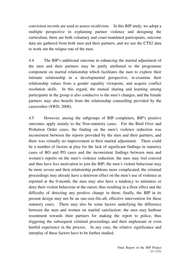conviction records are used to assess recidivism. In this BIP study, we adopt a multiple perspective in explaining partner violence and designing the curriculum, there are both voluntary and court-mandated participants, outcome data are gathered from both men and their partners, and we use the CTS2 data to work out the relapse rate of the men.

4.4 The BIP's additional outcome in enhancing the marital adjustment of the men and their partners may be partly attributed to the programme component on marital relationship which facilitates the men to explore their intimate relationship in a developmental perspective, re-examine their relationship values from a gender equality viewpoint, and acquire conflict resolution skills. In this regard, the mutual sharing and learning among participants in the group is also conducive to the men's changes, and the female partners may also benefit from the relationship counselling provided by the caseworker (SWD, 2008).

4.5 However, among the subgroups of BIP completers, BIP's positive outcomes apply mainly to the Non-statutory cases. For the Bind Over and Probation Order cases, the finding on the men's violence reduction was inconsistent between the reports provided by the men and their partners, and there was virtually no improvement in their marital adjustment. There could be a number of factors at play for the lack of significant findings in statutory cases of BO and PO cases and the inconsistent findings between men and women's reports on the men's violence reduction: the men may feel coerced and thus have less motivation to join the BIP; the men's violent behaviour may be more severe and their relationship problems more complicated; the criminal proceedings may already have a deterrent effect on the men's use of violence as reported at the 0-month; the men may also have a tendency to minimize or deny their violent behaviour at the outset, thus resulting in a floor effect and the difficulty of detecting any positive change in them; finally, the BIP in its present design may not be an one-size-fits-all, effective intervention for these statutory cases. There may also be some factors underlying the difference between the men and women on marital satisfaction: the men may harbour resentment towards their partners for making the report to police, thus triggering the subsequent criminal proceedings and their unpleasant or even hurtful experience in the process. In any case, the relative significance and interplay of these factors have to be further studied.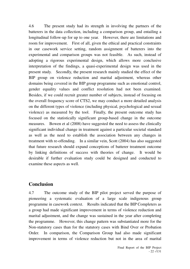4.6 The present study had its strength in involving the partners of the batterers in the data collection, including a comparison group, and entailing a longitudinal follow-up for up to one year. However, there are limitations and room for improvement. First of all, given the ethical and practical constraints in our casework service setting, random assignment of batterers into the experimental and comparison groups was not feasible. As such, instead of adopting a rigorous experimental design, which allows more conclusive interpretation of the findings, a quasi-experimental design was used in the present study. Secondly, the present research mainly studied the effect of the BIP group on violence reduction and marital adjustment, whereas other domains being covered in the BIP group programme such as emotional control, gender equality values and conflict resolution had not been examined. Besides, if we could recruit greater number of subjects, instead of focusing on the overall frequency score of CTS2, we may conduct a more detailed analysis on the different types of violence (including physical, psychological and sexual violence) as measured by the tool. Finally, the present outcome study has focused on the statistically significant group-based change in the outcome measures. Bowen et al (2008) have suggested the need to assess the clinically significant individual change in treatment against a particular societal standard as well as the need to establish the association between any changes in treatment with re-offending. In a similar vein, Scott (2004) has also suggested that future research should expand conceptions of batterer treatment outcome by linking definitions of success with theories of change. It would be desirable if further evaluation study could be designed and conducted to examine these aspects as well.

# **Conclusion**

4.7 The outcome study of the BIP pilot project served the purpose of pioneering a systematic evaluation of a large scale indigenous group programme in casework context. Results indicated that the BIP Completers as a group had made significant improvement in terms of violence reduction and marital adjustment, and the change was sustained in the year after completing the programme. However, this change pattern was substantiated more for the Non-statutory cases than for the statutory cases with Bind Over or Probation Order. In comparison, the Comparison Group had also made significant improvement in terms of violence reduction but not in the area of marital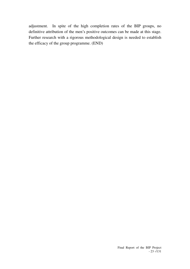adjustment. In spite of the high completion rates of the BIP groups, no definitive attribution of the men's positive outcomes can be made at this stage. Further research with a rigorous methodological design is needed to establish the efficacy of the group programme. (END)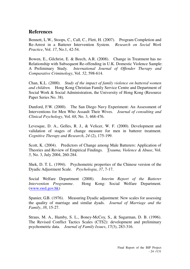## **References**

Bennett, L.W., Stoops, C., Call, C., Flett, H. (2007). Program Completion and Re-Arrest in a Batterer Intervention System. *Research on Social Work Practice*, Vol. *17*, No.1, 42-54.

Bowen, E., Gilchrist, E. & Beech, A.R. (2008). Change in Treatment has no Relationship with Subsequent Re-offending in U.K. Domestic Violence Sample: A Preliminary Study. *International Journal of Offender Therapy and Comparative Criminology*, Vol. *52*, 598-614.

Chan, K.L. (2000). *Study of the impact of family violence on battered women and children.* Hong Kong Christian Family Service Centre and Department of Social Work & Social Administration, the University of Hong Kong (Resource Paper Series No. 38).

Dunford, F.W. (2000). The San Diego Navy Experiment: An Assessment of Interventions for Men Who Assault Their Wives. *Journal of consulting and Clinical Psychology*, Vol. *68*, No. 3, 468-476.

Levesque, D. A., Gelles, R. J., & Velicer, W. F. (2000). Development and validation of stages of change measure for men in batterer treatment. *Cognitive Therapy and Research*, *24* (2), 175-199.

Scott, K. (2004). Predictors of Change among Male Batterers: Application of Theories and Review of Empirical Findings. T*rauma, Violence & Abuse*, Vol. *5*, No. 3, July 2004, 260-284.

Shek, D. T. L. (1994). Psychometric properties of the Chinese version of the Dyadic Adjustment Scale. *Psychologia*, *37*, 7-17.

Social Welfare Department (2008). *Interim Report of the Batterer Intervention Programme*. Hong Kong: Social Welfare Department. (www.swd.gov.hk)

Spanier, G.B. (1976). Measuring Dyadic adjustment: New scales for assessing the quality of marriage and similar dyads. *Journal of Marriage and the Family*, *38*, 15-27.

Straus, M. A., Hamby, S. L., Boney-McCoy, S., & Sugarman, D. B. (1996). The Revised Conflict Tactics Scales (CTS2): development and preliminary psychometric data. *Journal of Family Issues*, *17*(3), 283-316.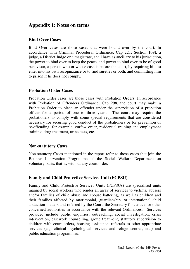## **Appendix 1: Notes on terms**

## **Bind Over Cases**

Bind Over cases are those cases that were bound over by the court. In accordance with Criminal Procedural Ordinance, Cap 221, Section 109I, a judge, a District Judge or a magistrate, shall have as ancillary to his jurisdiction, the power to bind over to keep the peace, and power to bind over to be of good behaviour, a person who or whose case is before the court, by requiring him to enter into his own recognizance or to find sureties or both, and committing him to prison if he does not comply.

## **Probation Order Cases**

Probation Order cases are those cases with Probation Orders. In accordance with Probation of Offenders Ordinance, Cap 298, the court may make a Probation Order to place an offender under the supervision of a probation officer for a period of one to three years. The court may require the probationers to comply with some special requirements that are considered necessary for securing good conduct of the probationers or for prevention of re-offending, for example, curfew order, residential training and employment training, drug treatment, urine tests, etc.

## **Non-statutory Cases**

Non-statutory Cases mentioned in the report refer to those cases that join the Batterer Intervention Programme of the Social Welfare Department on voluntary basis, that is, without any court order.

## **Family and Child Protective Services Unit (FCPSU)**

Family and Child Protective Services Units (FCPSUs) are specialised units manned by social workers who render an array of services to victims, abusers and/or families of child abuse and spouse battering, as well as children and their families affected by matrimonial, guardianship, or international child abduction matters and referred by the Court, the Secretary for Justice, or other concerned authorities in accordance with the relevant Ordinances. Services provided include public enquiries, outreaching, social investigation, crisis intervention, casework counselling, group treatment, statutory supervision to children with court orders, housing assistance, referrals to other appropriate services (e.g. clinical psychological services and refuge centres, etc.) and public education programmes.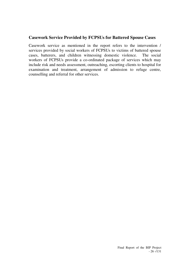### **Casework Service Provided by FCPSUs for Battered Spouse Cases**

Casework service as mentioned in the report refers to the intervention / services provided by social workers of FCPSUs to victims of battered spouse cases, batterers, and children witnessing domestic violence. The social workers of FCPSUs provide a co-ordinated package of services which may include risk and needs assessment, outreaching, escorting clients to hospital for examination and treatment, arrangement of admission to refuge centre, counselling and referral for other services.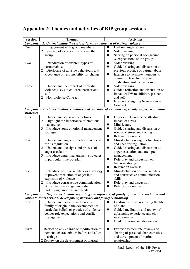# **Appendix 2: Themes and activities of BIP group sessions**

| <b>Session</b> | <b>Themes</b>                                                                                                                                                                                                                                                  | <b>Activities</b>                                                                                                                                                                                                                |
|----------------|----------------------------------------------------------------------------------------------------------------------------------------------------------------------------------------------------------------------------------------------------------------|----------------------------------------------------------------------------------------------------------------------------------------------------------------------------------------------------------------------------------|
|                | Component 1: Understanding the various forms and impacts of partner violence                                                                                                                                                                                   |                                                                                                                                                                                                                                  |
| One            | Engagement with group members<br>$\mathbf{1}$<br>$\overline{2}$<br>Sharing of expectations toward the<br>group                                                                                                                                                 | Ice-breaking exercise<br>◆<br>Video viewing<br>Sharing on personal background<br>$&$ expectations of the group                                                                                                                   |
| Two            | Introduction of different types of<br>1<br>partner abuse<br>2<br>Disclosure of abusive behaviours and<br>acceptance of responsibility for change                                                                                                               | Video viewing<br>Guided sharing and discussion on<br>previous practice of partner abuse<br>Exercise to facilitate members to<br>commit to take first step in<br>eradicating violence at home.                                    |
| Three          | Understand the impact of domestic<br>$\mathbf{1}$<br>violence (DV) to children, partner and<br>self<br>Non-violence Contract<br>2                                                                                                                              | Video viewing<br>Guided reflection and discussion on<br>impact of DV to children, partner<br>and self<br>Exercise of signing Non-violence<br>Contract                                                                            |
| strategies     | Component 2: Understanding emotions and learning of emotion (especially anger) regulation                                                                                                                                                                      |                                                                                                                                                                                                                                  |
| Four           | Understand stress and emotions<br>1<br>2<br>Highlight the importance of emotional<br>management<br>Introduce some emotional management<br>3<br>strategies                                                                                                      | Experiential exercise to illustrate<br>impact of stress<br>Mini-lecture<br>Guided sharing and discussion on<br>source of stress and coping<br>Relaxation exercise                                                                |
| Five           | Understand anger's functions and need<br>1<br>for its regulation<br>Understand the signs and process of<br>2<br>anger escalation<br>Introduce anger management strategies,<br>3<br>in particular time-out plan                                                 | Mini-lecture on anger's functions<br>◆<br>and need for regulation<br>Guided sharing and discussion on<br>anger escalation and attempted<br>management<br>Role-play and discussion on<br>time-out strategy<br>Relaxation exercise |
| Six            | Introduce positive self-talk as a strategy<br>1<br>to prevent escalation of anger into<br>explosion of violence<br>Introduce constructive communication<br>2<br>skills to express anger and other<br>underlying emotions and needs                             | Mini-lecture on positive self-talk<br>and constructive communication<br>skills<br>Role-play and discussion<br>Relaxation exercise                                                                                                |
|                | Component 3: Self understanding regarding the influence of family of origin, expectation and                                                                                                                                                                   |                                                                                                                                                                                                                                  |
| Seven          | values towards personal development, marriage and family relationship<br>Understand possible influence of<br>1<br>family of origin in the development of<br>particular beliefs or practice of violence,<br>gender role expectations and conflict<br>management | Lead-in exercise: reviewing the life<br>of plant<br>Guided meditation and review of<br>upbringing experience and clay<br>work exercise<br>Guided sharing and discussion                                                          |
| Eight          | 1 Reflect on any change or modification of<br>personal characteristics before and after<br>marriage<br>2 Review on the development of marital                                                                                                                  | Exercise to facilitate review and<br>sharing of personal characteristics<br>and development of marital<br>relationship                                                                                                           |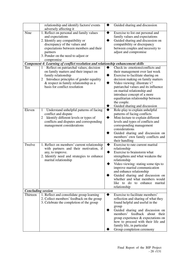|                           | relationship and identify factors/ events                                        | ◆ | Guided sharing and discussion        |
|---------------------------|----------------------------------------------------------------------------------|---|--------------------------------------|
|                           | adversely affecting it                                                           |   |                                      |
| Nine                      | 1. Reflect on personal and family values                                         | ◆ | Exercise to list out personal and    |
|                           | and expectations                                                                 |   | family values and expectations       |
|                           | 2. Identify any compatibility or                                                 |   | Guided sharing and discussion on     |
|                           | discrepancy of the values and                                                    |   | compatibility or discrepancy         |
|                           | expectations between members and their                                           |   | between couples and necessity to     |
|                           | partners                                                                         |   | adjust and compromise                |
|                           | 3. Ponder on the need to adjust or                                               |   |                                      |
|                           | compromise                                                                       |   |                                      |
|                           | Component 4: Learning of conflict resolution and relationship enhancement skills |   |                                      |
| Ten                       | Reflect on patriarchal values, decision<br>1                                     | ◆ | Check in-emotions/conflicts and      |
|                           | on family matters and their impact on                                            |   | their management over last week      |
|                           | family relationship                                                              | ◆ | Exercise to facilitate sharing on    |
|                           | Introduce principles of gender equality<br>2                                     |   | decision making on family matters    |
|                           | & respect in family relationship as a                                            | ◆ | Video viewing: illustrate v?         |
|                           | basis for conflict resolution                                                    |   | patriarchal values and its influence |
|                           |                                                                                  |   | on marital relationship and          |
|                           |                                                                                  |   | introduce concept of a more          |
|                           |                                                                                  |   | equalitarian relationship between    |
|                           |                                                                                  |   | the couple.                          |
|                           |                                                                                  |   | Guided sharing and discussion        |
| Eleven                    | Understand unhelpful patterns of facing<br>1                                     |   | Role-play to explain unhelpful       |
|                           | conflict and dispute                                                             |   | patterns of facing conflicts         |
|                           | Identify different levels or types of<br>$\overline{2}$                          | ◆ | Mini-lecture to explain different    |
|                           | conflicts and disputes and corresponding                                         |   | levels and types of conflicts and    |
|                           | management considerations                                                        |   | corresponding management             |
|                           |                                                                                  |   | considerations                       |
|                           |                                                                                  |   | Guided sharing and discussion on     |
|                           |                                                                                  |   | members' own family conflicts and    |
|                           |                                                                                  |   | their handling                       |
| Twelve                    | 1. Reflect on members' current relationship                                      |   | Exercise to rate current marital     |
|                           | with partners and their motivation, if                                           |   | relationship                         |
|                           | any, to improve.                                                                 |   | Exercise to brainstorm what          |
|                           | 2. Identify need and strategies to enhance                                       |   | strengthens and what weakens the     |
|                           | marital relationship                                                             |   | relationship                         |
|                           |                                                                                  |   | Video viewing: stating some tips to  |
|                           |                                                                                  |   | improve marital communication        |
|                           |                                                                                  |   | and enhance relationship             |
|                           |                                                                                  |   | Guided sharing and discussion on     |
|                           |                                                                                  |   | whether and what members would       |
|                           |                                                                                  |   | like to do to enhance marital        |
|                           |                                                                                  |   | relationship                         |
| <b>Concluding session</b> |                                                                                  |   |                                      |
| Thirteen                  | 1. Reflect and consolidate group learning                                        |   | Exercise to facilitate members'      |
|                           | 2. Collect members' feedback on the group                                        |   | reflection and sharing of what they  |
|                           | 3. Celebrate the completion of the group                                         |   | found helpful and useful in the      |
|                           |                                                                                  |   | group                                |
|                           |                                                                                  |   | Guided sharing and discussion on     |
|                           |                                                                                  |   | members' feedback<br>about<br>their  |
|                           |                                                                                  |   | group experience & expectations on   |
|                           |                                                                                  |   | how to proceed with their life and   |
|                           |                                                                                  |   | family life, in particular           |
|                           |                                                                                  |   | Group completion ceremony            |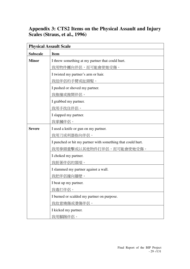# **Appendix 3: CTS2 Items on the Physical Assault and Injury Scales (Straus, et al., 1996)**

|                 | <b>Physical Assault Scale</b>                               |  |  |  |  |  |
|-----------------|-------------------------------------------------------------|--|--|--|--|--|
| <b>Subscale</b> | <b>Item</b>                                                 |  |  |  |  |  |
| <b>Minor</b>    | I threw something at my partner that could hurt.            |  |  |  |  |  |
|                 | 我用物件擲向伴侶,而可能會使她受傷。                                          |  |  |  |  |  |
|                 | I twisted my partner's arm or hair.                         |  |  |  |  |  |
|                 | <u>我扭伴侶的手臂或扯頭髮。</u>                                         |  |  |  |  |  |
|                 | I pushed or shoved my partner.                              |  |  |  |  |  |
|                 | 我推撞或推開伴侶。                                                   |  |  |  |  |  |
|                 | I grabbed my partner.                                       |  |  |  |  |  |
|                 | 我用手找住伴侶。                                                    |  |  |  |  |  |
|                 | I slapped my partner.                                       |  |  |  |  |  |
|                 | 我掌摑伴侶。                                                      |  |  |  |  |  |
| <b>Severe</b>   | I used a knife or gun on my partner.                        |  |  |  |  |  |
|                 | 我用刀或利器指向伴侶。                                                 |  |  |  |  |  |
|                 | I punched or hit my partner with something that could hurt. |  |  |  |  |  |
|                 | 我用拳頭重擊或以其他物件打伴侶,而可能會使她受傷。                                   |  |  |  |  |  |
|                 | I choked my partner.                                        |  |  |  |  |  |
|                 | 我扼著伴侶的頸項。                                                   |  |  |  |  |  |
|                 | I slammed my partner against a wall.                        |  |  |  |  |  |
|                 | 我把伴侶撞向牆壁。                                                   |  |  |  |  |  |
|                 | I beat up my partner.                                       |  |  |  |  |  |
|                 | 我毒打伴侶。                                                      |  |  |  |  |  |
|                 | I burned or scalded my partner on purpose.                  |  |  |  |  |  |
|                 | 我故意燒傷或燙傷伴侶。                                                 |  |  |  |  |  |
|                 | I kicked my partner.                                        |  |  |  |  |  |
|                 | 我用腳踢伴侶。                                                     |  |  |  |  |  |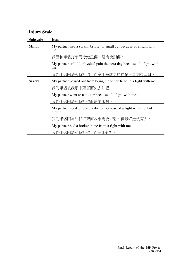| <b>Injury Scale</b> |                                                                                 |
|---------------------|---------------------------------------------------------------------------------|
| <b>Subscale</b>     | <b>Item</b>                                                                     |
| <b>Minor</b>        | My partner had a sprain, bruise, or small cut because of a fight with<br>me.    |
|                     | 我因和伴侶打架而令她扭傷、碰瘀或割傷。                                                             |
|                     | My partner still felt physical pain the next day because of a fight with<br>me. |
|                     | 我的伴侶因為和我打架,而令她造成身體痛楚,直到第二日。                                                     |
| <b>Severe</b>       | My partner passed out from being hit on the head in a fight with me.            |
|                     | 我的伴侶被我擊中頭部而失去知覺。                                                                |
|                     | My partner went to a doctor because of a fight with me.                         |
|                     | 我的伴侶因為和我打架而需要求醫。                                                                |
|                     | My partner needed to see a doctor because of a fight with me, but<br>didn't.    |
|                     | 我的伴侶因為和我打架而本來需要求醫,但最終她沒有去。                                                      |
|                     | My partner had a broken bone from a fight with me.                              |
|                     | 我的伴侶因為和我打架,而令她骨折。                                                               |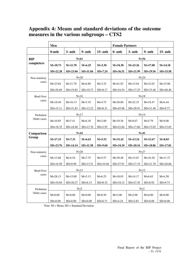## **Appendix 4: Means and standard deviations of the outcome measures in the various subgroups – CTS2**

|                  | Men          |              |              |             | <b>Female Partners</b> |              |              |              |
|------------------|--------------|--------------|--------------|-------------|------------------------|--------------|--------------|--------------|
|                  | $0$ -mth     | $3-$ mth     | $9-$ mth     | $15-$ mth   | $0-$ mth               | $3-$ mth     | $9-$ mth     | $15-$ mth    |
| <b>BIP</b>       |              |              | $N=61$       |             |                        |              | $N = 56$     |              |
| completers       | $M=18.73$    | $M=11.70$    | $M = 6.25$   | $M = 3.30$  | $M = 34.38$            | $M=15.26$    | $M=17.08$    | $M=14.18$    |
|                  | $SD = 22.28$ | $SD = 23.04$ | SD=11.84     | $SD = 7.24$ | $SD = 36.51$           | $SD = 21.99$ | $SD = 29.56$ | $SD = 33.58$ |
| Non-statutory    |              |              | $N = 28$     |             |                        |              | $N = 24$     |              |
| cases            | $M = 23.64$  | $M=11.79$    | $M=6.89$     | $M = 3.25$  | $M = 41.92$            | $M=13.94$    | $M = 22.63$  | $M = 23.00$  |
|                  | $SD = 26.69$ | $SD=19.82$   | $SD=10.73$   | $SD = 8.17$ | $SD = 34.54$           | $SD=17.25$   | $SD = 33.46$ | $SD = 48.40$ |
| <b>Bind Over</b> |              |              | $N=16$       |             |                        |              | $N=18$       |              |
| cases            | $M=18.49$    | $M=16.13$    | $M = 5.19$   | $M=4.75$    | $M = 36.00$            | $M = 22.15$  | $M = 18.47$  | $M = 6.44$   |
|                  | $SD = 15.11$ | $SD = 31.83$ | $SD=12.22$   | $SD = 8.31$ | $SD = 45.06$           | $SD = 28.91$ | $SD = 31.46$ | $SD = 9.77$  |
| Probation        |              |              | $N=17$       |             | $N = 14$               |              |              |              |
| Order cases      | $M=10.85$    | $M = 7.41$   | $M = 6.18$   | $M = 2.00$  | $M=19.36$              | $M = 8.67$   | $M = 5.79$   | $M=9.00$     |
|                  | $SD=18.35$   | $SD=18.40$   | $SD=13.76$   | $SD = 3.95$ | $SD = 22.84$           | $SD=17.66$   | $SD=15.02$   | $SD=15.65$   |
| Comparison       | $N=42$       |              |              |             | $N=41$                 |              |              |              |
| Group            | $M=17.15$    | $M = 7.31$   | $M = 6.63$   | $M = 5.52$  | $M = 31.42$            | $M=13.24$    | $M=12.67$    | $M = 8.83$   |
|                  | $SD = 23.76$ | $SD = 14.14$ | $SD = 11.58$ | $SD=9.60$   | $SD = 34.10$           | $SD = 20.16$ | SD=18.86     | $SD = 17.81$ |
| Non-statutory    |              |              | $N = 28$     |             | $N = 27$               |              |              |              |
| cases            | $M=13.68$    | $M = 4.54$   | $M = 7.75$   | $M = 5.57$  | $M = 39.48$            | $M=13.67$    | $M=16.30$    | $M=11.37$    |
|                  | $SD=16.58$   | $SD = 9.90$  | $SD=13.51$   | $SD=10.48$  | $SD = 37.91$           | $SD=17.19$   | $SD = 21.70$ | $SD = 20.66$ |
| <b>Bind Over</b> |              |              | $N=12$       |             |                        | $N=12$       |              |              |
| cases            | $M = 28.13$  | $M = 15.00$  | $M = 5.13$   | $M=6.25$    | $M=18.03$              | $M=14.17$    | $M=6.63$     | $M=4.58$     |
|                  | $SD = 34.84$ | $SD = 20.27$ | $SD=6.15$    | $SD = 8.32$ | $SD=18.12$             | $SD = 27.45$ | $SD = 8.92$  | $SD = 9.73$  |
| Probation        |              |              | $N=2$        |             |                        | $N=2$        |              |              |
| Order cases      | $M=0.00$     | $M=0.00$     | $M=0.00$     | $M=0.50$    | $M = 3.00$             | $M = 2.00$   | $M=0.00$     | $M=0.00$     |
|                  | $SD=0.00$    | $SD=0.00$    | $SD=0.00$    | $SD=0.71$   | $SD = 4.24$            | $SD = 2.83$  | $SD=0.00$    | $SD=0.00$    |

Note: M = Mean; SD = Standard Deviation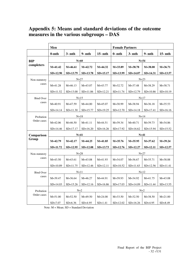# **Appendix 5: Means and standard deviations of the outcome measures in the various subgroups – DAS**

|                  | Men          |              |              |              | <b>Female Partners</b> |              |              |              |
|------------------|--------------|--------------|--------------|--------------|------------------------|--------------|--------------|--------------|
|                  | $0$ -mth     | $3-$ mth     | $9-$ mth     | $15-$ mth    | $0-$ mth               | $3-$ mth     | 9- mth       | $15-$ mth    |
| <b>BIP</b>       |              | $N=60$       |              |              |                        |              | $N=54$       |              |
| completers       | $M = 41.42$  | $M=46.61$    | $M=42.72$    | $M = 44.32$  | $M = 33.89$            | $M = 38.78$  | $M = 38.00$  | $M = 36.71$  |
|                  | $SD=12.90$   | $SD=13.79$   | $SD = 13.78$ | $SD = 15.17$ | SD=13.99               | $SD = 14.07$ | $SD = 14.31$ | $SD = 13.57$ |
| Non-statutory    |              |              | $N=27$       |              |                        | $N=23$       |              |              |
| cases            | $M = 41.28$  | $M=46.13$    | $M = 43.07$  | $M = 43.77$  | $M = 32.72$            | $M = 37.48$  | $M = 38.29$  | $M = 38.71$  |
|                  | $SD=11.52$   | $SD=13.00$   | $SD=11.06$   | $SD=12.21$   | $SD = 11.74$           | $SD=12.79$   | $SD=10.86$   | $SD=10.19$   |
| <b>Bind Over</b> |              |              | $N=15$       |              |                        |              | $N=17$       |              |
| cases            | $M=40.91$    | $M=47.59$    | $M = 44.00$  | $M = 45.07$  | $M=30.99$              | $M = 38.94$  | $M = 36.18$  | $M = 35.53$  |
|                  | $SD=14.14$   | $SD=11.30$   | $SD = 15.77$ | $SD=19.25$   | $SD=12.70$             | $SD=14.18$   | $SD=17.41$   | $SD=16.16$   |
| Probation        |              |              | $N=18$       |              | $N = 14$               |              |              |              |
| Order cases      | $M = 42.06$  | $M=46.50$    | $M = 41.11$  | $M = 44.51$  | $M = 39.34$            | $M = 40.71$  | $M = 39.73$  | $M = 34.86$  |
|                  | $SD=14.46$   | $SD = 17.17$ | $SD=16.20$   | $SD=16.26$   | SD=17.92               | $SD=16.62$   | $SD = 15.94$ | $SD=15.52$   |
| Comparison       |              |              | $N = 41$     |              | $N=41$                 |              |              |              |
| Group            | $M=42.79$    | $M = 42.17$  | $M = 44.25$  | $M = 41.85$  | $M = 35.76$            | $M = 35.95$  | $M = 37.62$  | $M = 39.24$  |
|                  | $SD = 11.72$ | $SD=12.95$   | $SD = 12.08$ | $SD = 13.73$ | $SD=12.76$             | $SD = 12.27$ | $SD = 12.11$ | $SD = 12.57$ |
| Non-statutory    |              |              | $N = 28$     |              | $N=27$                 |              |              |              |
| cases            | $M = 43.50$  | $M=43.61$    | $M = 43.08$  | $M = 41.93$  | $M = 34.07$            | $M = 36.67$  | $M = 35.71$  | $M = 38.88$  |
|                  | $SD=10.89$   | $SD=11.75$   | $SD=12.46$   | $SD=12.11$   | $SD=10.52$             | $SD=11.63$   | $SD=12.56$   | $SD = 11.41$ |
| <b>Bind Over</b> |              |              | $N=11$       |              |                        |              | $N=12$       |              |
| cases            | $M = 39.47$  | $M = 36.64$  | $M=46.27$    | $M = 44.91$  | $M = 39.93$            | $M = 34.92$  | $M = 41.75$  | $M = 43.08$  |
|                  | $SD=14.03$   | $SD=15.26$   | $SD=12.16$   | $SD=16.86$   | $SD=17.03$             | $SD=14.09$   | $SD = 11.44$ | $SD=13.55$   |
| Probation        |              | $N=2$        |              |              |                        | $N=2$        |              |              |
| Order cases      | $M = 51.00$  | $M = 52.50$  | $M=49.50$    | $M = 24.00$  | $M = 33.50$            | $M = 32.50$  | $M = 38.50$  | $M = 21.00$  |
|                  | $SD = 7.07$  | $SD=6.36$    | $SD = 4.95$  | $SD=1.41$    | $SD=12.02$             | $SD=16.26$   | $SD = 4.95$  | $SD = 8.49$  |

Note: M = Mean; SD = Standard Deviation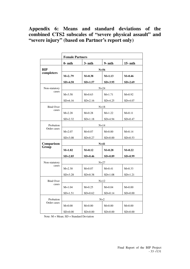# **Appendix 6: Means and standard deviations of the combined CTS2 subscales of "severe physical assault" and "severe injury" (based on Partner's report only)**

|                  | <b>Female Partners</b> |             |             |             |
|------------------|------------------------|-------------|-------------|-------------|
|                  | $0-$ mth               | $3-$ mth    | $9-$ mth    | $15-$ mth   |
| BIP              |                        | $N=56$      |             |             |
| completers       | $M=279$                | $M=0.38$    | $M = 1.13$  | $M=0.46$    |
|                  | $SD=4.50$              | $SD = 1.57$ | $SD = 3.95$ | $SD = 2.69$ |
| Non-statutory    | $N = 24$               |             |             |             |
| cases            | $M = 3.58$             | $M=0.63$    | $M=1.71$    | $M=0.92$    |
|                  | $SD=6.16$              | $SD = 2.16$ | $SD = 4.25$ | $SD = 4.07$ |
| <b>Bind Over</b> |                        | $N=18$      |             |             |
| cases            | $M = 2.28$             | $M=0.28$    | $M=1.22$    | $M=0.11$    |
|                  | $SD = 2.32$            | $SD = 1.18$ | $SD = 4.94$ | $SD = 0.47$ |
| Probation        | $N=14$                 |             |             |             |
| Order cases      | $M = 2.07$             | $M=0.07$    | $M = 0.00$  | $M = 0.14$  |
|                  | $SD = 3.08$            | $SD = 0.27$ | $SD = 0.00$ | $SD = 0.53$ |
| Comparison       | $N=41$                 |             |             |             |
| Group            | $M=1.82$               | $M = 0.12$  | $M=0.28$    | $M=0.22$    |
|                  | $SD = 2.85$            | $SD=0.46$   | $SD = 0.89$ | $SD = 0.99$ |
| Non-statutory    | $N = 27$               |             |             |             |
| cases            | $M = 2.30$             | $M = 0.07$  | $M = 0.41$  | $M=0.33$    |
|                  | $SD = 3.28$            | $SD = 0.38$ | $SD=1.08$   | $SD=1.21$   |
| <b>Bind Over</b> | $N=12$                 |             |             |             |
| cases            | $M=1.04$               | $M=0.25$    | $M = 0.04$  | $M=0.00$    |
|                  | $SD=1.51$              | $SD=0.62$   | $SD = 0.14$ | $SD=0.00$   |
| Probation        | $N=2$                  |             |             |             |
| Order cases      | $M=0.00$               | $M=0.00$    | $M=0.00$    | $M=0.00$    |
|                  | $SD=0.00$              | $SD=0.00$   | $SD = 0.00$ | $SD=0.00$   |

Note: M = Mean; SD = Standard Deviation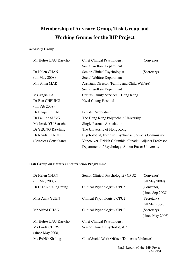# **Membership of Advisory Group, Task Group and Working Groups for the BIP Project**

### **Advisory Group**

| Mr Helios LAU Kar-cho | <b>Chief Clinical Psychologist</b>                      | (Convenor)  |
|-----------------------|---------------------------------------------------------|-------------|
|                       | Social Welfare Department                               |             |
| Dr Helen CHAN         | Senior Clinical Psychologist                            | (Secretary) |
| (till May 2008)       | Social Welfare Department                               |             |
| Mrs Anna MAK          | Assistant Director (Family and Child Welfare)           |             |
|                       | Social Welfare Department                               |             |
| Ms Angie LAI          | Caritas Family Services – Hong Kong                     |             |
| Dr Ben CHEUNG         | Kwai Chung Hospital                                     |             |
| (till Feb 2008)       |                                                         |             |
| Dr Benjamin LAI       | Private Psychiatrist                                    |             |
| Dr Pauline SUNG       | The Hong Kong Polytechnic University                    |             |
| Ms Jessie YU Sau-chu  | Single Parents' Association                             |             |
| Dr YEUNG Ka-ching     | The University of Hong Kong                             |             |
| Dr Randall KROPP      | Psychologist, Forensic Psychiatric Services Commission, |             |
| (Overseas Consultant) | Vancouver, British Columbia, Canada; Adjunct Professor, |             |
|                       | Department of Psychology, Simon Fraser University       |             |

### **Task Group on Batterer Intervention Programme**

| Dr Helen CHAN         | Senior Clinical Psychologist / CPU2                  | (Convenor)         |
|-----------------------|------------------------------------------------------|--------------------|
| (till May 2008)       |                                                      | (till May 2008)    |
| Dr CHAN Chung-ming    | Clinical Psychologist / CPU5                         | (Convenor)         |
|                       |                                                      | $(since$ Sep 2008) |
| Miss Anna YUEN        | Clinical Psychologist / CPU2                         | (Secretary)        |
|                       |                                                      | (till Mar 2006)    |
| Mr Alfred CHAN        | Clinical Psychologist / CPU2                         | (Secretary)        |
|                       |                                                      | (since May 2006)   |
| Mr Helios LAU Kar-cho | <b>Chief Clinical Psychologist</b>                   |                    |
| Ms Linda CHEW         | Senior Clinical Psychologist 2                       |                    |
| (since May 2008)      |                                                      |                    |
| Ms PANG Kit-ling      | <b>Chief Social Work Officer (Domestic Violence)</b> |                    |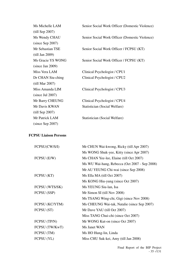| Ms Michelle LAM    | Senior Social Work Officer (Domestic Violence) |
|--------------------|------------------------------------------------|
| $(till$ Sep 2007)  |                                                |
| Ms Wendy CHAU      | Senior Social Work Officer (Domestic Violence) |
| $(since$ Sep 2007) |                                                |
| Mr Sebastian TSE   | Senior Social Work Officer / FCPSU (KT)        |
| (till Jan 2009)    |                                                |
| Ms Gracie YS WONG  | Senior Social Work Officer / FCPSU (KT)        |
| (since Jan 2009)   |                                                |
| Miss Vera LAM      | Clinical Psychologist / CPU1                   |
| Dr CHAN Siu-ching  | Clinical Psychologist / CPU2                   |
| (till Mar 2007)    |                                                |
| Miss Amanda LIM    | Clinical Psychologist / CPU3                   |
| (since Jul 2007)   |                                                |
| Mr Barry CHEUNG    | Clinical Psychologist / CPU4                   |
| Mr Davis KWAN      | Statistician (Social Welfare)                  |
| $(till$ Sep 2007)  |                                                |
| Mr Patrick LAM     | Statistician (Social Welfare)                  |
| $(since$ Sep 2007) |                                                |

### **FCPSU Liaison Persons**

| Mr CHUN Wai-kwong, Ricky (till Apr 2007)      |
|-----------------------------------------------|
| Ms WONG Shuk-yee, Kitty (since Apr 2007)      |
| Ms CHAN Yee-lee, Elaine (till Oct 2007)       |
| Ms WU Wai-hang, Rebecca (Oct 2007 - Sep 2008) |
| Mr AU YEUNG Chi-wai (since Sep 2008)          |
| Ms Ella MA (till Oct 2007)                    |
| Ms KONG Hiu-yung (since Oct 2007)             |
| Ms YEUNG Siu-lan, Isa                         |
| Mr Simon SI (till Nov 2008)                   |
| Ms TSANG Wing-chi, Gigi (since Nov 2008)      |
| Ms CHEUNG Wai-tak, Natalie (since Sep 2007)   |
| Mr Dave YAU (till Oct 2007)                   |
| Miss TANG Chui-chi (since Oct 2007)           |
| Mr WONG Kut-on (since Oct 2007)               |
| Ms Janet WAN                                  |
| Ms HO Hung-lin, Linda                         |
| Miss CHU Suk-kei, Amy (till Jan 2008)         |
|                                               |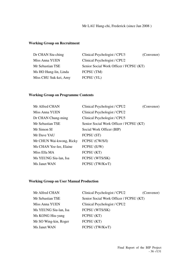### **Working Group on Recruitment**

| Dr CHAN Siu-ching     | Clinical Psychologist / CPU3            | (Convenor) |
|-----------------------|-----------------------------------------|------------|
| Miss Anna YUEN        | Clinical Psychologist / CPU2            |            |
| Mr Sebastian TSE      | Senior Social Work Officer / FCPSU (KT) |            |
| Ms HO Hung-lin, Linda | FCPSU (TM)                              |            |
| Miss CHU Suk-kei, Amy | FCPSU (YL)                              |            |

### **Working Group on Programme Contents**

| Mr Alfred CHAN           | Clinical Psychologist / CPU2            | (Convenor) |
|--------------------------|-----------------------------------------|------------|
| Miss Anna YUEN           | Clinical Psychologist / CPU2            |            |
| Dr CHAN Chung-ming       | Clinical Psychologist / CPU5            |            |
| Mr Sebastian TSE         | Senior Social Work Officer / FCPSU (KT) |            |
| Mr Simon SI              | Social Work Officer (BIP)               |            |
| Mr Dave YAU              | FCPSU (ST)                              |            |
| Mr CHUN Wai-kwong, Ricky | FCPSU (CW/S/I)                          |            |
| Ms CHAN Yee-lee, Elaine  | FCPSU (E/W)                             |            |
| Miss Ella MA             | FCPSU (KT)                              |            |
| Ms YEUNG Siu-lan, Isa    | FCPSU (WTS/SK)                          |            |
| Ms Janet WAN             | FCPSU (TW/KwT)                          |            |

### **Working Group on User Manual Production**

| Mr Alfred CHAN        | Clinical Psychologist / CPU2            | (Convenor) |
|-----------------------|-----------------------------------------|------------|
| Mr Sebastian TSE      | Senior Social Work Officer / FCPSU (KT) |            |
| Miss Anna YUEN        | Clinical Psychologist / CPU2            |            |
| Ms YEUNG Siu-lan, Isa | FCPSU (WTS/SK)                          |            |
| Ms KONG Hiu-yung      | FCPSU (KT)                              |            |
| Mr SO Wing-kin, Roger | FCPSU (KT)                              |            |
| Ms Janet WAN          | FCPSU (TW/KwT)                          |            |